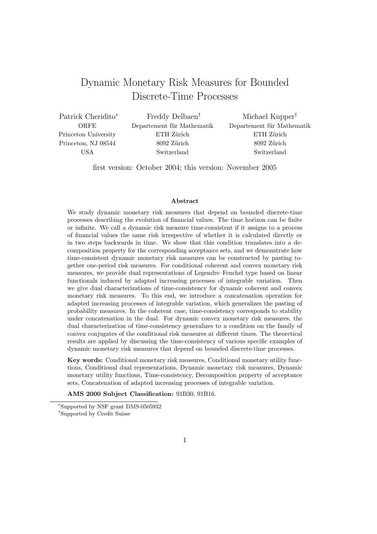# Dynamic Monetary Risk Measures for Bounded Discrete-Time Processes

Patrick Cheridito<sup>∗</sup> **ORFE** Princeton University Princeton, NJ 08544 USA

Freddy Delbaen† Departement für Mathematik ETH Zürich 8092 Zürich Switzerland

Michael Kupper† Departement für Mathematik ETH Zürich 8092 Zürich Switzerland

first version: October 2004; this version: November 2005

#### Abstract

We study dynamic monetary risk measures that depend on bounded discrete-time processes describing the evolution of financial values. The time horizon can be finite or infinite. We call a dynamic risk measure time-consistent if it assigns to a process of financial values the same risk irrespective of whether it is calculated directly or in two steps backwards in time. We show that this condition translates into a decomposition property for the corresponding acceptance sets, and we demonstrate how time-consistent dynamic monetary risk measures can be constructed by pasting together one-period risk measures. For conditional coherent and convex monetary risk measures, we provide dual representations of Legendre–Fenchel type based on linear functionals induced by adapted increasing processes of integrable variation. Then we give dual characterizations of time-consistency for dynamic coherent and convex monetary risk measures. To this end, we introduce a concatenation operation for adapted increasing processes of integrable variation, which generalizes the pasting of probability measures. In the coherent case, time-consistency corresponds to stability under concatenation in the dual. For dynamic convex monetary risk measures, the dual characterization of time-consistency generalizes to a condition on the family of convex conjugates of the conditional risk measures at different times. The theoretical results are applied by discussing the time-consistency of various specific examples of dynamic monetary risk measures that depend on bounded discrete-time processes.

Key words: Conditional monetary risk measures, Conditional monetary utility functions, Conditional dual representations, Dynamic monetary risk measures, Dynamic monetary utility functions, Time-consistency, Decomposition property of acceptance sets, Concatenation of adapted increasing processes of integrable variation.

AMS 2000 Subject Classification: 91B30, 91B16.

<sup>∗</sup>Supported by NSF grant DMS-0505932 †Supported by Credit Suisse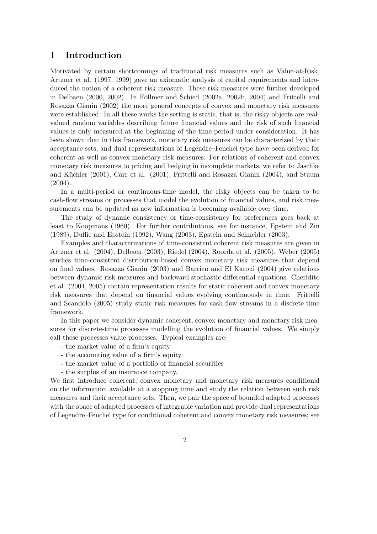# 1 Introduction

Motivated by certain shortcomings of traditional risk measures such as Value-at-Risk, Artzner et al. (1997, 1999) gave an axiomatic analysis of capital requirements and introduced the notion of a coherent risk measure. These risk measures were further developed in Delbaen  $(2000, 2002)$ . In Föllmer and Schied  $(2002a, 2002b, 2004)$  and Frittelli and Rosazza Gianin (2002) the more general concepts of convex and monetary risk measures were established. In all these works the setting is static, that is, the risky objects are realvalued random variables describing future financial values and the risk of such financial values is only measured at the beginning of the time-period under consideration. It has been shown that in this framework, monetary risk measures can be characterized by their acceptance sets, and dual representations of Legendre–Fenchel type have been derived for coherent as well as convex monetary risk measures. For relations of coherent and convex monetary risk measures to pricing and hedging in incomplete markets, we refer to Jaschke and Küchler (2001), Carr et al. (2001), Frittelli and Rosazza Gianin (2004), and Staum (2004).

In a multi-period or continuous-time model, the risky objects can be taken to be cash-flow streams or processes that model the evolution of financial values, and risk measurements can be updated as new information is becoming available over time.

The study of dynamic consistency or time-consistency for preferences goes back at least to Koopmans (1960). For further contributions, see for instance, Epstein and Zin (1989), Duffie and Epstein (1992), Wang (2003), Epstein and Schneider (2003).

Examples and characterizations of time-consistent coherent risk measures are given in Artzner et al. (2004), Delbaen (2003), Riedel (2004), Roorda et al. (2005). Weber (2005) studies time-consistent distribution-based convex monetary risk measures that depend on final values. Rosazza Gianin (2003) and Barrieu and El Karoui (2004) give relations between dynamic risk measures and backward stochastic differential equations. Cheridito et al. (2004, 2005) contain representation results for static coherent and convex monetary risk measures that depend on financial values evolving continuously in time. Frittelli and Scandolo (2005) study static risk measures for cash-flow streams in a discrete-time framework.

In this paper we consider dynamic coherent, convex monetary and monetary risk measures for discrete-time processes modelling the evolution of financial values. We simply call these processes value processes. Typical examples are:

- the market value of a firm's equity
- the accounting value of a firm's equity
- the market value of a portfolio of financial securities
- the surplus of an insurance company.

We first introduce coherent, convex monetary and monetary risk measures conditional on the information available at a stopping time and study the relation between such risk measures and their acceptance sets. Then, we pair the space of bounded adapted processes with the space of adapted processes of integrable variation and provide dual representations of Legendre–Fenchel type for conditional coherent and convex monetary risk measures; see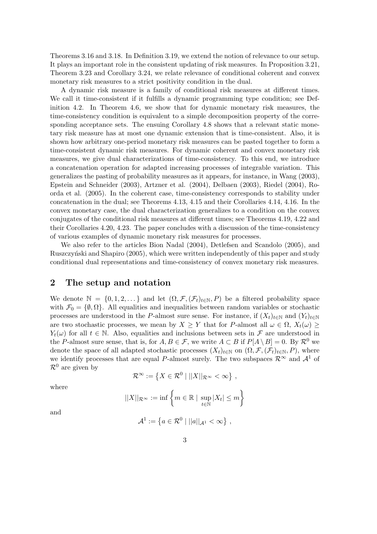Theorems 3.16 and 3.18. In Definition 3.19, we extend the notion of relevance to our setup. It plays an important role in the consistent updating of risk measures. In Proposition 3.21, Theorem 3.23 and Corollary 3.24, we relate relevance of conditional coherent and convex monetary risk measures to a strict positivity condition in the dual.

A dynamic risk measure is a family of conditional risk measures at different times. We call it time-consistent if it fulfills a dynamic programming type condition; see Definition 4.2. In Theorem 4.6, we show that for dynamic monetary risk measures, the time-consistency condition is equivalent to a simple decomposition property of the corresponding acceptance sets. The ensuing Corollary 4.8 shows that a relevant static monetary risk measure has at most one dynamic extension that is time-consistent. Also, it is shown how arbitrary one-period monetary risk measures can be pasted together to form a time-consistent dynamic risk measures. For dynamic coherent and convex monetary risk measures, we give dual characterizations of time-consistency. To this end, we introduce a concatenation operation for adapted increasing processes of integrable variation. This generalizes the pasting of probability measures as it appears, for instance, in Wang (2003), Epstein and Schneider (2003), Artzner et al. (2004), Delbaen (2003), Riedel (2004), Roorda et al. (2005). In the coherent case, time-consistency corresponds to stability under concatenation in the dual; see Theorems 4.13, 4.15 and their Corollaries 4.14, 4.16. In the convex monetary case, the dual characterization generalizes to a condition on the convex conjugates of the conditional risk measures at different times; see Theorems 4.19, 4.22 and their Corollaries 4.20, 4.23. The paper concludes with a discussion of the time-consistency of various examples of dynamic monetary risk measures for processes.

We also refer to the articles Bion Nadal (2004), Detlefsen and Scandolo (2005), and Ruszczyniski and Shapiro (2005), which were written independently of this paper and study conditional dual representations and time-consistency of convex monetary risk measures.

## 2 The setup and notation

We denote  $\mathbb{N} = \{0, 1, 2, \dots\}$  and let  $(\Omega, \mathcal{F}, (\mathcal{F}_t)_{t \in \mathbb{N}}, P)$  be a filtered probability space with  $\mathcal{F}_0 = \{\emptyset, \Omega\}$ . All equalities and inequalities between random variables or stochastic processes are understood in the P-almost sure sense. For instance, if  $(X_t)_{t\in\mathbb{N}}$  and  $(Y_t)_{t\in\mathbb{N}}$ are two stochastic processes, we mean by  $X \geq Y$  that for P-almost all  $\omega \in \Omega$ ,  $X_t(\omega) \geq$  $Y_t(\omega)$  for all  $t \in \mathbb{N}$ . Also, equalities and inclusions between sets in  $\mathcal F$  are understood in the P-almost sure sense, that is, for  $A, B \in \mathcal{F}$ , we write  $A \subset B$  if  $P[A \setminus B] = 0$ . By  $\mathcal{R}^0$  we denote the space of all adapted stochastic processes  $(X_t)_{t\in\mathbb{N}}$  on  $(\Omega, \mathcal{F}, (\mathcal{F}_t)_{t\in\mathbb{N}}, P)$ , where we identify processes that are equal P-almost surely. The two subspaces  $\mathcal{R}^{\infty}$  and  $\mathcal{A}^{1}$  of  $\mathcal{R}^0$  are given by ª

$$
\mathcal{R}^{\infty} := \left\{ X \in \mathcal{R}^0 \mid ||X||_{\mathcal{R}^{\infty}} < \infty \right\} ,
$$

where

$$
||X||_{\mathcal{R}^{\infty}} := \inf \left\{ m \in \mathbb{R} \mid \sup_{t \in \mathbb{N}} |X_t| \le m \right\}
$$

$$
\mathcal{A}^1 := \left\{ a \in \mathcal{R}^0 \mid ||a||_{\mathcal{A}^1} < \infty \right\},\,
$$

and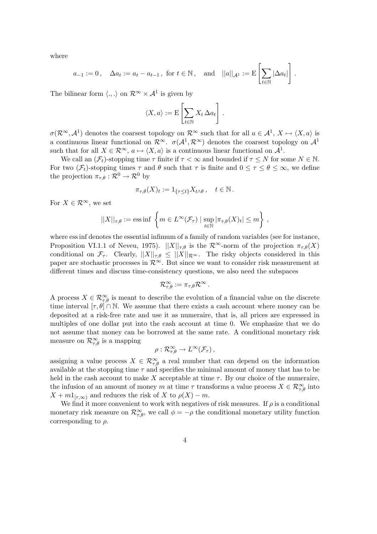where

$$
a_{-1}:=0\,,\quad \Delta a_t:=a_t-a_{t-1}\,,\text{ for }t\in\mathbb{N}\,,\quad\text{and}\quad ||a||_{\mathcal{A}^1}:=\mathrm{E}\left[\sum_{t\in\mathbb{N}}|\Delta a_t|\right]\,.
$$

The bilinear form  $\langle ., . \rangle$  on  $\mathcal{R}^{\infty} \times \mathcal{A}^1$  is given by

$$
\langle X, a \rangle := \mathbf{E} \left[ \sum_{t \in \mathbb{N}} X_t \, \Delta a_t \right].
$$

 $\sigma(\mathcal{R}^{\infty}, \mathcal{A}^1)$  denotes the coarsest topology on  $\mathcal{R}^{\infty}$  such that for all  $a \in \mathcal{A}^1$ ,  $X \mapsto \langle X, a \rangle$  is a continuous linear functional on  $\mathcal{R}^{\infty}$ .  $\sigma(\mathcal{A}^1, \mathcal{R}^{\infty})$  denotes the coarsest topology on  $\mathcal{A}^1$ such that for all  $X \in \mathcal{R}^{\infty}$ ,  $a \mapsto \langle X, a \rangle$  is a continuous linear functional on  $\mathcal{A}^1$ .

We call an  $(\mathcal{F}_t)$ -stopping time  $\tau$  finite if  $\tau < \infty$  and bounded if  $\tau \leq N$  for some  $N \in \mathbb{N}$ . For two  $(\mathcal{F}_t)$ -stopping times  $\tau$  and  $\theta$  such that  $\tau$  is finite and  $0 \leq \tau \leq \theta \leq \infty$ , we define the projection  $\pi_{\tau,\theta} : \mathcal{R}^0 \to \mathcal{R}^0$  by

$$
\pi_{\tau,\theta}(X)_t := 1_{\{\tau \le t\}} X_{t \wedge \theta}, \quad t \in \mathbb{N}.
$$

For  $X \in \mathcal{R}^{\infty}$ , we set

$$
||X||_{\tau,\theta} := \mathrm{ess\,inf}\left\{ m \in L^{\infty}(\mathcal{F}_{\tau}) \mid \sup_{t \in \mathbb{N}} |\pi_{\tau,\theta}(X)_t| \leq m \right\},\,
$$

where ess inf denotes the essential infimum of a family of random variables (see for instance, Proposition VI.1.1 of Neveu, 1975).  $||X||_{\tau,\theta}$  is the  $\mathcal{R}^{\infty}$ -norm of the projection  $\pi_{\tau,\theta}(X)$ conditional on  $\mathcal{F}_{\tau}$ . Clearly,  $||X||_{\tau,\theta} \leq ||X||_{\mathcal{R}^{\infty}}$ . The risky objects considered in this paper are stochastic processes in  $\mathcal{R}^{\infty}$ . But since we want to consider risk measurement at different times and discuss time-consistency questions, we also need the subspaces

$$
\mathcal{R}_{\tau,\theta}^{\infty}:=\pi_{\tau,\theta}\mathcal{R}^{\infty}\,.
$$

A process  $X \in \mathcal{R}_{\tau,\theta}^{\infty}$  is meant to describe the evolution of a financial value on the discrete time interval  $[\tau, \theta] \cap \mathbb{N}$ . We assume that there exists a cash account where money can be deposited at a risk-free rate and use it as numeraire, that is, all prices are expressed in multiples of one dollar put into the cash account at time 0. We emphasize that we do not assume that money can be borrowed at the same rate. A conditional monetary risk measure on  $\mathcal{R}^{\infty}_{\tau,\theta}$  is a mapping

$$
\rho: \mathcal{R}_{\tau,\theta}^{\infty} \to L^{\infty}(\mathcal{F}_{\tau}),
$$

assigning a value process  $X \in \mathcal{R}^{\infty}_{\tau,\theta}$  a real number that can depend on the information available at the stopping time  $\tau$  and specifies the minimal amount of money that has to be held in the cash account to make X acceptable at time  $\tau$ . By our choice of the numeraire, the infusion of an amount of money m at time  $\tau$  transforms a value process  $X \in \mathcal{R}_{\tau,\theta}^{\infty}$  into  $X + m1_{[\tau,\infty)}$  and reduces the risk of X to  $\rho(X) - m$ .

We find it more convenient to work with negatives of risk measures. If  $\rho$  is a conditional monetary risk measure on  $\mathcal{R}_{\tau,\theta}^{\infty}$ , we call  $\phi = -\rho$  the conditional monetary utility function corresponding to  $\rho$ .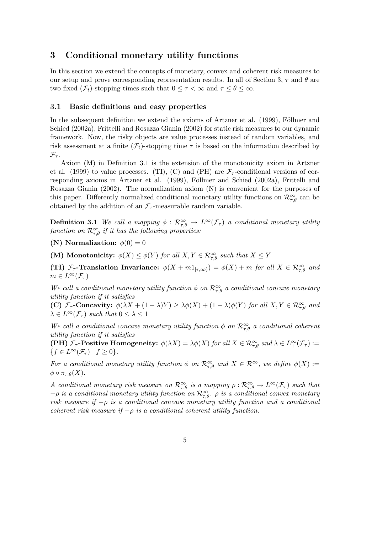# 3 Conditional monetary utility functions

In this section we extend the concepts of monetary, convex and coherent risk measures to our setup and prove corresponding representation results. In all of Section 3,  $\tau$  and  $\theta$  are two fixed  $(\mathcal{F}_t)$ -stopping times such that  $0 \leq \tau < \infty$  and  $\tau \leq \theta \leq \infty$ .

#### 3.1 Basic definitions and easy properties

In the subsequent definition we extend the axioms of Artzner et al.  $(1999)$ , Föllmer and Schied (2002a), Frittelli and Rosazza Gianin (2002) for static risk measures to our dynamic framework. Now, the risky objects are value processes instead of random variables, and risk assessment at a finite  $(\mathcal{F}_t)$ -stopping time  $\tau$  is based on the information described by  $\mathcal{F}_{\tau}$ .

Axiom (M) in Definition 3.1 is the extension of the monotonicity axiom in Artzner et al. (1999) to value processes. (TI), (C) and (PH) are  $\mathcal{F}_{\tau}$ -conditional versions of corresponding axioms in Artzner et al. (1999), Föllmer and Schied (2002a), Frittelli and Rosazza Gianin (2002). The normalization axiom (N) is convenient for the purposes of this paper. Differently normalized conditional monetary utility functions on  $\mathcal{R}^{\infty}_{\tau,\theta}$  can be obtained by the addition of an  $\mathcal{F}_{\tau}$ -measurable random variable.

**Definition 3.1** We call a mapping  $\phi$  :  $\mathcal{R}^{\infty}_{\tau,\theta} \to L^{\infty}(\mathcal{F}_{\tau})$  a conditional monetary utility function on  $\mathcal{R}^{\infty}_{\tau,\theta}$  if it has the following properties:

(N) Normalization:  $\phi(0) = 0$ 

(M) Monotonicity:  $\phi(X) \leq \phi(Y)$  for all  $X, Y \in \mathcal{R}_{\tau,\theta}^{\infty}$  such that  $X \leq Y$ 

(TI)  $\mathcal{F}_{\tau}$ -Translation Invariance:  $\phi(X+m1_{[\tau,\infty)}) = \phi(X) + m$  for all  $X \in \mathcal{R}_{\tau,\theta}^{\infty}$  and  $m \in L^{\infty}(\mathcal{F}_{\tau})$ 

We call a conditional monetary utility function  $\phi$  on  $\mathcal{R}_{\tau,\theta}^{\infty}$  a conditional concave monetary utility function if it satisfies

(C)  $\mathcal{F}_{\tau}$ -Concavity:  $\phi(\lambda X + (1 - \lambda)Y) \geq \lambda \phi(X) + (1 - \lambda)\phi(Y)$  for all  $X, Y \in \mathcal{R}_{\tau,\theta}^{\infty}$  and  $\lambda \in L^{\infty}(\mathcal{F}_{\tau})$  such that  $0 \leq \lambda \leq 1$ 

We call a conditional concave monetary utility function  $\phi$  on  $\mathcal{R}_{\tau,\theta}^{\infty}$  a conditional coherent utility function if it satisfies

(PH)  $\mathcal{F}_{\tau}$ -Positive Homogeneity:  $\phi(\lambda X) = \lambda \phi(X)$  for all  $X \in \mathcal{R}_{\tau,\theta}^{\infty}$  and  $\lambda \in L^{\infty}_{+}(\mathcal{F}_{\tau}) :=$  ${f \in L^{\infty}(\mathcal{F}_{\tau}) \mid f \geq 0}.$ 

For a conditional monetary utility function  $\phi$  on  $\mathcal{R}^{\infty}_{\tau,\theta}$  and  $X \in \mathcal{R}^{\infty}$ , we define  $\phi(X) :=$  $\phi \circ \pi_{\tau,\theta}(X)$ .

A conditional monetary risk measure on  $\mathcal{R}^{\infty}_{\tau,\theta}$  is a mapping  $\rho:\mathcal{R}^{\infty}_{\tau,\theta}\to L^{\infty}(\mathcal{F}_{\tau})$  such that  $-\rho$  is a conditional monetary utility function on  $\mathcal{R}_{\tau,\theta}^{\infty}$ .  $\rho$  is a conditional convex monetary risk measure if  $-\rho$  is a conditional concave monetary utility function and a conditional coherent risk measure if  $-\rho$  is a conditional coherent utility function.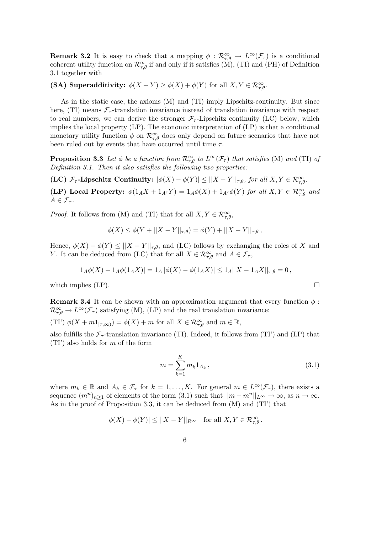**Remark 3.2** It is easy to check that a mapping  $\phi$  :  $\mathcal{R}^{\infty}_{\tau,\theta} \to L^{\infty}(\mathcal{F}_{\tau})$  is a conditional coherent utility function on  $\mathcal{R}_{\tau,\theta}^{\infty}$  if and only if it satisfies (M), (TI) and (PH) of Definition 3.1 together with

(SA) Superadditivity:  $\phi(X+Y) \ge \phi(X) + \phi(Y)$  for all  $X, Y \in \mathcal{R}_{\tau,\theta}^{\infty}$ .

As in the static case, the axioms (M) and (TI) imply Lipschitz-continuity. But since here, (TI) means  $\mathcal{F}_{\tau}$ -translation invariance instead of translation invariance with respect to real numbers, we can derive the stronger  $\mathcal{F}_{\tau}$ -Lipschitz continuity (LC) below, which implies the local property (LP). The economic interpretation of (LP) is that a conditional monetary utility function  $\phi$  on  $\mathcal{R}^{\infty}_{\tau,\theta}$  does only depend on future scenarios that have not been ruled out by events that have occurred until time  $\tau$ .

**Proposition 3.3** Let  $\phi$  be a function from  $\mathcal{R}^{\infty}_{\tau,\theta}$  to  $L^{\infty}(\mathcal{F}_{\tau})$  that satisfies (M) and (TI) of Definition 3.1. Then it also satisfies the following two properties:

(LC)  $\mathcal{F}_{\tau}$ -Lipschitz Continuity:  $|\phi(X) - \phi(Y)| \leq ||X - Y||_{\tau,\theta}$ , for all  $X, Y \in \mathcal{R}_{\tau,\theta}^{\infty}$ .

(LP) Local Property:  $\phi(1_A X + 1_{A^c} Y) = 1_A \phi(X) + 1_{A^c} \phi(Y)$  for all  $X, Y \in \mathcal{R}_{\tau,\theta}^{\infty}$  and  $A \in \mathcal{F}_{\tau}$ .

*Proof.* It follows from (M) and (TI) that for all  $X, Y \in \mathcal{R}_{\tau,\theta}^{\infty}$ ,

$$
\phi(X) \le \phi(Y + ||X - Y||_{\tau,\theta}) = \phi(Y) + ||X - Y||_{\tau,\theta},
$$

Hence,  $\phi(X) - \phi(Y) \leq ||X - Y||_{\tau,\theta}$ , and (LC) follows by exchanging the roles of X and Y. It can be deduced from (LC) that for all  $X \in \mathcal{R}_{\tau,\theta}^{\infty}$  and  $A \in \mathcal{F}_{\tau}$ ,

$$
|1_A\phi(X) - 1_A\phi(1_A X)| = 1_A |\phi(X) - \phi(1_A X)| \le 1_A ||X - 1_A X||_{\tau,\theta} = 0,
$$

which implies (LP).  $\Box$ 

**Remark 3.4** It can be shown with an approximation argument that every function  $\phi$ :  $\mathcal{R}_{\tau,\theta}^{\infty} \to L^{\infty}(\mathcal{F}_{\tau})$  satisfying (M), (LP) and the real translation invariance:

(TI')  $\phi(X+m1_{[\tau,\infty)}) = \phi(X) + m$  for all  $X \in \mathcal{R}_{\tau,\theta}^{\infty}$  and  $m \in \mathbb{R}$ ,

also fulfills the  $\mathcal{F}_{\tau}$ -translation invariance (TI). Indeed, it follows from (TI') and (LP) that  $(TI')$  also holds for m of the form

$$
m = \sum_{k=1}^{K} m_k 1_{A_k}, \qquad (3.1)
$$

where  $m_k \in \mathbb{R}$  and  $A_k \in \mathcal{F}_{\tau}$  for  $k = 1, ..., K$ . For general  $m \in L^{\infty}(\mathcal{F}_{\tau})$ , there exists a sequence  $(m^n)_{n\geq 1}$  of elements of the form  $(3.1)$  such that  $||m - m^n||_{L^{\infty}} \to \infty$ , as  $n \to \infty$ . As in the proof of Proposition 3.3, it can be deduced from (M) and (TI') that

$$
|\phi(X) - \phi(Y)| \le ||X - Y||_{R^{\infty}} \quad \text{for all } X, Y \in \mathcal{R}_{\tau,\theta}^{\infty} \, .
$$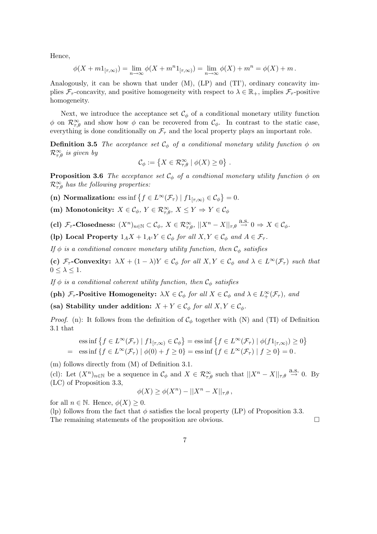Hence,

$$
\phi(X + m1_{[\tau, \infty)}) = \lim_{n \to \infty} \phi(X + m^{n}1_{[\tau, \infty)}) = \lim_{n \to \infty} \phi(X) + m^{n} = \phi(X) + m.
$$

Analogously, it can be shown that under  $(M)$ ,  $(LP)$  and  $(TI')$ , ordinary concavity implies  $\mathcal{F}_{\tau}$ -concavity, and positive homogeneity with respect to  $\lambda \in \mathbb{R}_+$ , implies  $\mathcal{F}_{\tau}$ -positive homogeneity.

Next, we introduce the acceptance set  $\mathcal{C}_{\phi}$  of a conditional monetary utility function  $\phi$  on  $\mathcal{R}_{\tau,\theta}^{\infty}$  and show how  $\phi$  can be recovered from  $\mathcal{C}_{\phi}$ . In contrast to the static case, everything is done conditionally on  $\mathcal{F}_{\tau}$  and the local property plays an important role.

**Definition 3.5** The acceptance set  $\mathcal{C}_{\phi}$  of a conditional monetary utility function  $\phi$  on  $\mathcal{R}_{\tau,\theta}^{\infty}$  is given by ª

$$
\mathcal{C}_{\phi} := \left\{ X \in \mathcal{R}_{\tau,\theta}^{\infty} \mid \phi(X) \geq 0 \right\} \, .
$$

**Proposition 3.6** The acceptance set  $\mathcal{C}_{\phi}$  of a condtional monetary utility function  $\phi$  on  $\mathcal{R}_{\tau,\theta}^{\infty}$  has the following properties:

(n) Normalization: ess inf  $\{f \in L^{\infty}(\mathcal{F}_{\tau}) \mid f1_{[\tau,\infty)} \in C_{\phi}\}\$  $= 0.$ 

(m) Monotonicity:  $X \in \mathcal{C}_{\phi}, Y \in \mathcal{R}_{\tau,\theta}^{\infty}, X \leq Y \Rightarrow Y \in \mathcal{C}_{\phi}$ 

(cl)  $\mathcal{F}_{\tau}$ -Closedness:  $(X^n)_{n \in \mathbb{N}} \subset \mathcal{C}_{\phi}, X \in \mathcal{R}_{\tau,\theta}^{\infty}, ||X^n - X||_{\tau,\theta} \stackrel{\text{a.s.}}{\to} 0 \Rightarrow X \in \mathcal{C}_{\phi}.$ 

(lp) Local Property  $1_A X + 1_{A^c} Y \in \mathcal{C}_{\phi}$  for all  $X, Y \in \mathcal{C}_{\phi}$  and  $A \in \mathcal{F}_{\tau}$ .

If  $\phi$  is a conditional concave monetary utility function, then  $\mathcal{C}_{\phi}$  satisfies

(c)  $\mathcal{F}_{\tau}$ -Convexity:  $\lambda X + (1 - \lambda)Y \in \mathcal{C}_{\phi}$  for all  $X, Y \in \mathcal{C}_{\phi}$  and  $\lambda \in L^{\infty}(\mathcal{F}_{\tau})$  such that  $0 \leq \lambda \leq 1$ .

If  $\phi$  is a conditional coherent utility function, then  $\mathcal{C}_{\phi}$  satisfies

(ph)  $\mathcal{F}_{\tau}$ -Positive Homogeneity:  $\lambda X \in \mathcal{C}_{\phi}$  for all  $X \in \mathcal{C}_{\phi}$  and  $\lambda \in L^{\infty}_{+}(\mathcal{F}_{\tau})$ , and

(sa) Stability under addition:  $X + Y \in \mathcal{C}_{\phi}$  for all  $X, Y \in \mathcal{C}_{\phi}$ .

*Proof.* (n): It follows from the definition of  $C_{\phi}$  together with (N) and (TI) of Definition 3.1 that

$$
\text{ess}\inf\left\{f \in L^{\infty}(\mathcal{F}_{\tau}) \mid f1_{[\tau,\infty)} \in \mathcal{C}_{\phi}\right\} = \text{ess}\inf\left\{f \in L^{\infty}(\mathcal{F}_{\tau}) \mid \phi(f1_{[\tau,\infty)}) \ge 0\right\}
$$
\n
$$
= \text{ess}\inf\left\{f \in L^{\infty}(\mathcal{F}_{\tau}) \mid \phi(0) + f \ge 0\right\} = \text{ess}\inf\left\{f \in L^{\infty}(\mathcal{F}_{\tau}) \mid f \ge 0\right\} = 0.
$$

(m) follows directly from (M) of Definition 3.1.

(cl): Let  $(X^n)_{n\in\mathbb{N}}$  be a sequence in  $\mathcal{C}_{\phi}$  and  $X \in \mathcal{R}_{\tau,\theta}^{\infty}$  such that  $||X^n - X||_{\tau,\theta} \stackrel{\text{a.s.}}{\to} 0$ . By (LC) of Proposition 3.3,

$$
\phi(X) \ge \phi(X^n) - ||X^n - X||_{\tau,\theta},
$$

for all  $n \in \mathbb{N}$ . Hence,  $\phi(X) \geq 0$ .

(lp) follows from the fact that  $\phi$  satisfies the local property (LP) of Proposition 3.3. The remaining statements of the proposition are obvious.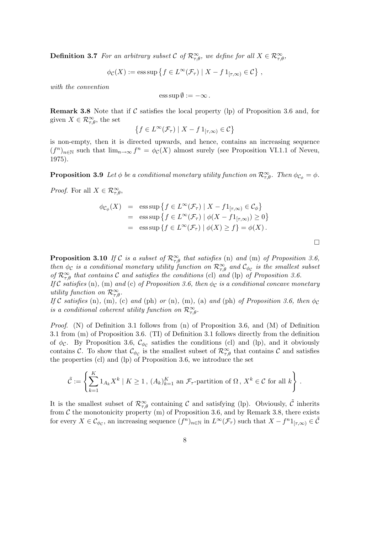**Definition 3.7** For an arbitrary subset C of  $\mathcal{R}^{\infty}_{\tau,\theta}$ , we define for all  $X \in \mathcal{R}^{\infty}_{\tau,\theta}$ ,

$$
\phi_{\mathcal{C}}(X) := \operatorname{ess} \operatorname{sup} \left\{ f \in L^{\infty}(\mathcal{F}_{\tau}) \mid X - f 1_{[\tau, \infty)} \in \mathcal{C} \right\},\,
$$

with the convention

$$
\operatorname{ess} \operatorname{sup} \emptyset := -\infty.
$$

**Remark 3.8** Note that if C satisfies the local property (lp) of Proposition 3.6 and, for given  $X \in \mathcal{R}^{\infty}_{\tau,\theta}$ , the set ©

$$
\left\{ f \in L^{\infty}(\mathcal{F}_{\tau}) \mid X - f 1_{[\tau, \infty)} \in \mathcal{C} \right\}
$$

is non-empty, then it is directed upwards, and hence, contains an increasing sequence  $(f^n)_{n\in\mathbb{N}}$  such that  $\lim_{n\to\infty} f^n = \phi_c(X)$  almost surely (see Proposition VI.1.1 of Neveu, 1975).

**Proposition 3.9** Let  $\phi$  be a conditional monetary utility function on  $\mathcal{R}_{\tau,\theta}^{\infty}$ . Then  $\phi_{\mathcal{C}_{\phi}} = \phi$ .

*Proof.* For all  $X \in \mathcal{R}_{\tau,\theta}^{\infty}$ ,

$$
\begin{array}{rcl}\n\phi_{\mathcal{C}_{\phi}}(X) & = & \text{ess sup}\left\{f \in L^{\infty}(\mathcal{F}_{\tau}) \mid X - f1_{[\tau,\infty)} \in \mathcal{C}_{\phi}\right\} \\
& = & \text{ess sup}\left\{f \in L^{\infty}(\mathcal{F}_{\tau}) \mid \phi(X - f1_{[\tau,\infty)}) \ge 0\right\} \\
& = & \text{ess sup}\left\{f \in L^{\infty}(\mathcal{F}_{\tau}) \mid \phi(X) \ge f\right\} = \phi(X)\,. \n\end{array}
$$

 $\Box$ 

**Proposition 3.10** If C is a subset of  $\mathcal{R}_{\tau,\theta}^{\infty}$  that satisfies (n) and (m) of Proposition 3.6, then  $\phi_c$  is a conditional monetary utility function on  $\mathcal{R}^{\infty}_{\tau,\theta}$  and  $\mathcal{C}_{\phi_c}$  is the smallest subset of  $\mathcal{R}_{\tau,\theta}^{\infty}$  that contains C and satisfies the conditions (cl) and (lp) of Proposition 3.6.

If C satisfies (n), (m) and (c) of Proposition 3.6, then  $\phi_C$  is a conditional concave monetary utility function on  $\mathcal{R}_{\tau,\theta}^{\infty}$ .

If C satisfies (n), (m), (c) and (ph) or (n), (m), (a) and (ph) of Proposition 3.6, then  $\phi_c$ is a conditional coherent utility function on  $\mathcal{R}_{\tau,\theta}^{\infty}$ .

*Proof.* (N) of Definition 3.1 follows from (n) of Proposition 3.6, and (M) of Definition 3.1 from (m) of Proposition 3.6. (TI) of Definition 3.1 follows directly from the definition of  $\phi_c$ . By Proposition 3.6,  $\mathcal{C}_{\phi_c}$  satisfies the conditions (cl) and (lp), and it obviously contains C. To show that  $\mathcal{C}_{\phi_c}$  is the smallest subset of  $\mathcal{R}^{\infty}_{\tau,\theta}$  that contains C and satisfies the properties (cl) and (lp) of Proposition 3.6, we introduce the set

$$
\tilde{\mathcal{C}} := \left\{ \sum_{k=1}^K 1_{A_k} X^k \mid K \ge 1, (A_k)_{k=1}^K \text{ an } \mathcal{F}_{\tau} \text{-partition of } \Omega, X^k \in \mathcal{C} \text{ for all } k \right\}.
$$

It is the smallest subset of  $\mathcal{R}^{\infty}_{\tau,\theta}$  containing C and satisfying (lp). Obviously,  $\tilde{\mathcal{C}}$  inherits from  $C$  the monotonicity property (m) of Proposition 3.6, and by Remark 3.8, there exists for every  $X \in \mathcal{C}_{\phi_{\mathcal{C}}},$  an increasing sequence  $(f^n)_{n \in \mathbb{N}}$  in  $L^{\infty}(\mathcal{F}_{\tau})$  such that  $X - f^n 1_{[\tau,\infty)} \in \tilde{\mathcal{C}}$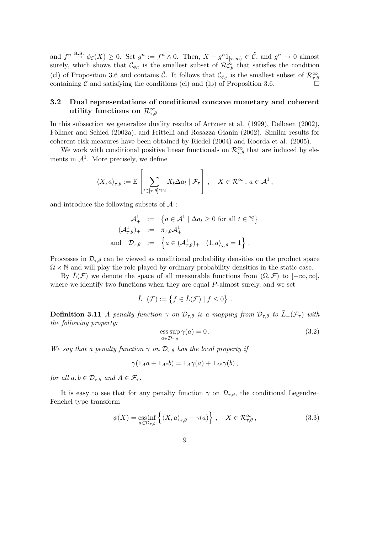and  $f^n \stackrel{\partial. S.}{\to} \phi_{\mathcal{C}}(X) \geq 0$ . Set  $g^n := f^n \wedge 0$ . Then,  $X - g^{n}1_{[\tau,\infty)} \in \tilde{\mathcal{C}}$ , and  $g^n \to 0$  almost surely, which shows that  $\mathcal{C}_{\phi_{\mathcal{C}}}$  is the smallest subset of  $\mathcal{R}_{\tau,\theta}^{\infty}$  that satisfies the condition (cl) of Proposition 3.6 and contains  $\tilde{C}$ . It follows that  $\mathcal{C}_{\phi_{\mathcal{C}}}$  is the smallest subset of  $\mathcal{R}_{\tau,\theta}^{\infty}$ containing  $\mathcal C$  and satisfying the conditions (cl) and (lp) of Proposition 3.6.

# 3.2 Dual representations of conditional concave monetary and coherent utility functions on  $\mathcal{R}_{\tau,\theta}^{\infty}$

In this subsection we generalize duality results of Artzner et al. (1999), Delbaen (2002), Föllmer and Schied (2002a), and Frittelli and Rosazza Gianin (2002). Similar results for coherent risk measures have been obtained by Riedel (2004) and Roorda et al. (2005).

We work with conditional positive linear functionals on  $\mathcal{R}_{\tau,\theta}^{\infty}$  that are induced by elements in  $\mathcal{A}^1$ . More precisely, we define

$$
\langle X, a \rangle_{\tau, \theta} := \mathbf{E} \left[ \sum_{t \in [\tau, \theta] \cap \mathbb{N}} X_t \Delta a_t \mid \mathcal{F}_{\tau} \right], \quad X \in \mathcal{R}^{\infty}, a \in \mathcal{A}^1,
$$

and introduce the following subsets of  $\mathcal{A}^1$ :

$$
\mathcal{A}^1_+ := \{ a \in \mathcal{A}^1 \mid \Delta a_t \ge 0 \text{ for all } t \in \mathbb{N} \}
$$
  

$$
(\mathcal{A}^1_{\tau,\theta})_+ := \pi_{\tau,\theta} \mathcal{A}^1_+
$$
  
and  $\mathcal{D}_{\tau,\theta} := \{ a \in (\mathcal{A}^1_{\tau,\theta})_+ \mid \langle 1, a \rangle_{\tau,\theta} = 1 \}.$ 

Processes in  $\mathcal{D}_{\tau,\theta}$  can be viewed as conditional probability densities on the product space  $\Omega \times \mathbb{N}$  and will play the role played by ordinary probability densities in the static case.

By  $\bar{L}(\mathcal{F})$  we denote the space of all measurable functions from  $(\Omega, \mathcal{F})$  to  $[-\infty, \infty]$ , where we identify two functions when they are equal  $P$ -almost surely, and we set

$$
\bar{L}_{-}(\mathcal{F}) := \{ f \in \bar{L}(\mathcal{F}) \mid f \leq 0 \} .
$$

**Definition 3.11** A penalty function  $\gamma$  on  $\mathcal{D}_{\tau,\theta}$  is a mapping from  $\mathcal{D}_{\tau,\theta}$  to  $\bar{L}_-(\mathcal{F}_{\tau})$  with the following property:

$$
\underset{a \in \mathcal{D}_{\tau,\theta}}{\text{ess sup}} \gamma(a) = 0. \tag{3.2}
$$

We say that a penalty function  $\gamma$  on  $\mathcal{D}_{\tau,\theta}$  has the local property if

$$
\gamma(1_A a + 1_{A^c} b) = 1_A \gamma(a) + 1_{A^c} \gamma(b) ,
$$

for all  $a, b \in \mathcal{D}_{\tau,\theta}$  and  $A \in \mathcal{F}_{\tau}$ .

It is easy to see that for any penalty function  $\gamma$  on  $\mathcal{D}_{\tau,\theta}$ , the conditional Legendre– Fenchel type transform

$$
\phi(X) = \underset{a \in \mathcal{D}_{\tau,\theta}}{\text{ess inf}} \left\{ \langle X, a \rangle_{\tau,\theta} - \gamma(a) \right\}, \quad X \in \mathcal{R}_{\tau,\theta}^{\infty}, \tag{3.3}
$$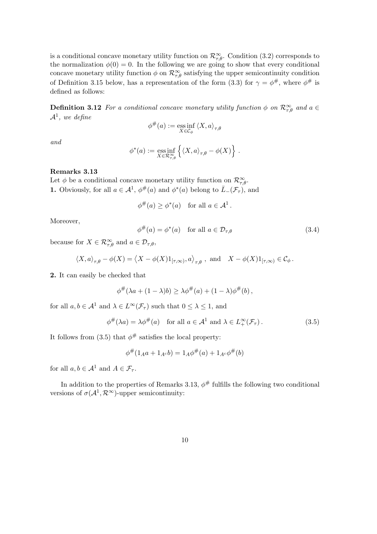is a conditional concave monetary utility function on  $\mathcal{R}_{\tau,\theta}^{\infty}$ . Condition (3.2) corresponds to the normalization  $\phi(0) = 0$ . In the following we are going to show that every conditional concave monetary utility function  $\phi$  on  $\mathcal{R}^{\infty}_{\tau,\theta}$  satisfying the upper semicontinuity condition of Definition 3.15 below, has a representation of the form (3.3) for  $\gamma = \phi^{\#}$ , where  $\phi^{\#}$  is defined as follows:

**Definition 3.12** For a conditional concave monetary utility function  $\phi$  on  $\mathcal{R}^{\infty}_{\tau,\theta}$  and  $a \in$  $\mathcal{A}^1$ , we define

$$
\phi^\#(a):=\mathop{\rm ess\,inf}_{X\in\mathcal{C}_\phi}\left\langle X,a\right\rangle_{\tau,\theta}
$$

and

$$
\phi^*(a) := \underset{X \in \mathcal{R}_{\tau,\theta}^{\infty}}{\text{ess inf}} \left\{ \langle X, a \rangle_{\tau,\theta} - \phi(X) \right\}.
$$

#### Remarks 3.13

Let  $\phi$  be a conditional concave monetary utility function on  $\mathcal{R}_{\tau,\theta}^{\infty}$ . **1.** Obviously, for all  $a \in \mathcal{A}^1$ ,  $\phi^{\#}(a)$  and  $\phi^*(a)$  belong to  $\overline{L}_{-}(\mathcal{F}_{\tau})$ , and

$$
\phi^{\#}(a) \ge \phi^*(a) \quad \text{for all } a \in \mathcal{A}^1.
$$

Moreover,

$$
\phi^{\#}(a) = \phi^*(a) \quad \text{for all } a \in \mathcal{D}_{\tau,\theta} \tag{3.4}
$$

because for  $X \in \mathcal{R}_{\tau,\theta}^{\infty}$  and  $a \in \mathcal{D}_{\tau,\theta}$ ,

$$
\left\langle X, a \right\rangle_{\tau, \theta} - \phi(X) = \left\langle X - \phi(X) 1_{[\tau, \infty)}, a \right\rangle_{\tau, \theta}, \text{ and } X - \phi(X) 1_{[\tau, \infty)} \in \mathcal{C}_{\phi}.
$$

2. It can easily be checked that

$$
\phi^{\#}(\lambda a + (1 - \lambda)b) \geq \lambda \phi^{\#}(a) + (1 - \lambda)\phi^{\#}(b),
$$

for all  $a, b \in \mathcal{A}^1$  and  $\lambda \in L^{\infty}(\mathcal{F}_{\tau})$  such that  $0 \leq \lambda \leq 1$ , and

$$
\phi^{\#}(\lambda a) = \lambda \phi^{\#}(a) \quad \text{for all } a \in \mathcal{A}^1 \text{ and } \lambda \in L^{\infty}_{+}(\mathcal{F}_{\tau}). \tag{3.5}
$$

It follows from (3.5) that  $\phi^{\#}$  satisfies the local property:

$$
\phi^{\#}(1_A a + 1_{A^c} b) = 1_A \phi^{\#}(a) + 1_{A^c} \phi^{\#}(b)
$$

for all  $a, b \in \mathcal{A}^1$  and  $A \in \mathcal{F}_{\tau}$ .

In addition to the properties of Remarks 3.13,  $\phi^{\#}$  fulfills the following two conditional versions of  $\sigma(\mathcal{A}^1, \mathcal{R}^\infty)$ -upper semicontinuity: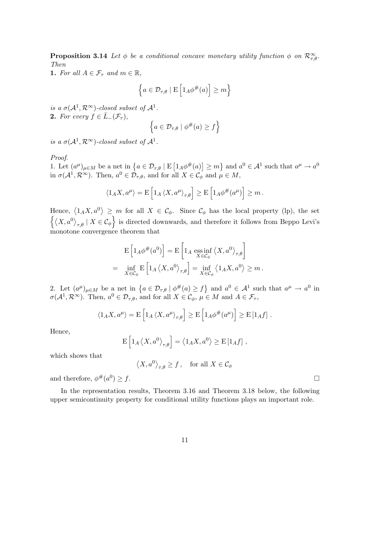**Proposition 3.14** Let  $\phi$  be a conditional concave monetary utility function  $\phi$  on  $\mathcal{R}_{\tau,\theta}^{\infty}$ . Then

1. For all  $A \in \mathcal{F}_{\tau}$  and  $m \in \mathbb{R}$ ,

$$
\left\{ a \in \mathcal{D}_{\tau,\theta} \mid E\left[1_A \phi^{\#}(a)\right] \ge m \right\}
$$

is a  $\sigma(\mathcal{A}^1,\mathcal{R}^\infty)$ -closed subset of  $\mathcal{A}^1$ . 2. For every  $f \in \overline{L}$ <sub>−</sub> $(\mathcal{F}_{\tau})$ ,

$$
\left\{ a \in \mathcal{D}_{\tau,\theta} \mid \phi^{\#}(a) \ge f \right\}
$$

is a  $\sigma(\mathcal{A}^1,\mathcal{R}^\infty)$ -closed subset of  $\mathcal{A}^1$ .

Proof.

*Proof.*<br>1. Let  $(a^{\mu})_{\mu \in M}$  be a net in  $\{a \in \mathcal{D}_{\tau,\theta} \mid \mathcal{E}_{\tau,\theta} \mid \mathcal{E}_{\tau,\theta} \mid \mathcal{E}_{\tau,\theta} \mid \mathcal{E}_{\tau,\theta} \mid \mathcal{E}_{\theta} \mid \mathcal{E}_{\theta} \}$ £  $1_A \phi^{\#}(a)$  $\geq m$ ª and  $a^0 \in \mathcal{A}^1$  such that  $a^{\mu} \to a^0$ in  $\sigma(\mathcal{A}^1,\mathcal{R}^\infty)$ . Then,  $a^0 \in \mathcal{D}_{\tau,\theta}$ , and for all  $X \in \mathcal{C}_\phi$  and  $\mu \in M$ ,

$$
\langle 1_A X, a^{\mu} \rangle = \mathcal{E} \left[ 1_A \langle X, a^{\mu} \rangle_{\tau, \theta} \right] \ge \mathcal{E} \left[ 1_A \phi^{\#}(a^{\mu}) \right] \ge m.
$$

Hence,  $\langle 1_A X, a^0 \rangle$ Hence,  $\langle 1_A X, a^0 \rangle \geq m$  for all  $X \in \mathcal{C}_{\phi}$ . Since  $\mathcal{C}_{\phi}$  has the local property (lp), the set  $\overline{X}, a^0$  $_{\tau,\theta}$  |  $X \in \mathcal{C}_{\phi}$  is directed downwards, and therefore it follows from Beppo Levi's monotone convergence theorem that

$$
\mathcal{E}\left[1_A\phi^{\#}(a^0)\right] = \mathcal{E}\left[1_A \underset{X \in \mathcal{C}_{\phi}}{\mathrm{ess}\inf} \left\langle X, a^0 \right\rangle_{\tau,\theta}\right]
$$
  
= 
$$
\inf_{X \in \mathcal{C}_{\phi}} \mathcal{E}\left[1_A \left\langle X, a^0 \right\rangle_{\tau,\theta}\right] = \inf_{X \in \mathcal{C}_{\phi}} \left\langle 1_A X, a^0 \right\rangle \geq m.
$$

2. Let  $(a^{\mu})_{\mu \in M}$  be a net in  $\{a \in \mathcal{D}_{\tau,\theta} \mid \phi^{\#}(a) \geq f\}$ and  $a^0 \in \mathcal{A}^1$  such that  $a^{\mu} \to a^0$  in  $\sigma(\mathcal{A}^1, \mathcal{R}^{\infty})$ . Then,  $a^0 \in \mathcal{D}_{\tau,\theta}$ , and for all  $X \in \mathcal{C}_{\phi}, \mu \in M$  and  $A \in \mathcal{F}_{\tau}$ ,

$$
\langle 1_A X, a^{\mu} \rangle = \mathcal{E} \left[ 1_A \langle X, a^{\mu} \rangle_{\tau, \theta} \right] \ge \mathcal{E} \left[ 1_A \phi^{\#}(a^{\mu}) \right] \ge \mathcal{E} \left[ 1_A f \right].
$$

Hence,

$$
\mathbf{E}\left[1_A \left\langle X, a^0 \right\rangle_{\tau, \theta}\right] = \left\langle 1_A X, a^0 \right\rangle \ge \mathbf{E}\left[1_A f\right],
$$

which shows that

$$
\langle X, a^0 \rangle_{\tau, \theta} \ge f
$$
, for all  $X \in C_{\phi}$ 

and therefore,  $\phi^{\#}(a^0)$  $)\geq f.$ 

In the representation results, Theorem 3.16 and Theorem 3.18 below, the following upper semicontinuity property for conditional utility functions plays an important role.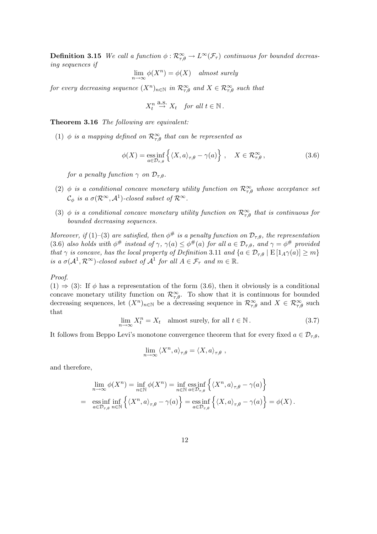**Definition 3.15** We call a function  $\phi: \mathcal{R}^{\infty}_{\tau,\theta} \to L^{\infty}(\mathcal{F}_{\tau})$  continuous for bounded decreasing sequences if

$$
\lim_{n \to \infty} \phi(X^n) = \phi(X) \quad almost \ surely
$$

for every decreasing sequence  $(X^n)_{n\in\mathbb{N}}$  in  $\mathcal{R}^{\infty}_{\tau,\theta}$  and  $X\in\mathcal{R}^{\infty}_{\tau,\theta}$  such that

$$
X_t^n \stackrel{\text{a.s.}}{\to} X_t \quad \text{for all } t \in \mathbb{N} \, .
$$

Theorem 3.16 The following are equivalent:

(1)  $\phi$  is a mapping defined on  $\mathcal{R}^{\infty}_{\tau,\theta}$  that can be represented as

$$
\phi(X) = \underset{a \in \mathcal{D}_{\tau,\theta}}{\text{ess inf}} \left\{ \langle X, a \rangle_{\tau,\theta} - \gamma(a) \right\}, \quad X \in \mathcal{R}_{\tau,\theta}^{\infty}, \tag{3.6}
$$

for a penalty function  $\gamma$  on  $\mathcal{D}_{\tau,\theta}$ .

- (2)  $\phi$  is a conditional concave monetary utility function on  $\mathcal{R}^{\infty}_{\tau,\theta}$  whose acceptance set  $\mathcal{C}_{\phi}$  is a  $\sigma(\mathcal{R}^{\infty}, \mathcal{A}^{1})$ -closed subset of  $\mathcal{R}^{\infty}$ .
- (3)  $\phi$  is a conditional concave monetary utility function on  $\mathcal{R}_{\tau,\theta}^{\infty}$  that is continuous for bounded decreasing sequences.

Moreover, if (1)–(3) are satisfied, then  $\phi^{\#}$  is a penalty function on  $\mathcal{D}_{\tau,\theta}$ , the representation (3.6) also holds with  $\phi^{\#}$  instead of  $\gamma$ ,  $\gamma(a) \leq \phi^{\#}(a)$  for all  $a \in \mathcal{D}_{\tau,\theta}$ , and  $\gamma = \phi^{\#}$  provided that  $\gamma$  is concave, has the local property of Definition 3.11 and  $\{a \in \mathcal{D}_{\tau,\theta} \mid E \left[1_A \gamma(a)\right] \geq m\}$ is a  $\sigma(\mathcal{A}^1, \mathcal{R}^{\infty})$ -closed subset of  $\mathcal{A}^1$  for all  $A \in \mathcal{F}_{\tau}$  and  $m \in \mathbb{R}$ .

Proof.

 $(1) \Rightarrow (3)$ : If  $\phi$  has a representation of the form  $(3.6)$ , then it obviously is a conditional concave monetary utility function on  $\mathcal{R}_{\tau,\theta}^{\infty}$ . To show that it is continuous for bounded decreasing sequences, let  $(X^n)_{n\in\mathbb{N}}$  be a decreasing sequence in  $\mathcal{R}^{\infty}_{\tau,\theta}$  and  $X \in \mathcal{R}^{\infty}_{\tau,\theta}$  such that

$$
\lim_{n \to \infty} X_t^n = X_t \quad \text{almost surely, for all } t \in \mathbb{N} \,. \tag{3.7}
$$

It follows from Beppo Levi's monotone convergence theorem that for every fixed  $a \in \mathcal{D}_{\tau,\theta}$ ,

$$
\lim_{n \to \infty} \langle X^n, a \rangle_{\tau, \theta} = \langle X, a \rangle_{\tau, \theta} ,
$$

and therefore,

$$
\lim_{n \to \infty} \phi(X^n) = \inf_{n \in \mathbb{N}} \phi(X^n) = \inf_{n \in \mathbb{N}} \operatorname*{ess\,inf}_{a \in \mathcal{D}_{\tau,\theta}} \left\{ \langle X^n, a \rangle_{\tau,\theta} - \gamma(a) \right\}
$$
\n
$$
= \operatorname*{ess\,inf}_{a \in \mathcal{D}_{\tau,\theta}} \inf_{n \in \mathbb{N}} \left\{ \langle X^n, a \rangle_{\tau,\theta} - \gamma(a) \right\} = \operatorname*{ess\,inf}_{a \in \mathcal{D}_{\tau,\theta}} \left\{ \langle X, a \rangle_{\tau,\theta} - \gamma(a) \right\} = \phi(X) \, .
$$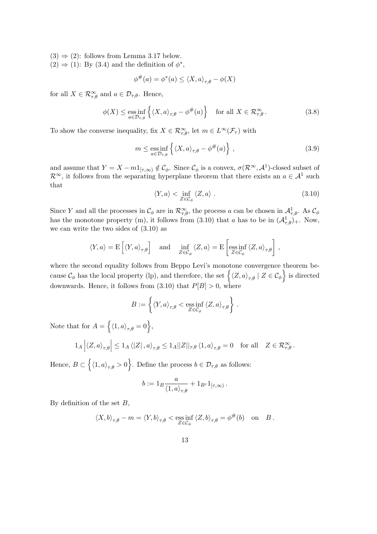- $(3) \Rightarrow (2)$ : follows from Lemma 3.17 below.
- $(2) \Rightarrow (1)$ : By  $(3.4)$  and the definition of  $\phi^*$ ,

$$
\phi^{\#}(a) = \phi^*(a) \le \langle X, a \rangle_{\tau, \theta} - \phi(X)
$$

for all  $X \in \mathcal{R}_{\tau,\theta}^{\infty}$  and  $a \in \mathcal{D}_{\tau,\theta}$ . Hence,

$$
\phi(X) \le \underset{a \in \mathcal{D}_{\tau,\theta}}{\text{ess inf}} \left\{ \langle X, a \rangle_{\tau,\theta} - \phi^{\#}(a) \right\} \quad \text{for all } X \in \mathcal{R}_{\tau,\theta}^{\infty} \,. \tag{3.8}
$$

To show the converse inequality, fix  $X \in \mathcal{R}_{\tau,\theta}^{\infty}$ , let  $m \in L^{\infty}(\mathcal{F}_{\tau})$  with

$$
m \le \underset{a \in \mathcal{D}_{\tau,\theta}}{\text{ess inf}} \left\{ \langle X, a \rangle_{\tau,\theta} - \phi^{\#}(a) \right\},\tag{3.9}
$$

and assume that  $Y = X - m \mathbb{1}_{[\tau,\infty)} \notin \mathcal{C}_{\phi}$ . Since  $\mathcal{C}_{\phi}$  is a convex,  $\sigma(\mathcal{R}^{\infty}, \mathcal{A}^{1})$ -closed subset of  $\mathcal{R}^{\infty}$ , it follows from the separating hyperplane theorem that there exists an  $a \in \mathcal{A}^1$  such that

$$
\langle Y, a \rangle < \inf_{Z \in \mathcal{C}_{\phi}} \langle Z, a \rangle \tag{3.10}
$$

Since Y and all the processes in  $\mathcal{C}_{\phi}$  are in  $\mathcal{R}_{\tau,\theta}^{\infty}$ , the process a can be chosen in  $\mathcal{A}_{\tau,\theta}^1$ . As  $\mathcal{C}_{\phi}$ has the monotone property (m), it follows from (3.10) that a has to be in  $(\mathcal{A}_{\tau,\theta})_+$ . Now, we can write the two sides of (3.10) as

$$
\langle Y, a \rangle = \mathcal{E}\left[ \langle Y, a \rangle_{\tau, \theta} \right] \quad \text{and} \quad \inf_{Z \in \mathcal{C}_{\phi}} \langle Z, a \rangle = \mathcal{E}\left[ \underset{Z \in \mathcal{C}_{\phi}}{\mathrm{ess\,inf}} \langle Z, a \rangle_{\tau, \theta} \right],
$$

where the second equality follows from Beppo Levi's monotone convergence theorem bewhere the second equality follows from Beppo Levi's monotone convergence theorem because  $\mathcal{C}_{\phi}$  has the local property (lp), and therefore, the set  $\{ \langle Z, a \rangle_{\tau,\theta} | Z \in \mathcal{C}_{\phi} \}$  is directed downwards. Hence, it follows from  $(3.10)$  that  $P[B] > 0$ , where

$$
B := \left\{ \langle Y, a \rangle_{\tau, \theta} < \underset{Z \in \mathcal{C}_{\phi}}{\mathrm{ess} \inf} \langle Z, a \rangle_{\tau, \theta} \right\}.
$$

Note that for  $A =$ n  $\langle 1, a \rangle_{\tau, \theta} = 0$ ,  $\overline{a}$  $\overline{a}$ 

$$
1_A \left| \left\langle Z, a \right\rangle_{\tau, \theta} \right| \leq 1_A \left\langle |Z| \right|, a \right\rangle_{\tau, \theta} \leq 1_A ||Z||_{\tau, \theta} \left\langle 1, a \right\rangle_{\tau, \theta} = 0 \text{ for all } Z \in \mathcal{R}_{\tau, \theta}^{\infty}.
$$

Hence,  $B \subset$  $\langle 1, a \rangle_{\tau, \theta} > 0$ . Define the process  $b \in \mathcal{D}_{\tau,\theta}$  as follows:

$$
b:=1_B\frac{a}{\langle 1,a\rangle_{\tau,\theta}}+1_{B^c}1_{[\tau,\infty)}\,.
$$

By definition of the set  $B$ ,

$$
\langle X, b \rangle_{\tau, \theta} - m = \langle Y, b \rangle_{\tau, \theta} < \operatorname{ess\,inf}_{Z \in \mathcal{C}_{\phi}} \langle Z, b \rangle_{\tau, \theta} = \phi^{\#}(b) \quad \text{on} \quad B \, .
$$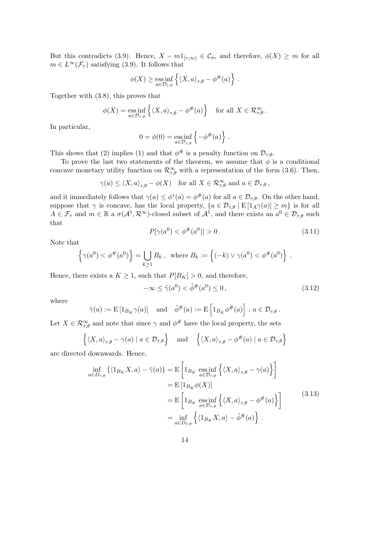But this contradicts (3.9). Hence,  $X - m1_{[\tau,\infty)} \in \mathcal{C}_{\phi}$ , and therefore,  $\phi(X) \geq m$  for all  $m \in L^{\infty}(\mathcal{F}_{\tau})$  satisfying (3.9). It follows that

$$
\phi(X) \ge \underset{a \in \mathcal{D}_{\tau,\theta}}{\mathrm{ess\,inf}} \left\{ \langle X, a \rangle_{\tau,\theta} - \phi^{\#}(a) \right\} \, .
$$

Together with (3.8), this proves that

$$
\phi(X) = \underset{a \in \mathcal{D}_{\tau,\theta}}{\mathrm{ess\,inf}} \left\{ \langle X, a \rangle_{\tau,\theta} - \phi^{\#}(a) \right\} \quad \text{for all } X \in \mathcal{R}_{\tau,\theta}^{\infty}.
$$

In particular,

$$
0 = \phi(0) = \underset{a \in \mathcal{D}_{\tau,\theta}}{\text{ess inf}} \left\{-\phi^{\#}(a)\right\}.
$$

This shows that (2) implies (1) and that  $\phi^{\#}$  is a penalty function on  $\mathcal{D}_{\tau,\theta}$ .

To prove the last two statements of the theorem, we assume that  $\phi$  is a conditional concave monetary utility function on  $\mathcal{R}^{\infty}_{\tau,\theta}$  with a representation of the form (3.6). Then,

$$
\gamma(a) \le \langle X, a \rangle_{\tau, \theta} - \phi(X) \quad \text{for all } X \in \mathcal{R}_{\tau, \theta}^{\infty} \text{ and } a \in \mathcal{D}_{\tau, \theta},
$$

and it immediately follows that  $\gamma(a) \leq \phi^*(a) = \phi^{\#}(a)$  for all  $a \in \mathcal{D}_{\tau,\theta}$ . On the other hand, suppose that  $\gamma$  is concave, has the local property,  $\{a \in \mathcal{D}_{\tau,\theta} \mid E[I_A\gamma(a)] \geq m\}$  is for all  $A \in \mathcal{F}_{\tau}$  and  $m \in \mathbb{R}$  a  $\sigma(\mathcal{A}^1, \mathcal{R}^{\infty})$ -closed subset of  $\mathcal{A}^1$ , and there exists an  $a^0 \in \mathcal{D}_{\tau,\theta}$  such that

$$
P[\gamma(a^0) < \phi^\#(a^0)] > 0. \tag{3.11}
$$

Note that

$$
\left\{ \gamma(a^0) < \phi^{\#}(a^0) \right\} = \bigcup_{k \ge 1} B_k \,, \text{ where } B_k := \left\{ (-k) \vee \gamma(a^0) < \phi^{\#}(a^0) \right\} \,.
$$

Hence, there exists a  $K \geq 1$ , such that  $P[B_K] > 0$ , and therefore,

$$
-\infty \le \tilde{\gamma}(a^0) < \tilde{\phi}^\#(a^0) \le 0 \,, \tag{3.12}
$$

where

$$
\tilde{\gamma}(a) := \mathcal{E}\left[1_{B_K}\gamma(a)\right]
$$
 and  $\tilde{\phi}^{\#}(a) := \mathcal{E}\left[1_{B_K}\phi^{\#}(a)\right]$ ,  $a \in \mathcal{D}_{\tau,\theta}$ .

Let  $X \in \mathcal{R}_{\tau,\theta}^{\infty}$  and note that since  $\gamma$  and  $\phi^{\#}$  have the local property, the sets

$$
\left\{ \langle X, a \rangle_{\tau, \theta} - \gamma(a) \mid a \in \mathcal{D}_{\tau, \theta} \right\} \quad \text{and} \quad \left\{ \langle X, a \rangle_{\tau, \theta} - \phi^{\#}(a) \mid a \in \mathcal{D}_{\tau, \theta} \right\}
$$

are directed downwards. Hence,

$$
\inf_{a \in D_{\tau,\theta}} \left\{ \langle 1_{B_K} X, a \rangle - \tilde{\gamma}(a) \right\} = \mathcal{E} \left[ 1_{B_K} \operatorname*{ess\,inf}_{a \in \mathcal{D}_{\tau,\theta}} \left\{ \langle X, a \rangle_{\tau,\theta} - \gamma(a) \right\} \right]
$$
\n
$$
= \mathcal{E} \left[ 1_{B_K} \phi(X) \right]
$$
\n
$$
= \mathcal{E} \left[ 1_{B_K} \operatorname*{ess\,inf}_{a \in \mathcal{D}_{\tau,\theta}} \left\{ \langle X, a \rangle_{\tau,\theta} - \phi^{\#}(a) \right\} \right]
$$
\n
$$
= \inf_{a \in D_{\tau,\theta}} \left\{ \langle 1_{B_K} X, a \rangle - \tilde{\phi}^{\#}(a) \right\} .
$$
\n(3.13)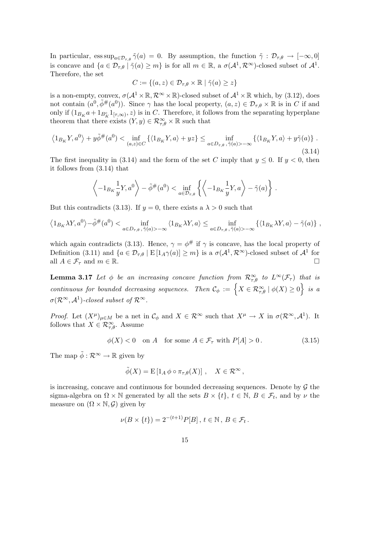In particular,  $\text{ess sup}_{a \in \mathcal{D}_{\tau,\theta}} \tilde{\gamma}(a) = 0$ . By assumption, the function  $\tilde{\gamma}: \mathcal{D}_{\tau,\theta} \to [-\infty,0]$ is concave and  $\{a \in \mathcal{D}_{\tau,\theta} \mid \tilde{\gamma}(a) \geq m\}$  is for all  $m \in \mathbb{R}$ , a  $\sigma(\mathcal{A}^1, \mathcal{R}^{\infty})$ -closed subset of  $\mathcal{A}^1$ . Therefore, the set

$$
C := \{(a, z) \in \mathcal{D}_{\tau, \theta} \times \mathbb{R} \mid \tilde{\gamma}(a) \geq z\}
$$

is a non-empty, convex,  $\sigma(A^1 \times \mathbb{R}, \mathcal{R}^{\infty} \times \mathbb{R})$ -closed subset of  $\mathcal{A}^1 \times \mathbb{R}$  which, by (3.12), does not contain  $(a^0, \tilde{\phi}^{\#}(a^0))$ . Since  $\gamma$  has the local property,  $(a, z) \in \mathcal{D}_{\tau,\theta} \times \mathbb{R}$  is in C if and only if  $(1_{B_K}a + 1_{B_K^c}1_{[\tau,\infty)}, z)$  is in C. Therefore, it follows from the separating hyperplane theorem that there exists  $(Y, y) \in \mathcal{R}^{\infty}_{\tau,\theta} \times \mathbb{R}$  such that

$$
\left\langle 1_{B_K} Y, a^0 \right\rangle + y \tilde{\phi}^{\#}(a^0) < \inf_{(a,z)\in C} \left\{ \left\langle 1_{B_K} Y, a \right\rangle + yz \right\} \leq \inf_{a\in D_{\tau,\theta}, \tilde{\gamma}(a) > -\infty} \left\{ \left\langle 1_{B_K} Y, a \right\rangle + y \tilde{\gamma}(a) \right\} \tag{3.14}
$$

The first inequality in (3.14) and the form of the set C imply that  $y \le 0$ . If  $y \le 0$ , then it follows from (3.14) that

$$
\left\langle -1_{B_K} \frac{1}{y} Y, a^0 \right\rangle - \tilde{\phi}^{\#}(a^0) < \inf_{a \in \mathcal{D}_{\tau,\theta}} \left\{ \left\langle -1_{B_K} \frac{1}{y} Y, a \right\rangle - \tilde{\gamma}(a) \right\}.
$$

But this contradicts (3.13). If  $y = 0$ , there exists a  $\lambda > 0$  such that

$$
\left\langle 1_{B_K} \lambda Y, a^0 \right\rangle - \tilde{\phi}^{\#}(a^0) < \inf_{a \in D_{\tau,\theta}, \tilde{\gamma}(a) > -\infty} \left\langle 1_{B_K} \lambda Y, a \right\rangle \leq \inf_{a \in D_{\tau,\theta}, \tilde{\gamma}(a) > -\infty} \left\{ \left\langle 1_{B_K} \lambda Y, a \right\rangle - \tilde{\gamma}(a) \right\} \, ,
$$

which again contradicts (3.13). Hence,  $\gamma = \phi^{\#}$  if  $\gamma$  is concave, has the local property of Definition (3.11) and  $\{a \in \mathcal{D}_{\tau,\theta} \mid E\left[1_A\gamma(a)\right] \geq m\}$  is a  $\sigma(\mathcal{A}^1,\mathcal{R}^{\infty})$ -closed subset of  $\mathcal{A}^1$  for all  $A \in \mathcal{F}_{\tau}$  and  $m \in \mathbb{R}$ .

**Lemma 3.17** Let  $\phi$  be an increasing concave function from  $\mathcal{R}_{\tau,\theta}^{\infty}$  to  $L^{\infty}(\mathcal{F}_{\tau})$  that is **Continuous for bounded decreasing sequences.** Then  $C_{\phi} := \{ X \in \mathcal{R}_{\tau,\theta}^{\infty} \mid \phi(X) \ge 0 \}$  is a  $\sigma(\mathcal{R}^{\infty}, \mathcal{A}^{1})$ -closed subset of  $\mathcal{R}^{\infty}$ .

*Proof.* Let  $(X^{\mu})_{\mu \in M}$  be a net in  $\mathcal{C}_{\phi}$  and  $X \in \mathcal{R}^{\infty}$  such that  $X^{\mu} \to X$  in  $\sigma(\mathcal{R}^{\infty}, \mathcal{A}^{1})$ . It follows that  $X \in \mathcal{R}^{\infty}_{\tau,\theta}$ . Assume

$$
\phi(X) < 0 \quad \text{on } A \quad \text{for some } A \in \mathcal{F}_\tau \text{ with } P[A] > 0. \tag{3.15}
$$

The map  $\tilde{\phi} : \mathcal{R}^{\infty} \to \mathbb{R}$  given by

$$
\tilde{\phi}(X) = \mathcal{E}\left[1_A \phi \circ \pi_{\tau,\theta}(X)\right], \quad X \in \mathcal{R}^{\infty},
$$

is increasing, concave and continuous for bounded decreasing sequences. Denote by  $\mathcal G$  the sigma-algebra on  $\Omega \times \mathbb{N}$  generated by all the sets  $B \times \{t\}$ ,  $t \in \mathbb{N}$ ,  $B \in \mathcal{F}_t$ , and by  $\nu$  the measure on  $(\Omega \times \mathbb{N}, \mathcal{G})$  given by

$$
\nu(B \times \{t\}) = 2^{-(t+1)}P[B], t \in \mathbb{N}, B \in \mathcal{F}_t.
$$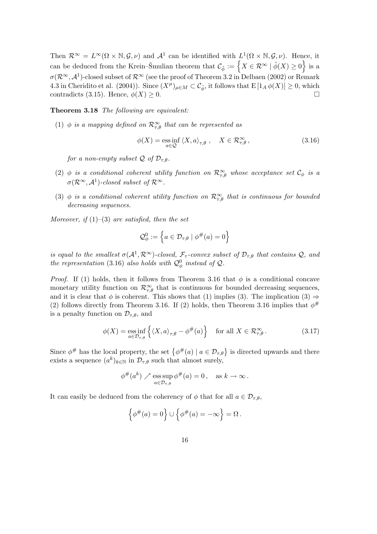Then  $\mathcal{R}^{\infty} = L^{\infty}(\Omega \times \mathbb{N}, \mathcal{G}, \nu)$  and  $\mathcal{A}^{1}$  can be identified with  $L^{1}(\Omega \times \mathbb{N}, \mathcal{G}, \nu)$ . Hence, it Then  $\mathcal{R}^{\infty} = L^{\infty}(Y \times \mathbb{N}, \mathcal{G}, \nu)$  and  $\mathcal{A}^*$  can be identified with  $L^2(Y \times \mathbb{N}, \mathcal{G}, \nu)$ . Hence, it can be deduced from the Krein–Šmulian theorem that  $\mathcal{C}_{\phi} := \{ X \in \mathcal{R}^{\infty} \mid \tilde{\phi}(X) \geq 0 \}$  is a  $\sigma(\mathcal{R}^{\infty}, \mathcal{A}^1)$ -closed subset of  $\mathcal{R}^{\infty}$  (see the proof of Theorem 3.2 in Delbaen (2002) or Remark 4.3 in Cheridito et al. (2004)). Since  $(X^{\mu})_{\mu \in M} \subset C_{\tilde{\phi}}$ , it follows that  $E[I_A \phi(X)] \geq 0$ , which contradicts (3.15). Hence,  $\phi(X) \geq 0$ .

Theorem 3.18 The following are equivalent:

(1)  $\phi$  is a mapping defined on  $\mathcal{R}^{\infty}_{\tau,\theta}$  that can be represented as

$$
\phi(X) = \underset{a \in \mathcal{Q}}{\text{ess inf}} \left\langle X, a \right\rangle_{\tau, \theta}, \quad X \in \mathcal{R}_{\tau, \theta}^{\infty}, \tag{3.16}
$$

for a non-empty subset  $\mathcal Q$  of  $\mathcal D_{\tau,\theta}$ .

- (2)  $\phi$  is a conditional coherent utility function on  $\mathcal{R}^{\infty}_{\tau,\theta}$  whose acceptance set  $\mathcal{C}_{\phi}$  is a  $\sigma(\mathcal{R}^{\infty}, \mathcal{A}^{1})$ -closed subset of  $\mathcal{R}^{\infty}$ .
- (3)  $\phi$  is a conditional coherent utility function on  $\mathcal{R}_{\tau,\theta}^{\infty}$  that is continuous for bounded decreasing sequences.

Moreover, if  $(1)$ – $(3)$  are satisfied, then the set

$$
\mathcal{Q}_{\phi}^{0} := \left\{ a \in \mathcal{D}_{\tau,\theta} \mid \phi^{\#}(a) = 0 \right\}
$$

is equal to the smallest  $\sigma(A^1, R^\infty)$ -closed,  $\mathcal{F}_{\tau}$ -convex subset of  $\mathcal{D}_{\tau,\theta}$  that contains  $\mathcal{Q}$ , and the representation (3.16) also holds with  $\mathcal{Q}_{\phi}^{0}$  instead of  $\mathcal{Q}_{\phi}$ .

*Proof.* If (1) holds, then it follows from Theorem 3.16 that  $\phi$  is a conditional concave monetary utility function on  $\mathcal{R}_{\tau,\theta}^{\infty}$  that is continuous for bounded decreasing sequences, and it is clear that  $\phi$  is coherent. This shows that (1) implies (3). The implication (3)  $\Rightarrow$ (2) follows directly from Theorem 3.16. If (2) holds, then Theorem 3.16 implies that  $\phi^{\#}$ is a penalty function on  $\mathcal{D}_{\tau,\theta}$ , and

$$
\phi(X) = \underset{a \in \mathcal{D}_{\tau,\theta}}{\text{ess inf}} \left\{ \langle X, a \rangle_{\tau,\theta} - \phi^{\#}(a) \right\} \quad \text{for all } X \in \mathcal{R}_{\tau,\theta}^{\infty} \,. \tag{3.17}
$$

Since  $\phi^{\#}$  has the local property, the set  $\{\phi^{\#}(a) \mid a \in \mathcal{D}_{\tau,\theta}\}\$  is directed upwards and there exists a sequence  $(a^k)_{k \in \mathbb{N}}$  in  $\mathcal{D}_{\tau,\theta}$  such that almost surely,

$$
\phi^{\#}(a^k) \nearrow \operatorname*{ess\,sup}_{a \in \mathcal{D}_{\tau,\theta}} \phi^{\#}(a) = 0, \quad \text{as } k \to \infty \, .
$$

It can easily be deduced from the coherency of  $\phi$  that for all  $a \in \mathcal{D}_{\tau,\theta}$ ,

$$
\left\{\phi^{\#}(a)=0\right\}\cup\left\{\phi^{\#}(a)=-\infty\right\}=\Omega.
$$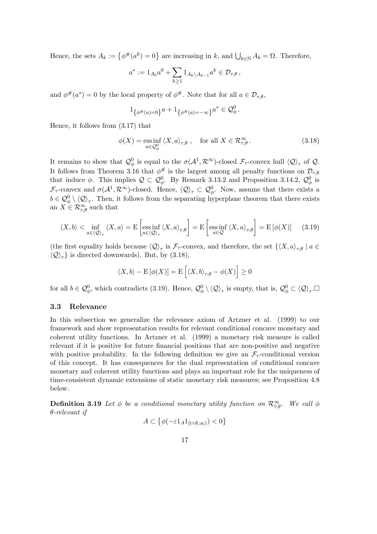Hence, the sets  $A_k := \{ \phi^{\#}(a^k) = 0 \}$  are increasing in k, and  $\bigcup_{k \in \mathbb{N}} A_k = \Omega$ . Therefore,

$$
a^*:=1_{A_0}a^0+\sum_{k\geq 1}1_{A_k\backslash A_{k-1}}a^k\in\mathcal{D}_{\tau,\theta}\,,
$$

and  $\phi^{\#}(a^*)=0$  by the local property of  $\phi^{\#}$ . Note that for all  $a \in \mathcal{D}_{\tau,\theta}$ ,

$$
1_{\{\phi^{\#}(a)=0\}}a+1_{\{\phi^{\#}(a)=-\infty\}}a^* \in \mathcal{Q}_{\phi}^0.
$$

Hence, it follows from (3.17) that

$$
\phi(X) = \underset{a \in \mathcal{Q}_{\phi}^{0}}{\text{ess inf}} \left\langle X, a \right\rangle_{\tau, \theta}, \quad \text{for all } X \in \mathcal{R}_{\tau, \theta}^{\infty}.
$$
 (3.18)

It remains to show that  $\mathcal{Q}_{\phi}^0$  is equal to the  $\sigma(\mathcal{A}^1,\mathcal{R}^{\infty})$ -closed  $\mathcal{F}_{\tau}$ -convex hull  $\langle \mathcal{Q} \rangle_{\tau}$  of  $\mathcal{Q}$ . It follows from Theorem 3.16 that  $\phi^{\#}$  is the largest among all penalty functions on  $\mathcal{D}_{\tau,\theta}$ that induce  $\phi$ . This implies  $\mathcal{Q} \subset \mathcal{Q}_{\phi}^0$ . By Remark 3.13.2 and Proposition 3.14.2,  $\mathcal{Q}_{\phi}^0$  is  $\mathcal{F}_{\tau}$ -convex and  $\sigma(\mathcal{A}^1,\mathcal{R}^{\infty})$ -closed. Hence,  $\langle \mathcal{Q} \rangle_{\tau} \subset \mathcal{Q}_{\phi}^0$ . Now, assume that there exists a  $b \in \mathcal{Q}_{\phi}^0 \setminus \langle \mathcal{Q} \rangle_{\tau}$ . Then, it follows from the separating hyperplane theorem that there exists an  $X \in \mathcal{R}_{\tau,\theta}^{\infty}$  such that

$$
\langle X, b \rangle < \inf_{a \in \langle \mathcal{Q} \rangle_{\tau}} \langle X, a \rangle = \mathcal{E} \left[ \operatorname{ess\,inf}_{a \in \langle \mathcal{Q} \rangle_{\tau}} \langle X, a \rangle_{\tau, \theta} \right] = \mathcal{E} \left[ \operatorname{ess\,inf}_{a \in \mathcal{Q}} \langle X, a \rangle_{\tau, \theta} \right] = \mathcal{E} \left[ \phi(X) \right] \tag{3.19}
$$

(the first equality holds because  $\langle \mathcal{Q} \rangle_{\tau}$  is  $\mathcal{F}_{\tau}$ -convex, and therefore, the set  $\{ \langle X, a \rangle_{\tau, \theta} \mid a \in$  $\langle \mathcal{Q} \rangle_{\tau}$  is directed downwards). But, by (3.18),

$$
\langle X, b \rangle - \mathcal{E} \left[ \phi(X) \right] = \mathcal{E} \left[ \langle X, b \rangle_{\tau, \theta} - \phi(X) \right] \ge 0
$$

for all  $b \in \mathcal{Q}_{\phi}^0$ , which contradicts (3.19). Hence,  $\mathcal{Q}_{\phi}^0 \setminus \langle \mathcal{Q} \rangle_{\tau}$  is empty, that is,  $\mathcal{Q}_{\phi}^0 \subset \langle \mathcal{Q} \rangle_{\tau}$ .

### 3.3 Relevance

In this subsection we generalize the relevance axiom of Artzner et al. (1999) to our framework and show representation results for relevant conditional concave monetary and coherent utility functions. In Artzner et al. (1999) a monetary risk measure is called relevant if it is positive for future financial positions that are non-positive and negative with positive probability. In the following definition we give an  $\mathcal{F}_{\tau}$ -conditional version of this concept. It has consequences for the dual representation of conditional concave monetary and coherent utility functions and plays an important role for the uniqueness of time-consistent dynamic extensions of static monetary risk measures; see Proposition 4.8 below.

**Definition 3.19** Let  $\phi$  be a conditional monetary utility function on  $\mathcal{R}^{\infty}_{\tau,\theta}$ . We call  $\phi$ θ-relevant if © ª

$$
A \subset \left\{ \phi(-\varepsilon 1_A 1_{[t \wedge \theta,\infty)}) < 0 \right\}
$$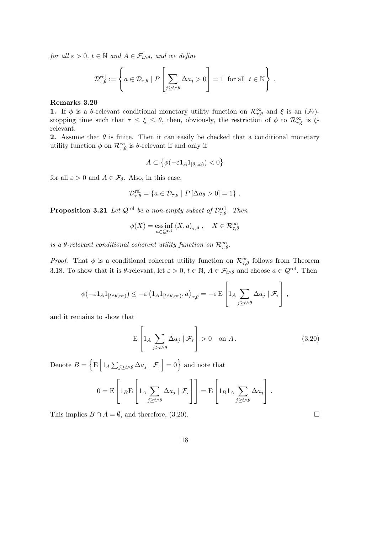for all  $\varepsilon > 0$ ,  $t \in \mathbb{N}$  and  $A \in \mathcal{F}_{t \wedge \theta}$ , and we define

$$
\mathcal{D}_{\tau,\theta}^{\text{rel}} := \left\{ a \in \mathcal{D}_{\tau,\theta} \mid P\left[\sum_{j \ge t \wedge \theta} \Delta a_j > 0\right] = 1 \text{ for all } t \in \mathbb{N} \right\}.
$$

#### Remarks 3.20

**1.** If  $\phi$  is a  $\theta$ -relevant conditional monetary utility function on  $\mathcal{R}^{\infty}_{\tau,\theta}$  and  $\xi$  is an  $(\mathcal{F}_t)$ stopping time such that  $\tau \leq \xi \leq \theta$ , then, obviously, the restriction of  $\phi$  to  $\mathcal{R}^{\infty}_{\tau,\xi}$  is  $\xi$ relevant.

**2.** Assume that  $\theta$  is finite. Then it can easily be checked that a conditional monetary utility function  $\phi$  on  $\mathcal{R}^{\infty}_{\tau,\theta}$  is  $\theta$ -relevant if and only if

$$
A \subset \left\{ \phi(-\varepsilon 1_A 1_{[\theta,\infty)}) < 0 \right\}
$$

for all  $\varepsilon > 0$  and  $A \in \mathcal{F}_{\theta}$ . Also, in this case,

$$
\mathcal{D}_{\tau,\theta}^{\text{rel}} = \{ a \in \mathcal{D}_{\tau,\theta} \mid P \left[ \Delta a_{\theta} > 0 \right] = 1 \} .
$$

**Proposition 3.21** Let  $\mathcal{Q}^{\text{rel}}$  be a non-empty subset of  $\mathcal{D}^{\text{rel}}_{\tau,\theta}$ . Then

$$
\phi(X) = \underset{a \in \mathcal{Q}^{\text{rel}}}{\text{ess inf}} \left\langle X, a \right\rangle_{\tau, \theta}, \quad X \in \mathcal{R}_{\tau, \theta}^{\infty}
$$

is a  $\theta$ -relevant conditional coherent utility function on  $\mathcal{R}_{\tau,\theta}^{\infty}$ .

*Proof.* That  $\phi$  is a conditional coherent utility function on  $\mathcal{R}^{\infty}_{\tau,\theta}$  follows from Theorem 3.18. To show that it is  $\theta$ -relevant, let  $\varepsilon > 0$ ,  $t \in \mathbb{N}$ ,  $A \in \mathcal{F}_{t \wedge \theta}$  and choose  $a \in \mathcal{Q}^{\text{rel}}$ . Then

$$
\phi(-\varepsilon 1_A 1_{[t \wedge \theta, \infty)}) \leq -\varepsilon \left\langle 1_A 1_{[t \wedge \theta, \infty)}, a \right\rangle_{\tau, \theta} = -\varepsilon \mathbf{E} \left[ 1_A \sum_{j \geq t \wedge \theta} \Delta a_j \mid \mathcal{F}_{\tau} \right],
$$

and it remains to show that

$$
E\left[1_A \sum_{j\geq t\wedge\theta} \Delta a_j \mid \mathcal{F}_\tau\right] > 0 \quad \text{on } A. \tag{3.20}
$$

Denote  $B =$ n E h  $1_A$  $\overline{ }$  $_{j\geq t\wedge\theta}\,\Delta a_j\mid\mathcal{F}_{\tau}$  $= 0$  and note that

$$
0 = \mathbf{E}\left[\mathbf{1}_B \mathbf{E}\left[\mathbf{1}_A \sum_{j \ge t \wedge \theta} \Delta a_j \mid \mathcal{F}_{\tau}\right]\right] = \mathbf{E}\left[\mathbf{1}_B \mathbf{1}_A \sum_{j \ge t \wedge \theta} \Delta a_j\right].
$$

This implies  $B \cap A = \emptyset$ , and therefore, (3.20).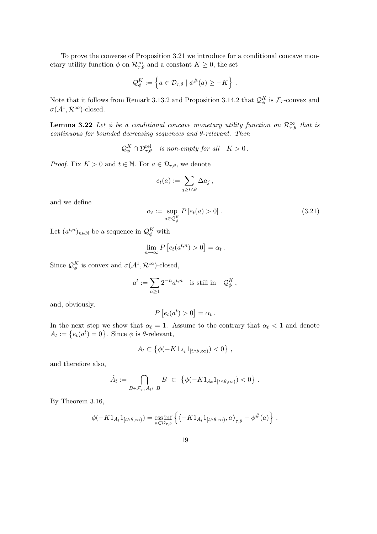To prove the converse of Proposition 3.21 we introduce for a conditional concave monetary utility function  $\phi$  on  $\mathcal{R}^{\infty}_{\tau,\theta}$  and a constant  $K \geq 0$ , the set

$$
\mathcal{Q}_{\phi}^K := \left\{ a \in \mathcal{D}_{\tau,\theta} \mid \phi^{\#}(a) \geq -K \right\} \, .
$$

Note that it follows from Remark 3.13.2 and Proposition 3.14.2 that  $\mathcal{Q}_{\phi}^K$  is  $\mathcal{F}_{\tau}$ -convex and  $\sigma(\mathcal{A}^1,\mathcal{R}^\infty)$ -closed.

**Lemma 3.22** Let  $\phi$  be a conditional concave monetary utility function on  $\mathcal{R}_{\tau,\theta}^{\infty}$  that is  $continuous\ for\ bounded\ decreasing\ sequences\ and\ \theta\text{-}relevant.\ Then$ 

 $\mathcal{Q}_{\phi}^K \cap \mathcal{D}_{\tau,\theta}^{\text{rel}}$  is non-empty for all  $K > 0$ .

*Proof.* Fix  $K > 0$  and  $t \in \mathbb{N}$ . For  $a \in \mathcal{D}_{\tau,\theta}$ , we denote

$$
e_t(a) := \sum_{j \ge t \wedge \theta} \Delta a_j \,,
$$

and we define

$$
\alpha_t := \sup_{a \in \mathcal{Q}_{\phi}^K} P\left[e_t(a) > 0\right].\tag{3.21}
$$

.

Let  $(a^{t,n})_{n\in\mathbb{N}}$  be a sequence in  $\mathcal{Q}_{\phi}^K$  with

$$
\lim_{n \to \infty} P\left[e_t(a^{t,n}) > 0\right] = \alpha_t.
$$

Since  $\mathcal{Q}_{\phi}^K$  is convex and  $\sigma(\mathcal{A}^1, \mathcal{R}^{\infty})$ -closed,

$$
a^t := \sum_{n\geq 1} 2^{-n} a^{t,n}
$$
 is still in  $Q^K_{\phi}$ ,

and, obviously,

$$
P\left[e_t(a^t) > 0\right] = \alpha_t.
$$

In the next step we show that  $\alpha_t = 1$ . Assume to the contrary that  $\alpha_t < 1$  and denote in the next step we show that  $\alpha_t = 1$ .<br>  $A_t := \{e_t(a^t) = 0\}$ . Since  $\phi$  is  $\theta$ -relevant,

$$
A_t \subset \left\{ \phi(-K1_{A_t}1_{[t \wedge \theta,\infty)}) < 0 \right\} \,,
$$

and therefore also,

$$
\hat{A}_t := \bigcap_{B \in \mathcal{F}_{\tau}, A_t \subset B} B \subset \{ \phi(-K1_{A_t}1_{[t \wedge \theta, \infty)}) < 0 \}
$$

By Theorem 3.16,

$$
\phi(-K1_{A_t}1_{[t\wedge\theta,\infty)}) = \underset{a\in\mathcal{D}_{\tau,\theta}}{\text{ess}\inf} \left\{ \left\langle -K1_{A_t}1_{[t\wedge\theta,\infty)},a \right\rangle_{\tau,\theta} - \phi^{\#}(a) \right\}.
$$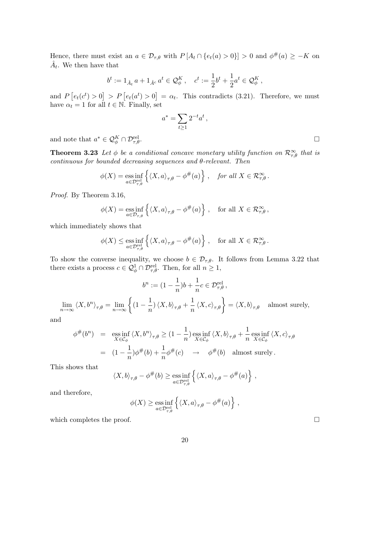Hence, there must exist an  $a \in \mathcal{D}_{\tau,\theta}$  with  $P[A_t \cap \{e_t(a) > 0\}] > 0$  and  $\phi^{\#}(a) \geq -K$  on  $\hat{A}_t$ . We then have that

$$
b^t := 1_{\hat{A}_t} a + 1_{\hat{A}^c} a^t \in \mathcal{Q}_{\phi}^K, \quad c^t := \frac{1}{2} b^t + \frac{1}{2} a^t \in \mathcal{Q}_{\phi}^K,
$$

and P £  $e_t(c^t) > 0$  $\big] > P\left[e_t(a^t) > 0\right]$  $= \alpha_t$ . This contradicts (3.21). Therefore, we must have  $\alpha_t = 1$  for all  $t \in \mathbb{N}$ . Finally, set

$$
a^* = \sum_{t\geq 1} 2^{-t} a^t,
$$

and note that  $a^* \in \mathcal{Q}_{\phi}^K \cap \mathcal{D}_{\tau,\theta}^{\text{rel}}$  $\Gamma$   $\Gamma$ , $\theta$ .

**Theorem 3.23** Let  $\phi$  be a conditional concave monetary utility function on  $\mathcal{R}_{\tau,\theta}^{\infty}$  that is  $continuous for bounded decreasing sequences and  $\theta$ -relevant. Then$ 

$$
\phi(X) = \operatorname*{ess\,inf}_{a \in \mathcal{D}_{\tau,\theta}^{\text{rel}}} \left\{ \langle X, a \rangle_{\tau,\theta} - \phi^{\#}(a) \right\} , \quad \text{for all } X \in \mathcal{R}_{\tau,\theta}^{\infty} .
$$

Proof. By Theorem 3.16,

$$
\phi(X) = \operatorname*{ess\,inf}_{a \in \mathcal{D}_{\tau,\theta}} \left\{ \langle X, a \rangle_{\tau,\theta} - \phi^{\#}(a) \right\}, \quad \text{for all } X \in \mathcal{R}_{\tau,\theta}^{\infty},
$$

which immediately shows that

$$
\phi(X) \le \underset{a \in \mathcal{D}_{\tau,\theta}^{\mathrm{rel}}}{\mathrm{ess\,inf}} \left\{ \langle X, a \rangle_{\tau,\theta} - \phi^{\#}(a) \right\} \,, \quad \text{for all } X \in \mathcal{R}_{\tau,\theta}^{\infty} \,.
$$

To show the converse inequality, we choose  $b \in \mathcal{D}_{\tau,\theta}$ . It follows from Lemma 3.22 that there exists a process  $c \in \mathcal{Q}_{\phi}^1 \cap \mathcal{D}_{\tau,\theta}^{\text{rel}}$ . Then, for all  $n \geq 1$ ,

$$
b^{n} := (1 - \frac{1}{n})b + \frac{1}{n}c \in \mathcal{D}_{\tau,\theta}^{\text{rel}},
$$
  

$$
\lim_{n \to \infty} \langle X, b^{n} \rangle_{\tau,\theta} = \lim_{n \to \infty} \left\{ (1 - \frac{1}{n}) \langle X, b \rangle_{\tau,\theta} + \frac{1}{n} \langle X, c \rangle_{\tau,\theta} \right\} = \langle X, b \rangle_{\tau,\theta} \quad \text{almost surely,}
$$

and

$$
\begin{split}\n\phi^{\#}(b^{n}) &= \operatorname*{ess\,inf}_{X \in \mathcal{C}_{\phi}} \langle X, b^{n} \rangle_{\tau,\theta} \ge (1 - \frac{1}{n}) \operatorname*{ess\,inf}_{X \in \mathcal{C}_{\phi}} \langle X, b \rangle_{\tau,\theta} + \frac{1}{n} \operatorname*{ess\,inf}_{X \in \mathcal{C}_{\phi}} \langle X, c \rangle_{\tau,\theta} \\
&= (1 - \frac{1}{n}) \phi^{\#}(b) + \frac{1}{n} \phi^{\#}(c) \quad \to \quad \phi^{\#}(b) \quad \text{almost surely.}\n\end{split}
$$

This shows that

$$
\langle X, b \rangle_{\tau, \theta} - \phi^{\#}(b) \ge \underset{a \in \mathcal{D}_{\tau, \theta}^{\mathrm{rel}}}{\mathrm{ess\,inf}} \left\{ \langle X, a \rangle_{\tau, \theta} - \phi^{\#}(a) \right\} \,,
$$

and therefore,

$$
\phi(X) \ge \underset{a \in \mathcal{D}_{\tau,\theta}^{\text{rel}}}{\text{ess inf}} \left\{ \langle X, a \rangle_{\tau,\theta} - \phi^{\#}(a) \right\} ,
$$

which completes the proof.  $\Box$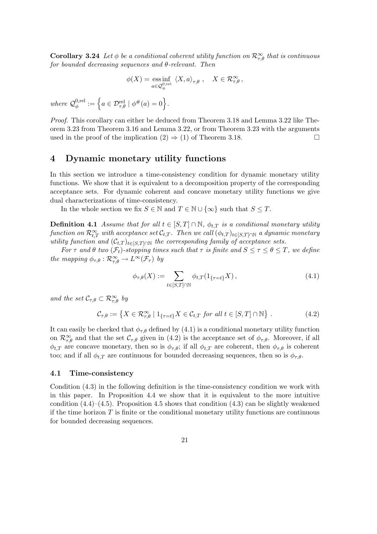**Corollary 3.24** Let  $\phi$  be a conditional coherent utility function on  $\mathcal{R}_{\tau,\theta}^{\infty}$  that is continuous for bounded decreasing sequences and  $\theta$ -relevant. Then

$$
\phi(X) = \underset{a \in \mathcal{Q}_{\phi}^{0, \text{rel}}}{\text{ess inf}} \langle X, a \rangle_{\tau, \theta} , \quad X \in \mathcal{R}_{\tau, \theta}^{\infty} ,
$$

where  $\mathcal{Q}_{\phi}^{0,rel}$  $\phi_{\phi}^{0,\text{rel}} := \left\{ a \in \mathcal{D}_{\tau,\theta}^{\text{rel}} \mid \phi^{\#}(a) = 0 \right\}.$ 

Proof. This corollary can either be deduced from Theorem 3.18 and Lemma 3.22 like Theorem 3.23 from Theorem 3.16 and Lemma 3.22, or from Theorem 3.23 with the arguments used in the proof of the implication  $(2) \Rightarrow (1)$  of Theorem 3.18.

## 4 Dynamic monetary utility functions

In this section we introduce a time-consistency condition for dynamic monetary utility functions. We show that it is equivalent to a decomposition property of the corresponding acceptance sets. For dynamic coherent and concave monetary utility functions we give dual characterizations of time-consistency.

In the whole section we fix  $S \in \mathbb{N}$  and  $T \in \mathbb{N} \cup \{\infty\}$  such that  $S \leq T$ .

**Definition 4.1** Assume that for all  $t \in [S, T] \cap \mathbb{N}$ ,  $\phi_{t,T}$  is a conditional monetary utility function on  $\mathcal{R}^\infty_{t,T}$  with acceptance set  $\mathcal{C}_{t,T}.$  Then we call  $(\phi_{t,T})_{t\in [S,T]\cap\mathbb{N}}$  a dynamic monetary utility function and  $(\mathcal{C}_{t,T})_{t\in [S,T]\cap\mathbb{N}}$  the corresponding family of acceptance sets.

For  $\tau$  and  $\theta$  two  $(\mathcal{F}_t)$ -stopping times such that  $\tau$  is finite and  $S \leq \tau \leq \theta \leq T$ , we define the mapping  $\phi_{\tau,\theta} : \mathcal{R}^{\infty}_{\tau,\theta} \to L^{\infty}(\mathcal{F}_{\tau})$  by

$$
\phi_{\tau,\theta}(X) := \sum_{t \in [S,T] \cap \mathbb{N}} \phi_{t,T}(1_{\{\tau=t\}} X), \qquad (4.1)
$$

and the set  $\mathcal{C}_{\tau,\theta} \subset \mathcal{R}_{\tau,\theta}^{\infty}$  by

$$
\mathcal{C}_{\tau,\theta} := \left\{ X \in \mathcal{R}_{\tau,\theta}^{\infty} \mid 1_{\{\tau=t\}} X \in \mathcal{C}_{t,T} \text{ for all } t \in [S,T] \cap \mathbb{N} \right\}. \tag{4.2}
$$

It can easily be checked that  $\phi_{\tau,\theta}$  defined by (4.1) is a conditional monetary utility function on  $\mathcal{R}_{\tau,\theta}^{\infty}$  and that the set  $\mathcal{C}_{\tau,\theta}$  given in (4.2) is the acceptance set of  $\phi_{\tau,\theta}$ . Moreover, if all  $\phi_{t,T}$  are concave monetary, then so is  $\phi_{\tau,\theta}$ ; if all  $\phi_{t,T}$  are coherent, then  $\phi_{\tau,\theta}$  is coherent too; and if all  $\phi_{t,T}$  are continuous for bounded decreasing sequences, then so is  $\phi_{\tau,\theta}$ .

#### 4.1 Time-consistency

Condition (4.3) in the following definition is the time-consistency condition we work with in this paper. In Proposition 4.4 we show that it is equivalent to the more intuitive condition  $(4.4)$ – $(4.5)$ . Proposition 4.5 shows that condition  $(4.3)$  can be slightly weakened if the time horizon  $T$  is finite or the conditional monetary utility functions are continuous for bounded decreasing sequences.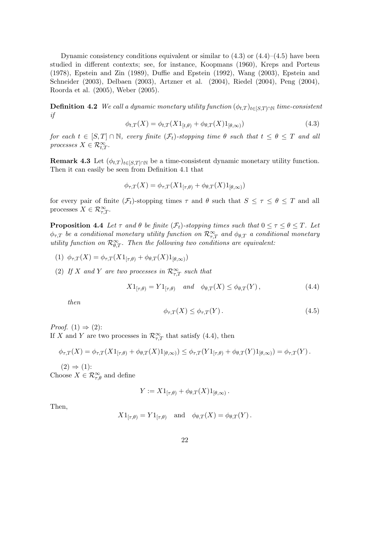Dynamic consistency conditions equivalent or similar to  $(4.3)$  or  $(4.4)$ – $(4.5)$  have been studied in different contexts; see, for instance, Koopmans (1960), Kreps and Porteus (1978), Epstein and Zin (1989), Duffie and Epstein (1992), Wang (2003), Epstein and Schneider (2003), Delbaen (2003), Artzner et al. (2004), Riedel (2004), Peng (2004), Roorda et al. (2005), Weber (2005).

**Definition 4.2** We call a dynamic monetary utility function  $(\phi_{t,T})_{t\in [S,T]\cap \mathbb{N}}$  time-consistent if

$$
\phi_{t,T}(X) = \phi_{t,T}(X1_{[t,\theta)} + \phi_{\theta,T}(X1_{[\theta,\infty)})
$$
\n(4.3)

for each  $t \in [S, T] \cap \mathbb{N}$ , every finite  $(\mathcal{F}_t)$ -stopping time  $\theta$  such that  $t \leq \theta \leq T$  and all processes  $X \in \mathcal{R}_{t,T}^{\infty}$ .

**Remark 4.3** Let  $(\phi_{t,T})_{t\in [S,T]\cap \mathbb{N}}$  be a time-consistent dynamic monetary utility function. Then it can easily be seen from Definition 4.1 that

$$
\phi_{\tau,T}(X) = \phi_{\tau,T}(X1_{[\tau,\theta)} + \phi_{\theta,T}(X1_{[\theta,\infty)})
$$

for every pair of finite  $(\mathcal{F}_t)$ -stopping times  $\tau$  and  $\theta$  such that  $S \leq \tau \leq \theta \leq T$  and all processes  $X \in \mathcal{R}_{\tau,T}^{\infty}$ .

**Proposition 4.4** Let  $\tau$  and  $\theta$  be finite  $(\mathcal{F}_t)$ -stopping times such that  $0 \leq \tau \leq \theta \leq T$ . Let  $\phi_{\tau,T}$  be a conditional monetary utility function on  $\mathcal{R}^{\infty}_{\tau,T}$  and  $\phi_{\theta,T}$  a conditional monetary utility function on  $\mathcal{R}_{\theta,T}^{\infty}$ . Then the following two conditions are equivalent:

(1)  $\phi_{\tau,T}(X) = \phi_{\tau,T}(X1_{[\tau,\theta)} + \phi_{\theta,T}(X1_{[\theta,\infty)})$ 

(2) If X and Y are two processes in  $\mathcal{R}^{\infty}_{\tau,T}$  such that

$$
X1_{[\tau,\theta)} = Y1_{[\tau,\theta)} \quad \text{and} \quad \phi_{\theta,T}(X) \le \phi_{\theta,T}(Y) \,, \tag{4.4}
$$

then

$$
\phi_{\tau,T}(X) \le \phi_{\tau,T}(Y). \tag{4.5}
$$

*Proof.*  $(1) \Rightarrow (2)$ : If X and Y are two processes in  $\mathcal{R}^{\infty}_{\tau,T}$  that satisfy (4.4), then

$$
\phi_{\tau,T}(X)=\phi_{\tau,T}(X1_{[\tau,\theta)}+\phi_{\theta,T}(X)1_{[\theta,\infty)})\leq \phi_{\tau,T}(Y1_{[\tau,\theta)}+\phi_{\theta,T}(Y)1_{[\theta,\infty)})=\phi_{\tau,T}(Y).
$$

 $(2) \Rightarrow (1)$ : Choose  $X \in \mathcal{R}_{\tau,\theta}^{\infty}$  and define

$$
Y := X1_{[\tau,\theta)} + \phi_{\theta,T}(X)1_{[\theta,\infty)}.
$$

Then,

$$
X1_{[\tau,\theta)} = Y1_{[\tau,\theta)}
$$
 and  $\phi_{\theta,T}(X) = \phi_{\theta,T}(Y)$ .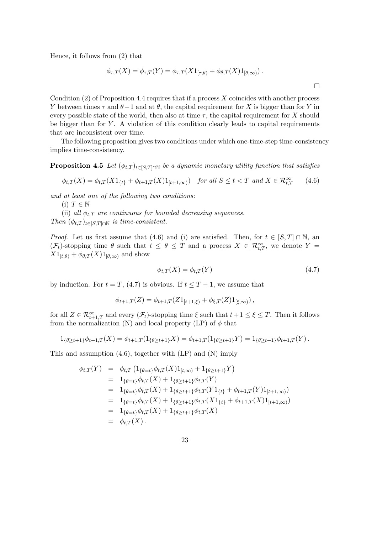Hence, it follows from (2) that

$$
\phi_{\tau,T}(X) = \phi_{\tau,T}(Y) = \phi_{\tau,T}(X1_{[\tau,\theta)} + \phi_{\theta,T}(X1_{[\theta,\infty)}).
$$

Condition  $(2)$  of Proposition 4.4 requires that if a process X coincides with another process Y between times  $\tau$  and  $\theta$  – 1 and at  $\theta$ , the capital requirement for X is bigger than for Y in every possible state of the world, then also at time  $\tau$ , the capital requirement for X should be bigger than for  $Y$ . A violation of this condition clearly leads to capital requirements that are inconsistent over time.

The following proposition gives two conditions under which one-time-step time-consistency implies time-consistency.

**Proposition 4.5** Let  $(\phi_{t,T})_{t\in [S,T]\cap \mathbb{N}}$  be a dynamic monetary utility function that satisfies

$$
\phi_{t,T}(X) = \phi_{t,T}(X1_{\{t\}} + \phi_{t+1,T}(X)1_{[t+1,\infty)}) \quad \text{for all } S \le t < T \text{ and } X \in \mathcal{R}_{t,T}^{\infty} \tag{4.6}
$$

and at least one of the following two conditions:

(i)  $T \in \mathbb{N}$ 

(ii) all  $\phi_{t,T}$  are continuous for bounded decreasing sequences. Then  $(\phi_{t,T})_{t\in [S,T]\cap \mathbb{N}}$  is time-consistent.

*Proof.* Let us first assume that (4.6) and (i) are satisfied. Then, for  $t \in [S, T] \cap \mathbb{N}$ , an  $(\mathcal{F}_t)$ -stopping time  $\theta$  such that  $t \leq \theta \leq T$  and a process  $X \in \mathcal{R}_{t,T}^{\infty}$ , we denote  $Y =$  $X1_{[t,\theta)} + \phi_{\theta,T}(X)1_{[\theta,\infty)}$  and show

$$
\phi_{t,T}(X) = \phi_{t,T}(Y) \tag{4.7}
$$

¤

by induction. For  $t = T$ , (4.7) is obvious. If  $t \leq T - 1$ , we assume that

$$
\phi_{t+1,T}(Z) = \phi_{t+1,T}(Z1_{[t+1,\xi)} + \phi_{\xi,T}(Z)1_{[\xi,\infty)}\,,
$$

for all  $Z \in \mathcal{R}_{t+1,T}^{\infty}$  and every  $(\mathcal{F}_t)$ -stopping time  $\xi$  such that  $t+1 \leq \xi \leq T$ . Then it follows from the normalization (N) and local property (LP) of  $\phi$  that

$$
1_{\{\theta \geq t+1\}}\phi_{t+1,T}(X) = \phi_{t+1,T}(1_{\{\theta \geq t+1\}}X) = \phi_{t+1,T}(1_{\{\theta \geq t+1\}}Y) = 1_{\{\theta \geq t+1\}}\phi_{t+1,T}(Y).
$$

This and assumption (4.6), together with (LP) and (N) imply

$$
\begin{array}{rcl}\n\phi_{t,T}(Y) & = & \phi_{t,T} \left( 1_{\{\theta = t\}} \phi_{t,T}(X) 1_{[t,\infty)} + 1_{\{\theta \geq t+1\}} Y \right) \\
& = & 1_{\{\theta = t\}} \phi_{t,T}(X) + 1_{\{\theta \geq t+1\}} \phi_{t,T}(Y) \\
& = & 1_{\{\theta = t\}} \phi_{t,T}(X) + 1_{\{\theta \geq t+1\}} \phi_{t,T}(Y) 1_{\{t\}} + \phi_{t+1,T}(Y) 1_{[t+1,\infty)}\n\end{array}
$$
\n
$$
\begin{array}{rcl}\n= & 1_{\{\theta = t\}} \phi_{t,T}(X) + 1_{\{\theta \geq t+1\}} \phi_{t,T}(X) 1_{\{t\}} + \phi_{t+1,T}(X) 1_{[t+1,\infty)}\n\end{array}
$$
\n
$$
\begin{array}{rcl}\n= & 1_{\{\theta = t\}} \phi_{t,T}(X) + 1_{\{\theta \geq t+1\}} \phi_{t,T}(X) \\
= & \phi_{t,T}(X) \,.\n\end{array}
$$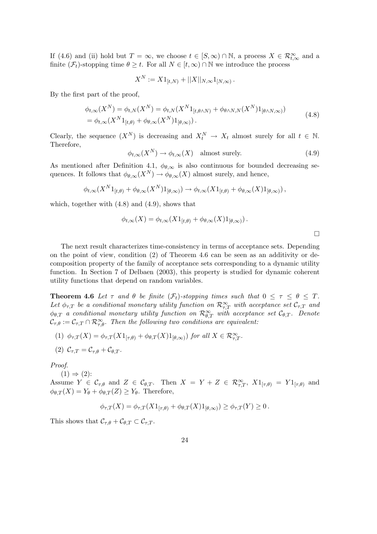If (4.6) and (ii) hold but  $T = \infty$ , we choose  $t \in [S, \infty) \cap \mathbb{N}$ , a process  $X \in \mathcal{R}_{t,\infty}^{\infty}$  and a finite  $(\mathcal{F}_t)$ -stopping time  $\theta \geq t$ . For all  $N \in [t, \infty) \cap \mathbb{N}$  we introduce the process

$$
X^N := X 1_{[t,N)} + ||X||_{N,\infty} 1_{[N,\infty)}.
$$

By the first part of the proof,

$$
\phi_{t,\infty}(X^N) = \phi_{t,N}(X^N) = \phi_{t,N}(X^N 1_{[t,\theta \wedge N)} + \phi_{\theta \wedge N,N}(X^N 1_{[\theta \wedge N,\infty)})
$$
  
= 
$$
\phi_{t,\infty}(X^N 1_{[t,\theta)} + \phi_{\theta,\infty}(X^N 1_{[\theta,\infty)}).
$$
 (4.8)

Clearly, the sequence  $(X^N)$  is decreasing and  $X_t^N \to X_t$  almost surely for all  $t \in \mathbb{N}$ . Therefore,

$$
\phi_{t,\infty}(X^N) \to \phi_{t,\infty}(X) \quad \text{almost surely.} \tag{4.9}
$$

As mentioned after Definition 4.1,  $\phi_{\theta,\infty}$  is also continuous for bounded decreasing sequences. It follows that  $\phi_{\theta,\infty}(X^N) \to \phi_{\theta,\infty}(X)$  almost surely, and hence,

$$
\phi_{t,\infty}(X^N1_{[t,\theta)} + \phi_{\theta,\infty}(X^N)1_{[\theta,\infty)}) \to \phi_{t,\infty}(X1_{[t,\theta)} + \phi_{\theta,\infty}(X)1_{[\theta,\infty)}),
$$

which, together with (4.8) and (4.9), shows that

$$
\phi_{t,\infty}(X) = \phi_{t,\infty}(X1_{[t,\theta)} + \phi_{\theta,\infty}(X)1_{[\theta,\infty)}).
$$

The next result characterizes time-consistency in terms of acceptance sets. Depending on the point of view, condition (2) of Theorem 4.6 can be seen as an additivity or decomposition property of the family of acceptance sets corresponding to a dynamic utility function. In Section 7 of Delbaen (2003), this property is studied for dynamic coherent utility functions that depend on random variables.

**Theorem 4.6** Let  $\tau$  and  $\theta$  be finite  $(\mathcal{F}_t)$ -stopping times such that  $0 \leq \tau \leq \theta \leq T$ . Let  $\phi_{\tau,T}$  be a conditional monetary utility function on  $\mathcal{R}^{\infty}_{\tau,T}$  with acceptance set  $\mathcal{C}_{\tau,T}$  and  $\phi_{\theta,T}$  a conditional monetary utility function on  $\mathcal{R}_{\theta,T}^{\infty}$  with acceptance set  $\mathcal{C}_{\theta,T}$ . Denote  $\mathcal{C}_{\tau,\theta} := \mathcal{C}_{\tau,T} \cap \mathcal{R}_{\tau,\theta}^{\infty}$ . Then the following two conditions are equivalent:

(1)  $\phi_{\tau,T}(X) = \phi_{\tau,T}(X1_{[\tau,\theta)} + \phi_{\theta,T}(X)1_{[\theta,\infty)})$  for all  $X \in \mathcal{R}_{\tau,T}^{\infty}$ .

$$
(2) \ \mathcal{C}_{\tau,T} = \mathcal{C}_{\tau,\theta} + \mathcal{C}_{\theta,T}.
$$

Proof.

$$
(1) \Rightarrow (2)
$$
:  
Assume  $Y \in C_{\tau,\theta}$  and  $Z \in C_{\theta,T}$ . Then  $X = Y + Z \in \mathcal{R}_{\tau,T}^{\infty}$ ,  $X1_{[\tau,\theta)} = Y1_{[\tau,\theta)}$  and  $\phi_{\theta,T}(X) = Y_{\theta} + \phi_{\theta,T}(Z) \ge Y_{\theta}$ . Therefore,

$$
\phi_{\tau,T}(X) = \phi_{\tau,T}(X1_{[\tau,\theta)} + \phi_{\theta,T}(X1_{[\theta,\infty)}) \ge \phi_{\tau,T}(Y) \ge 0.
$$

This shows that  $\mathcal{C}_{\tau,\theta} + \mathcal{C}_{\theta,T} \subset \mathcal{C}_{\tau,T}$ .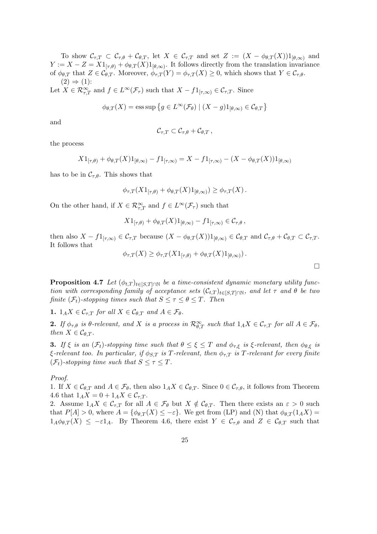To show  $\mathcal{C}_{\tau,T} \subset \mathcal{C}_{\tau,\theta} + \mathcal{C}_{\theta,T}$ , let  $X \in \mathcal{C}_{\tau,T}$  and set  $Z := (X - \phi_{\theta,T}(X))1_{\theta,\infty}$  and  $Y := X - Z = X1_{[\tau,\theta)} + \phi_{\theta,T}(X)1_{[\theta,\infty)}$ . It follows directly from the translation invariance of  $\phi_{\theta,T}$  that  $Z \in \mathcal{C}_{\theta,T}$ . Moreover,  $\phi_{\tau,T}(Y) = \phi_{\tau,T}(X) \geq 0$ , which shows that  $Y \in \mathcal{C}_{\tau,\theta}$ .  $(2) \Rightarrow (1)$ :

Let  $X \in \mathcal{R}_{\tau,T}^{\infty}$  and  $f \in L^{\infty}(\mathcal{F}_{\tau})$  such that  $X - f1_{[\tau,\infty)} \in \mathcal{C}_{\tau,T}$ . Since

$$
\phi_{\theta,T}(X) = \operatorname{ess\,sup} \left\{ g \in L^{\infty}(\mathcal{F}_{\theta}) \mid (X - g)1_{[\theta,\infty)} \in \mathcal{C}_{\theta,T} \right\}
$$

and

$$
\mathcal{C}_{\tau,T} \subset \mathcal{C}_{\tau,\theta} + \mathcal{C}_{\theta,T},
$$

the process

$$
X1_{[\tau,\theta)} + \phi_{\theta,T}(X)1_{[\theta,\infty)} - f1_{[\tau,\infty)} = X - f1_{[\tau,\infty)} - (X - \phi_{\theta,T}(X))1_{[\theta,\infty)}
$$

has to be in  $\mathcal{C}_{\tau,\theta}$ . This shows that

$$
\phi_{\tau,T}(X1_{[\tau,\theta)} + \phi_{\theta,T}(X)1_{[\theta,\infty)}) \geq \phi_{\tau,T}(X).
$$

On the other hand, if  $X \in \mathcal{R}_{\tau,T}^{\infty}$  and  $f \in L^{\infty}(\mathcal{F}_{\tau})$  such that

$$
X1_{[\tau,\theta)} + \phi_{\theta,T}(X)1_{[\theta,\infty)} - f1_{[\tau,\infty)} \in \mathcal{C}_{\tau,\theta},
$$

then also  $X - f1_{[\tau,\infty)} \in \mathcal{C}_{\tau,T}$  because  $(X - \phi_{\theta,T}(X))1_{[\theta,\infty)} \in \mathcal{C}_{\theta,T}$  and  $\mathcal{C}_{\tau,\theta} + \mathcal{C}_{\theta,T} \subset \mathcal{C}_{\tau,T}$ . It follows that

$$
\phi_{\tau,T}(X) \ge \phi_{\tau,T}(X1_{[\tau,\theta)} + \phi_{\theta,T}(X1_{[\theta,\infty)})\,.
$$

**Proposition 4.7** Let  $(\phi_{t,T})_{t\in [S,T]\cap \mathbb{N}}$  be a time-consistent dynamic monetary utility function with corresponding family of acceptance sets  $(\mathcal{C}_{t,T})_{t\in [S,T]\cap\mathbb{N}}$ , and let  $\tau$  and  $\theta$  be two finite  $(\mathcal{F}_t)$ -stopping times such that  $S \leq \tau \leq \theta \leq T$ . Then

1.  $1_A X \in \mathcal{C}_{\tau,T}$  for all  $X \in \mathcal{C}_{\theta,T}$  and  $A \in \mathcal{F}_{\theta}$ .

**2.** If  $\phi_{\tau,\theta}$  is  $\theta$ -relevant, and X is a process in  $\mathcal{R}_{\theta,T}^{\infty}$  such that  $1_A X \in \mathcal{C}_{\tau,T}$  for all  $A \in \mathcal{F}_{\theta}$ , then  $X \in \mathcal{C}_{\theta,T}$ .

**3.** If  $\xi$  is an  $(\mathcal{F}_t)$ -stopping time such that  $\theta \leq \xi \leq T$  and  $\phi_{\tau,\xi}$  is  $\xi$ -relevant, then  $\phi_{\theta,\xi}$  is  $\xi$ -relevant too. In particular, if  $\phi_{S,T}$  is T-relevant, then  $\phi_{\tau,T}$  is T-relevant for every finite  $(\mathcal{F}_t)$ -stopping time such that  $S \leq \tau \leq T$ .

Proof.

1. If  $X \in \mathcal{C}_{\theta,T}$  and  $A \in \mathcal{F}_{\theta}$ , then also  $1_A X \in \mathcal{C}_{\theta,T}$ . Since  $0 \in \mathcal{C}_{\tau,\theta}$ , it follows from Theorem 4.6 that  $1_A X = 0 + 1_A X \in \mathcal{C}_{\tau,T}$ .

2. Assume  $1_A X \in \mathcal{C}_{\tau,T}$  for all  $A \in \mathcal{F}_{\theta}$  but  $X \notin \mathcal{C}_{\theta,T}$ . Then there exists an  $\varepsilon > 0$  such that  $P[A] > 0$ , where  $A = {\phi_{\theta,T}(X) \le -\varepsilon}$ . We get from (LP) and (N) that  $\phi_{\theta,T}(1_A X) =$  $1_A\phi_{\theta,T}(X) \leq -\varepsilon 1_A$ . By Theorem 4.6, there exist  $Y \in \mathcal{C}_{\tau,\theta}$  and  $Z \in \mathcal{C}_{\theta,T}$  such that

 $\Box$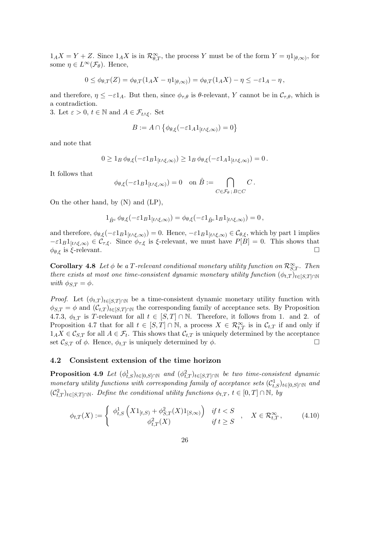$1_A X = Y + Z$ . Since  $1_A X$  is in  $\mathcal{R}_{\theta,T}^{\infty}$ , the process Y must be of the form  $Y = \eta 1_{[\theta,\infty)}$ , for some  $\eta \in L^{\infty}(\mathcal{F}_{\theta})$ . Hence,

$$
0 \leq \phi_{\theta,T}(Z) = \phi_{\theta,T}(1_A X - \eta 1_{[\theta,\infty)}) = \phi_{\theta,T}(1_A X) - \eta \leq -\varepsilon 1_A - \eta,
$$

and therefore,  $\eta \leq -\varepsilon 1_A$ . But then, since  $\phi_{\tau,\theta}$  is  $\theta$ -relevant, Y cannot be in  $\mathcal{C}_{\tau,\theta}$ , which is a contradiction.

3. Let  $\varepsilon > 0$ ,  $t \in \mathbb{N}$  and  $A \in \mathcal{F}_{t \wedge \xi}$ . Set

$$
B := A \cap \left\{ \phi_{\theta,\xi}(-\varepsilon 1_A 1_{[t \wedge \xi,\infty)}) = 0 \right\}
$$

and note that

$$
0\geq 1_B\,\phi_{\theta,\xi}(-\varepsilon 1_B 1_{[t\wedge\xi,\infty)})\geq 1_B\,\phi_{\theta,\xi}(-\varepsilon 1_A 1_{[t\wedge\xi,\infty)})=0\,.
$$

It follows that

$$
\phi_{\theta,\xi}(-\varepsilon 1_B 1_{[t\wedge\xi,\infty)})=0 \quad \text{on } \hat{B}:=\bigcap_{C\in\mathcal{F}_{\theta};\,B\subset C}C.
$$

On the other hand, by (N) and (LP),

$$
1_{\hat{B}^c}\,\phi_{\theta,\xi}(-\varepsilon 1_B 1_{[t\wedge\xi,\infty)})=\phi_{\theta,\xi}(-\varepsilon 1_{\hat{B}^c} 1_B 1_{[t\wedge\xi,\infty)})=0\,,
$$

and therefore,  $\phi_{\theta,\xi}(-\varepsilon 1_B 1_{[t\wedge \xi,\infty)})=0$ . Hence,  $-\varepsilon 1_B 1_{[t\wedge \xi,\infty)} \in C_{\theta,\xi}$ , which by part 1 implies  $-\varepsilon 1_B1_{[t\wedge\xi,\infty)} \in \mathcal{C}_{\tau,\xi}$ . Since  $\phi_{\tau,\xi}$  is  $\xi$ -relevant, we must have  $P[B] = 0$ . This shows that  $\phi_{\theta,\xi}$  is  $\xi$ -relevant.

**Corollary 4.8** Let  $\phi$  be a T-relevant conditional monetary utility function on  $\mathcal{R}_{S,T}^{\infty}$ . Then there exists at most one time-consistent dynamic monetary utility function  $(\phi_{t,T})_{t\in[S,T]\cap\mathbb{N}}$ with  $\phi_{S,T} = \phi$ .

*Proof.* Let  $(\phi_{t,T})_{t\in [S,T]\cap \mathbb{N}}$  be a time-consistent dynamic monetary utility function with  $\phi_{S,T} = \phi$  and  $(\mathcal{C}_{t,T})_{t \in [S,T] \cap \mathbb{N}}$  the corresponding family of acceptance sets. By Proposition 4.7.3,  $\phi_{t,T}$  is T-relevant for all  $t \in [S,T] \cap \mathbb{N}$ . Therefore, it follows from 1. and 2. of Proposition 4.7 that for all  $t \in [S,T] \cap \mathbb{N}$ , a process  $X \in \mathcal{R}_{t,T}^{\infty}$  is in  $\mathcal{C}_{t,T}$  if and only if  $1_A X \in \mathcal{C}_{S,T}$  for all  $A \in \mathcal{F}_t$ . This shows that  $\mathcal{C}_{t,T}$  is uniquely determined by the acceptance set  $\mathcal{C}_{S,T}$  of  $\phi$ . Hence,  $\phi_{t,T}$  is uniquely determined by  $\phi$ .

#### 4.2 Consistent extension of the time horizon

**Proposition 4.9** Let  $(\phi_{t,S}^1)_{t\in[0,S]\cap\mathbb{N}}$  and  $(\phi_{t,T}^2)_{t\in[S,T]\cap\mathbb{N}}$  be two time-consistent dynamic monetary utility functions with corresponding family of acceptance sets  $(\mathcal{C}_{t,S}^1)_{t\in[0,S]\cap\mathbb{N}}$  and  $(\mathcal{C}_{t,T}^2)_{t\in [S,T]\cap \mathbb{N}}$ . Define the conditional utility functions  $\phi_{t,T}, t\in [0,T]\cap \mathbb{N}$ , by

$$
\phi_{t,T}(X) := \begin{cases} \phi_{t,S}^1\left(X1_{[t,S)} + \phi_{S,T}^2(X)1_{[S,\infty)}\right) & \text{if } t < S \\ \phi_{t,T}^2(X) & \text{if } t \ge S \end{cases}, \quad X \in \mathcal{R}_{t,T}^{\infty}, \tag{4.10}
$$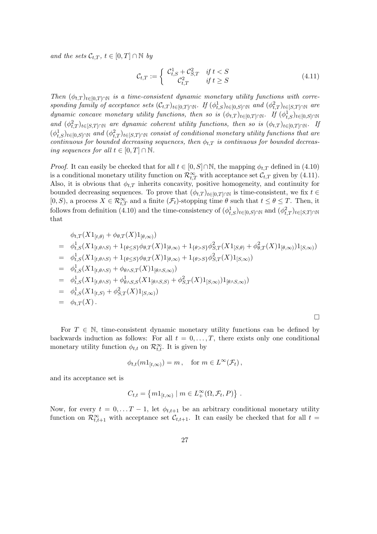and the sets  $\mathcal{C}_{t,T}$ ,  $t \in [0,T] \cap \mathbb{N}$  by

$$
\mathcal{C}_{t,T} := \begin{cases} \mathcal{C}_{t,S}^1 + \mathcal{C}_{S,T}^2 & \text{if } t < S \\ \mathcal{C}_{t,T}^2 & \text{if } t \ge S \end{cases} \tag{4.11}
$$

Then  $(\phi_{t,T})_{t\in[0,T]\cap\mathbb{N}}$  is a time-consistent dynamic monetary utility functions with corresponding family of acceptance sets  $(\mathcal{C}_{t,T})_{t\in[0,T]\cap\mathbb{N}}$ . If  $(\phi_{t,S}^1)_{t\in[0,S]\cap\mathbb{N}}$  and  $(\phi_{t,T}^2)_{t\in[S,T]\cap\mathbb{N}}$  are dynamic concave monetary utility functions, then so is  $(\phi_{t,T})_{t\in[0,T]\cap\mathbb{N}}$ . If  $(\phi_{t,S}^1)_{t\in[0,S]\cap\mathbb{N}}$ and  $(\phi_{t,T}^2)_{t\in [S,T]\cap \mathbb{N}}$  are dynamic coherent utility functions, then so is  $(\phi_{t,T})_{t\in [0,T]\cap \mathbb{N}}$ . If  $(\phi_{t,S}^1)_{t\in[0,S]\cap\mathbb{N}}$  and  $(\phi_{t,T}^2)_{t\in[S,T]\cap\mathbb{N}}$  consist of conditional monetary utility functions that are continuous for bounded decreasing sequences, then  $\phi_{t,T}$  is continuous for bounded decreasing sequences for all  $t \in [0, T] \cap \mathbb{N}$ .

*Proof.* It can easily be checked that for all  $t \in [0, S] \cap \mathbb{N}$ , the mapping  $\phi_{t,T}$  defined in (4.10) is a conditional monetary utility function on  $\mathcal{R}_{t,T}^{\infty}$  with acceptance set  $\mathcal{C}_{t,T}$  given by (4.11). Also, it is obvious that  $\phi_{t,T}$  inherits concavity, positive homogeneity, and continuity for bounded decreasing sequences. To prove that  $(\phi_{t,T})_{t\in[0,T]\cap\mathbb{N}}$  is time-consistent, we fix  $t \in$  $[0, S)$ , a process  $X \in \mathcal{R}_{t,T}^{\infty}$  and a finite  $(\mathcal{F}_t)$ -stopping time  $\theta$  such that  $t \leq \theta \leq T$ . Then, it follows from definition (4.10) and the time-consistency of  $(\phi_{t,S}^1)_{t\in[0,S]\cap\mathbb{N}}$  and  $(\phi_{t,T}^2)_{t\in[S,T]\cap\mathbb{N}}$ that

$$
\phi_{t,T}(X1_{[t,\theta)} + \phi_{\theta,T}(X)1_{[\theta,\infty)})
$$
\n
$$
= \phi_{t,S}^{1}(X1_{[t,\theta\wedge S)} + 1_{\{\theta \leq S\}}\phi_{\theta,T}(X)1_{[\theta,\infty)} + 1_{\{\theta > S\}}\phi_{S,T}^{2}(X1_{[S,\theta)} + \phi_{\theta,T}^{2}(X)1_{[\theta,\infty)})1_{[S,\infty)})
$$
\n
$$
= \phi_{t,S}^{1}(X1_{[t,\theta\wedge S)} + 1_{\{\theta \leq S\}}\phi_{\theta,T}(X)1_{[\theta,\infty)} + 1_{\{\theta > S\}}\phi_{S,T}^{2}(X)1_{[S,\infty)})
$$
\n
$$
= \phi_{t,S}^{1}(X1_{[t,\theta\wedge S)} + \phi_{\theta\wedge S,T}(X)1_{[\theta\wedge S,\infty)})
$$
\n
$$
= \phi_{t,S}^{1}(X1_{[t,\theta\wedge S)} + \phi_{\theta\wedge S,S}^{1}(X1_{[\theta\wedge S,S)} + \phi_{S,T}^{2}(X)1_{[S,\infty)})1_{[\theta\wedge S,\infty)})
$$
\n
$$
= \phi_{t,S}^{1}(X1_{[t,S)} + \phi_{S,T}^{2}(X)1_{[S,\infty)})
$$
\n
$$
= \phi_{t,T}(X).
$$

For  $T \in \mathbb{N}$ , time-consistent dynamic monetary utility functions can be defined by backwards induction as follows: For all  $t = 0, \ldots, T$ , there exists only one conditional monetary utility function  $\phi_{t,t}$  on  $\mathcal{R}_{t,t}^{\infty}$ . It is given by

$$
\phi_{t,t}(m1_{[t,\infty)}) = m, \text{ for } m \in L^{\infty}(\mathcal{F}_t),
$$

and its acceptance set is

$$
C_{t,t} = \{m1_{[t,\infty)} \mid m \in L^{\infty}_+(\Omega, \mathcal{F}_t, P)\}.
$$

Now, for every  $t = 0, \ldots T-1$ , let  $\phi_{t,t+1}$  be an arbitrary conditional monetary utility function on  $\mathcal{R}_{t,t+1}^{\infty}$  with acceptance set  $\mathcal{C}_{t,t+1}$ . It can easily be checked that for all  $t =$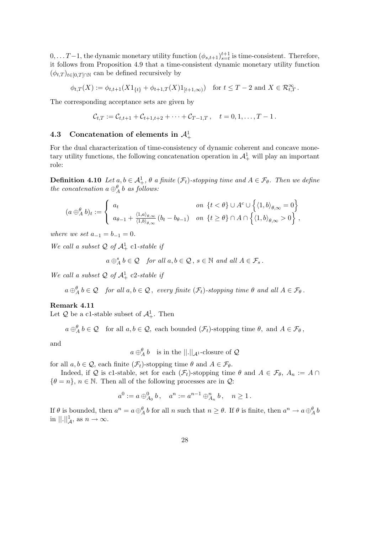$0, \ldots T-1$ , the dynamic monetary utility function  $(\phi_{s,t+1})_{s=t}^{t+1}$  is time-consistent. Therefore, it follows from Proposition 4.9 that a time-consistent dynamic monetary utility function  $(\phi_{t,T})_{t\in[0,T]\cap\mathbb{N}}$  can be defined recursively by

$$
\phi_{t,T}(X) := \phi_{t,t+1}(X 1_{\{t\}} + \phi_{t+1,T}(X) 1_{[t+1,\infty)}) \text{ for } t \leq T - 2 \text{ and } X \in \mathcal{R}_{t,T}^{\infty}.
$$

The corresponding acceptance sets are given by

$$
\mathcal{C}_{t,T} := \mathcal{C}_{t,t+1} + \mathcal{C}_{t+1,t+2} + \cdots + \mathcal{C}_{T-1,T}, \quad t = 0, 1, \ldots, T-1.
$$

# 4.3 Concatenation of elements in  $\mathcal{A}_+^1$

For the dual characterization of time-consistency of dynamic coherent and concave monetary utility functions, the following concatenation operation in  $\mathcal{A}^1_+$  will play an important role:

**Definition 4.10** Let  $a, b \in A^1_+, \theta$  a finite  $(\mathcal{F}_t)$ -stopping time and  $A \in \mathcal{F}_{\theta}$ . Then we define the concatenation  $a \oplus^{\theta}_{A} b$  as follows:

$$
(a \oplus_{A}^{\theta} b)_{t} := \begin{cases} a_{t} & \text{on } \{t < \theta\} \cup A^{c} \cup \left\{ \langle 1, b \rangle_{\theta, \infty} = 0 \right\} \\ a_{\theta - 1} + \frac{\langle 1, a \rangle_{\theta, \infty}}{\langle 1, b \rangle_{\theta, \infty}} (b_{t} - b_{\theta - 1}) & \text{on } \{t \ge \theta\} \cap A \cap \left\{ \langle 1, b \rangle_{\theta, \infty} > 0 \right\}, \end{cases}
$$

where we set  $a_{-1} = b_{-1} = 0$ .

We call a subset  $\mathcal Q$  of  $\mathcal A^1_+$  c1-stable if

$$
a \oplus_A^s b \in \mathcal{Q}
$$
 for all  $a, b \in \mathcal{Q}, s \in \mathbb{N}$  and all  $A \in \mathcal{F}_s$ .

We call a subset  $\mathcal Q$  of  $\mathcal A^1_+$  c2-stable if

 $a \oplus^{\theta}_{A} b \in \mathcal{Q}$  for all  $a, b \in \mathcal{Q}$ , every finite  $(\mathcal{F}_{t})$ -stopping time  $\theta$  and all  $A \in \mathcal{F}_{\theta}$ .

#### Remark 4.11

Let  $\mathcal Q$  be a c1-stable subset of  $\mathcal A^1_+$ . Then

 $a \oplus^{\theta}_{A} b \in \mathcal{Q}$  for all  $a, b \in \mathcal{Q}$ , each bounded  $(\mathcal{F}_{t})$ -stopping time  $\theta$ , and  $A \in \mathcal{F}_{\theta}$ ,

and

 $a \oplus_A^{\theta} b$  is in the  $||.||_{\mathcal{A}^1}$ -closure of  $\mathcal{Q}$ 

for all  $a, b \in \mathcal{Q}$ , each finite  $(\mathcal{F}_t)$ -stopping time  $\theta$  and  $A \in \mathcal{F}_{\theta}$ .

Indeed, if Q is c1-stable, set for each  $(\mathcal{F}_t)$ -stopping time  $\theta$  and  $A \in \mathcal{F}_{\theta}$ ,  $A_n := A \cap$  $\{\theta = n\}, n \in \mathbb{N}$ . Then all of the following processes are in  $\mathcal{Q}$ :

$$
a^0:=a\oplus_{A_0}^0 b\,,\quad a^n:=a^{n-1}\oplus_{A_n}^n b\,,\quad n\geq 1\,.
$$

If  $\theta$  is bounded, then  $a^n = a \oplus_A^{\theta} b$  for all n such that  $n \ge \theta$ . If  $\theta$  is finite, then  $a^n \to a \oplus_A^{\theta} b$ in  $\Vert . \Vert_{\mathcal{A}}^1$ , as  $n \to \infty$ .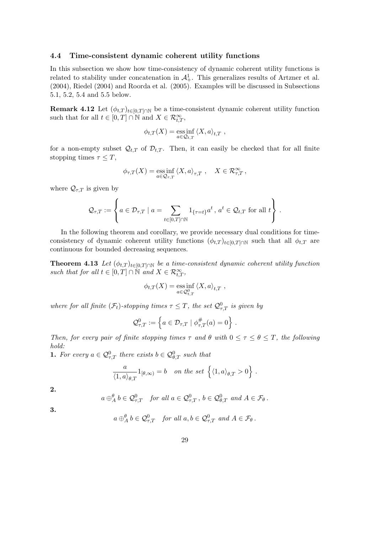#### 4.4 Time-consistent dynamic coherent utility functions

In this subsection we show how time-consistency of dynamic coherent utility functions is related to stability under concatenation in  $\mathcal{A}^1_+$ . This generalizes results of Artzner et al. (2004), Riedel (2004) and Roorda et al. (2005). Examples will be discussed in Subsections 5.1, 5.2, 5.4 and 5.5 below.

**Remark 4.12** Let  $(\phi_{t,T})_{t\in[0,T]\cap\mathbb{N}}$  be a time-consistent dynamic coherent utility function such that for all  $t \in [0, T] \cap \mathbb{N}$  and  $X \in \mathcal{R}_{t,T}^{\infty}$ ,

$$
\phi_{t,T}(X) = \underset{a \in \mathcal{Q}_{t,T}}{\mathrm{ess}\inf} \left\langle X, a \right\rangle_{t,T} ,
$$

for a non-empty subset  $\mathcal{Q}_{t,T}$  of  $\mathcal{D}_{t,T}$ . Then, it can easily be checked that for all finite stopping times  $\tau \leq T$ ,

$$
\phi_{\tau,T}(X) = \underset{a \in \mathcal{Q}_{\tau,T}}{\mathrm{ess\,inf}} \left\langle X, a \right\rangle_{\tau,T}, \quad X \in \mathcal{R}_{\tau,T}^{\infty},
$$

where  $\mathcal{Q}_{\tau,T}$  is given by

 $\overline{a}$ 

$$
\mathcal{Q}_{\tau,T} := \left\{ a \in \mathcal{D}_{\tau,T} \mid a = \sum_{t \in [0,T] \cap \mathbb{N}} 1_{\{\tau = t\}} a^t, a^t \in \mathcal{Q}_{t,T} \text{ for all } t \right\}.
$$

 $\mathbf{r}$ 

In the following theorem and corollary, we provide necessary dual conditions for timeconsistency of dynamic coherent utility functions  $(\phi_{t,T})_{t\in[0,T]\cap\mathbb{N}}$  such that all  $\phi_{t,T}$  are continuous for bounded decreasing sequences.

**Theorem 4.13** Let  $(\phi_{t,T})_{t\in[0,T]\cap\mathbb{N}}$  be a time-consistent dynamic coherent utility function such that for all  $t \in [0,T] \cap \mathbb{N}$  and  $X \in \mathcal{R}_{t,T}^{\infty}$ ,

$$
\phi_{t,T}(X) = \underset{a \in \mathcal{Q}_{t,T}^0}{\text{ess inf }} \langle X, a \rangle_{t,T} ,
$$

where for all finite  $(\mathcal{F}_t)$ -stopping times  $\tau \leq T$ , the set  $\mathcal{Q}^0_{\tau,T}$  is given by

$$
\mathcal{Q}_{\tau,T}^0 := \left\{ a \in \mathcal{D}_{\tau,T} \mid \phi_{\tau,T}^{\#}(a) = 0 \right\} \, .
$$

Then, for every pair of finite stopping times  $\tau$  and  $\theta$  with  $0 \leq \tau \leq \theta \leq T$ , the following hold:

**1.** For every  $a \in \mathcal{Q}_{\tau,T}^0$  there exists  $b \in \mathcal{Q}_{\theta,T}^0$  such that

$$
\frac{a}{\langle 1, a \rangle_{\theta, T}} 1_{[\theta, \infty)} = b \quad on \, the \, set \, \left\{ \langle 1, a \rangle_{\theta, T} > 0 \right\} \, .
$$

2.

$$
a \oplus_A^{\theta} b \in \mathcal{Q}_{\tau,T}^0
$$
 for all  $a \in \mathcal{Q}_{\tau,T}^0$ ,  $b \in \mathcal{Q}_{\theta,T}^0$  and  $A \in \mathcal{F}_{\theta}$ .

3.

$$
a \oplus^{\theta}_{A} b \in \mathcal{Q}^{0}_{\tau,T}
$$
 for all  $a, b \in \mathcal{Q}^{0}_{\tau,T}$  and  $A \in \mathcal{F}_{\theta}$ .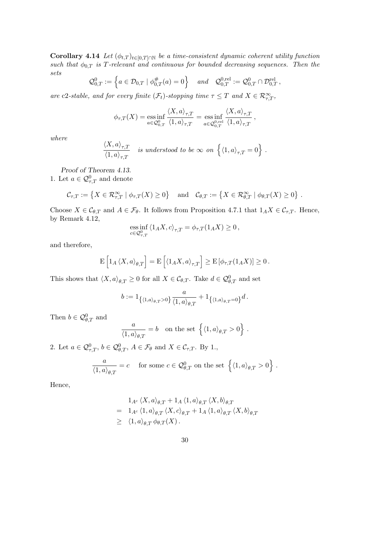Corollary 4.14 Let  $(\phi_{t,T})_{t\in[0,T]\cap\mathbb{N}}$  be a time-consistent dynamic coherent utility function such that  $\phi_{0,T}$  is T-relevant and continuous for bounded decreasing sequences. Then the sets

$$
\mathcal{Q}_{0,T}^0 := \left\{ a \in \mathcal{D}_{0,T} \mid \phi_{0,T}^{\#}(a) = 0 \right\} \quad and \quad \mathcal{Q}_{0,T}^{0,\text{rel}} := \mathcal{Q}_{0,T}^0 \cap \mathcal{D}_{0,T}^{\text{rel}} \,,
$$

are c2-stable, and for every finite  $(\mathcal{F}_t)$ -stopping time  $\tau \leq T$  and  $X \in \mathcal{R}_{\tau,T}^{\infty}$ ,

$$
\phi_{\tau,T}(X) = \underset{a \in \mathcal{Q}_{0,T}^{0}}{\mathrm{ess\,inf}} \frac{\langle X, a \rangle_{\tau,T}}{\langle 1, a \rangle_{\tau,T}} = \underset{a \in \mathcal{Q}_{0,T}^{0, \mathrm{rel}}}{\mathrm{ess\,inf}} \frac{\langle X, a \rangle_{\tau,T}}{\langle 1, a \rangle_{\tau,T}},
$$

where

$$
\frac{\langle X, a \rangle_{\tau, T}}{\langle 1, a \rangle_{\tau, T}} \quad \text{is understood to be } \infty \text{ on } \left\{ \langle 1, a \rangle_{\tau, T} = 0 \right\}.
$$

Proof of Theorem 4.13. 1. Let  $a \in \mathcal{Q}^0_{\tau,T}$  and denote

$$
\mathcal{C}_{\tau,T} := \left\{ X \in \mathcal{R}_{\tau,T}^{\infty} \mid \phi_{\tau,T}(X) \ge 0 \right\} \quad \text{and} \quad \mathcal{C}_{\theta,T} := \left\{ X \in \mathcal{R}_{\theta,T}^{\infty} \mid \phi_{\theta,T}(X) \ge 0 \right\}.
$$

Choose  $X \in \mathcal{C}_{\theta,T}$  and  $A \in \mathcal{F}_{\theta}$ . It follows from Proposition 4.7.1 that  $1_A X \in \mathcal{C}_{\tau,T}$ . Hence, by Remark 4.12,

$$
\operatorname*{ess\,inf}_{c\in\mathcal{Q}^0_{\tau,T}} \left\langle 1_A X, c\right\rangle_{\tau,T} = \phi_{\tau,T}(1_A X) \geq 0\,,
$$

and therefore,

$$
\mathbf{E}\left[\mathbf{1}_A\left\langle X,a\right\rangle_{\theta,T}\right] = \mathbf{E}\left[\left\langle \mathbf{1}_A X,a\right\rangle_{\tau,T}\right] \geq \mathbf{E}\left[\phi_{\tau,T}(\mathbf{1}_A X)\right] \geq 0.
$$

This shows that  $\langle X, a \rangle_{\theta,T} \geq 0$  for all  $X \in \mathcal{C}_{\theta,T}$ . Take  $d \in \mathcal{Q}_{\theta,T}^0$  and set

$$
b:=1_{\left\{\langle 1,a\rangle_{\theta,T}>0\right\}}\frac{a}{\langle 1,a\rangle_{\theta,T}}+1_{\left\{\langle 1,a\rangle_{\theta,T}=0\right\}}d\,.
$$

Then  $b \in \mathcal{Q}^0_{\theta,T}$  and

$$
\frac{a}{\langle 1,a\rangle_{\theta,T}}=b\quad\text{on the set }\left\{\langle 1,a\rangle_{\theta,T}>0\right\}\,.
$$

2. Let  $a \in \mathcal{Q}^0_{\tau,T}$ ,  $b \in \mathcal{Q}^0_{\theta,T}$ ,  $A \in \mathcal{F}_{\theta}$  and  $X \in \mathcal{C}_{\tau,T}$ . By 1.,

$$
\frac{a}{\langle 1, a \rangle_{\theta, T}} = c \quad \text{ for some } c \in \mathcal{Q}_{\theta, T}^0 \text{ on the set } \left\{ \langle 1, a \rangle_{\theta, T} > 0 \right\}.
$$

Hence,

$$
1_{A^c} \langle X, a \rangle_{\theta, T} + 1_A \langle 1, a \rangle_{\theta, T} \langle X, b \rangle_{\theta, T}
$$
  
= 
$$
1_{A^c} \langle 1, a \rangle_{\theta, T} \langle X, c \rangle_{\theta, T} + 1_A \langle 1, a \rangle_{\theta, T} \langle X, b \rangle_{\theta, T}
$$
  

$$
\geq \langle 1, a \rangle_{\theta, T} \phi_{\theta, T}(X).
$$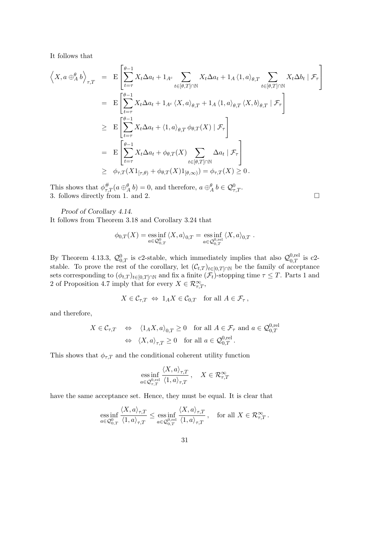It follows that

$$
\left\langle X, a \oplus_{A}^{a} b \right\rangle_{\tau, T} = \mathbf{E} \left[ \sum_{t=\tau}^{\theta-1} X_{t} \Delta a_{t} + 1_{A^{c}} \sum_{t \in [\theta, T] \cap \mathbb{N}} X_{t} \Delta a_{t} + 1_{A} \langle 1, a \rangle_{\theta, T} \sum_{t \in [\theta, T] \cap \mathbb{N}} X_{t} \Delta b_{t} \mid \mathcal{F}_{\tau} \right]
$$
  
\n
$$
= \mathbf{E} \left[ \sum_{t=\tau}^{\theta-1} X_{t} \Delta a_{t} + 1_{A^{c}} \langle X, a \rangle_{\theta, T} + 1_{A} \langle 1, a \rangle_{\theta, T} \langle X, b \rangle_{\theta, T} \mid \mathcal{F}_{\tau} \right]
$$
  
\n
$$
\geq \mathbf{E} \left[ \sum_{t=\tau}^{\theta-1} X_{t} \Delta a_{t} + \langle 1, a \rangle_{\theta, T} \phi_{\theta, T}(X) \mid \mathcal{F}_{\tau} \right]
$$
  
\n
$$
= \mathbf{E} \left[ \sum_{t=\tau}^{\theta-1} X_{t} \Delta a_{t} + \phi_{\theta, T}(X) \sum_{t \in [\theta, T] \cap \mathbb{N}} \Delta a_{t} \mid \mathcal{F}_{\tau} \right]
$$
  
\n
$$
\geq \phi_{\tau, T}(X 1_{[\tau, \theta)} + \phi_{\theta, T}(X) 1_{[\theta, \infty)} = \phi_{\tau, T}(X) \geq 0.
$$

This shows that  $\phi_{\tau,T}^{\#}(a \oplus_A^{\theta} b) = 0$ , and therefore,  $a \oplus_A^{\theta} b \in \mathcal{Q}_{\tau,T}^0$ . 3. follows directly from 1. and 2.  $\Box$ 

Proof of Corollary 4.14.

It follows from Theorem 3.18 and Corollary 3.24 that

$$
\phi_{0,T}(X) = \underset{a \in \mathcal{Q}_{0,T}^{0}}{\text{ess inf }} \langle X, a \rangle_{0,T} = \underset{a \in \mathcal{Q}_{0,T}^{0, \text{rel}}}{\text{ess inf }} \langle X, a \rangle_{0,T} .
$$

By Theorem 4.13.3,  $\mathcal{Q}_{0,T}^0$  is c2-stable, which immediately implies that also  $\mathcal{Q}_{0,T}^{0,\text{rel}}$  is c2stable. To prove the rest of the corollary, let  $(\mathcal{C}_{t,T})_{t\in[0,T]\cap\mathbb{N}}$  be the family of acceptance sets corresponding to  $(\phi_{t,T})_{t\in[0,T]\cap\mathbb{N}}$  and fix a finite  $(\mathcal{F}_t)$ -stopping time  $\tau \leq T$ . Parts 1 and 2 of Proposition 4.7 imply that for every  $X \in \mathcal{R}_{\tau,T}^{\infty}$ ,

$$
X \in \mathcal{C}_{\tau,T} \Leftrightarrow 1_A X \in \mathcal{C}_{0,T} \quad \text{for all } A \in \mathcal{F}_{\tau},
$$

and therefore,

$$
X \in \mathcal{C}_{\tau,T} \quad \Leftrightarrow \quad \langle 1_A X, a \rangle_{0,T} \ge 0 \quad \text{for all } A \in \mathcal{F}_{\tau} \text{ and } a \in \mathcal{Q}_{0,T}^{0,\text{rel}} \Leftrightarrow
$$

$$
\langle X, a \rangle_{\tau,T} \ge 0 \quad \text{for all } a \in \mathcal{Q}_{0,T}^{0,\text{rel}}.
$$

This shows that  $\phi_{\tau,T}$  and the conditional coherent utility function

$$
\underset{a \in \mathcal{Q}_{\tau,T}^{0,\mathrm{rel}}}{\mathrm{ess\,inf}} \frac{\langle X, a \rangle_{\tau,T}}{\langle 1, a \rangle_{\tau,T}}, \quad X \in \mathcal{R}_{\tau,T}^{\infty}
$$

have the same acceptance set. Hence, they must be equal. It is clear that

$$
\underset{a \in \mathcal{Q}_{0,T}^{0}}{\text{ess inf}} \frac{\langle X, a \rangle_{\tau,T}}{\langle 1, a \rangle_{\tau,T}} \le \underset{a \in \mathcal{Q}_{0,T}^{0, \text{rel}}} {\text{ess inf}} \frac{\langle X, a \rangle_{\tau,T}}{\langle 1, a \rangle_{\tau,T}}, \quad \text{for all } X \in \mathcal{R}_{\tau,T}^{\infty}.
$$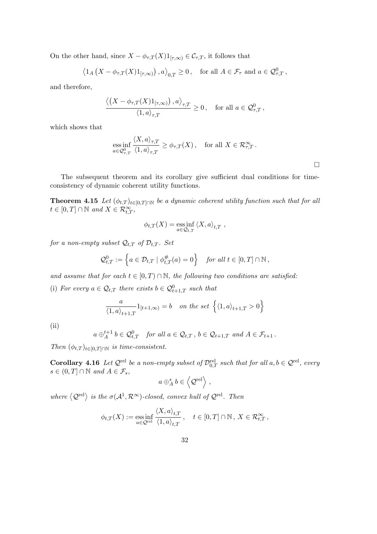On the other hand, since  $X - \phi_{\tau,T}(X)1_{[\tau,\infty)} \in C_{\tau,T}$ , it follows that

$$
\left\langle 1_A\left(X - \phi_{\tau,T}(X)1_{[\tau,\infty)}\right), a \right\rangle_{0,T} \ge 0, \quad \text{for all } A \in \mathcal{F}_{\tau} \text{ and } a \in \mathcal{Q}^0_{\tau,T},
$$

and therefore,

$$
\frac{\langle \left(X-\phi_{\tau,T}(X)1_{[\tau,\infty)}\right),a\rangle_{\tau,T}}{\langle 1,a\rangle_{\tau,T}}\geq 0\,,\quad\text{for all}\,\, a\in\mathcal{Q}^0_{\tau,T}\,,
$$

which shows that

$$
\underset{a \in \mathcal{Q}_{\tau,T}^0}{\text{ess inf}} \frac{\langle X, a \rangle_{\tau,T}}{\langle 1, a \rangle_{\tau,T}} \ge \phi_{\tau,T}(X), \quad \text{for all } X \in \mathcal{R}_{\tau,T}^{\infty}.
$$

The subsequent theorem and its corollary give sufficient dual conditions for timeconsistency of dynamic coherent utility functions.

**Theorem 4.15** Let  $(\phi_{t,T})_{t\in[0,T]\cap\mathbb{N}}$  be a dynamic coherent utility function such that for all  $t \in [0, T] \cap \mathbb{N}$  and  $X \in \mathcal{R}_{t, T}^{\infty}$ ,

$$
\phi_{t,T}(X) = \underset{a \in \mathcal{Q}_{t,T}}{\mathrm{ess\,inf}} \left\langle X, a \right\rangle_{t,T} ,
$$

for a non-empty subset  $\mathcal{Q}_{t,T}$  of  $\mathcal{D}_{t,T}$ . Set

$$
\mathcal{Q}^0_{t,T} := \left\{ a \in \mathcal{D}_{t,T} \mid \phi_{t,T}^{\#}(a) = 0 \right\} \quad \text{for all } t \in [0,T] \cap \mathbb{N},
$$

and assume that for each  $t \in [0, T) \cap \mathbb{N}$ , the following two conditions are satisfied:

(i) For every  $a \in \mathcal{Q}_{t,T}$  there exists  $b \in \mathcal{Q}_{t+1,T}^0$  such that

$$
\frac{a}{\langle 1, a \rangle_{t+1,T}} 1_{[t+1,\infty)} = b \quad on \ the \ set \ \Big\{ \langle 1, a \rangle_{t+1,T} > 0 \Big\}
$$

(ii)

$$
a \oplus_A^{t+1} b \in \mathcal{Q}_{t,T}^0
$$
 for all  $a \in \mathcal{Q}_{t,T}$ ,  $b \in \mathcal{Q}_{t+1,T}$  and  $A \in \mathcal{F}_{t+1}$ .

Then  $(\phi_{t,T})_{t\in[0,T]\cap\mathbb{N}}$  is time-consistent.

**Corollary 4.16** Let  $\mathcal{Q}^{\text{rel}}$  be a non-empty subset of  $\mathcal{D}_{0,T}^{\text{rel}}$  such that for all  $a, b \in \mathcal{Q}^{\text{rel}}$ , every  $s \in (0, T] \cap \mathbb{N}$  and  $A \in \mathcal{F}_s$ ,  $\overline{a}$ 

$$
a \oplus_A^s b \in \left\langle \mathcal{Q}^{\text{rel}} \right\rangle,
$$

where  $\langle \mathcal{Q}^{\text{rel}} \rangle$  is the  $\sigma(\mathcal{A}^1, \mathcal{R}^{\infty})$ -closed, convex hull of  $\mathcal{Q}^{\text{rel}}$ . Then

$$
\phi_{t,T}(X) := \underset{a \in \mathcal{Q}^{\text{rel}}}{\text{ess inf}} \frac{\langle X, a \rangle_{t,T}}{\langle 1, a \rangle_{t,T}}, \quad t \in [0, T] \cap \mathbb{N}, X \in \mathcal{R}_{t,T}^{\infty},
$$

 $\Box$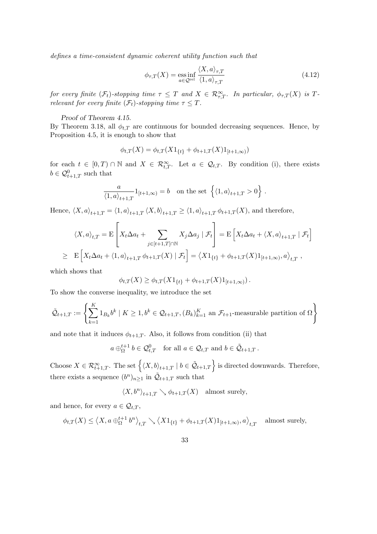defines a time-consistent dynamic coherent utility function such that

$$
\phi_{\tau,T}(X) = \underset{a \in \mathcal{Q}^{\text{rel}}}{\text{ess inf}} \frac{\langle X, a \rangle_{\tau,T}}{\langle 1, a \rangle_{\tau,T}} \tag{4.12}
$$

for every finite  $(\mathcal{F}_t)$ -stopping time  $\tau \leq T$  and  $X \in \mathcal{R}_{\tau,T}^{\infty}$ . In particular,  $\phi_{\tau,T}(X)$  is  $T$ relevant for every finite  $(\mathcal{F}_t)$ -stopping time  $\tau \leq T$ .

#### Proof of Theorem 4.15.

By Theorem 3.18, all  $\phi_{t,T}$  are continuous for bounded decreasing sequences. Hence, by Proposition 4.5, it is enough to show that

$$
\phi_{t,T}(X) = \phi_{t,T}(X1_{\{t\}} + \phi_{t+1,T}(X)1_{[t+1,\infty)})
$$

for each  $t \in [0,T) \cap \mathbb{N}$  and  $X \in \mathcal{R}_{t,T}^{\infty}$ . Let  $a \in \mathcal{Q}_{t,T}$ . By condition (i), there exists  $b \in \mathcal{Q}_{t+1,T}^0$  such that

$$
\frac{a}{\langle 1, a \rangle_{t+1,T}} 1_{[t+1,\infty)} = b \quad \text{on the set } \left\{ \langle 1, a \rangle_{t+1,T} > 0 \right\}.
$$

Hence,  $\langle X, a \rangle_{t+1,T} = \langle 1, a \rangle_{t+1,T} \langle X, b \rangle_{t+1,T} \ge \langle 1, a \rangle_{t+1,T} \phi_{t+1,T}(X)$ , and therefore,  $\overline{a}$  $\overline{a}$ 

$$
\langle X, a \rangle_{t,T} = \mathcal{E} \left[ X_t \Delta a_t + \sum_{j \in [t+1,T] \cap \mathbb{N}} X_j \Delta a_j \mid \mathcal{F}_t \right] = \mathcal{E} \left[ X_t \Delta a_t + \langle X, a \rangle_{t+1,T} \mid \mathcal{F}_t \right]
$$
  
\n
$$
\geq \mathcal{E} \left[ X_t \Delta a_t + \langle 1, a \rangle_{t+1,T} \phi_{t+1,T}(X) \mid \mathcal{F}_t \right] = \langle X \mathbf{1}_{\{t\}} + \phi_{t+1,T}(X) \mathbf{1}_{[t+1,\infty)}, a \rangle_{t,T},
$$

which shows that

$$
\phi_{t,T}(X) \ge \phi_{t,T}(X1_{\{t\}} + \phi_{t+1,T}(X)1_{[t+1,\infty)}).
$$

To show the converse inequality, we introduce the set

$$
\tilde{\mathcal{Q}}_{t+1,T} := \left\{ \sum_{k=1}^K 1_{B_k} b^k \mid K \geq 1, b^k \in \mathcal{Q}_{t+1,T}, (B_k)_{k=1}^K \text{ an } \mathcal{F}_{t+1} \text{-measurable partition of } \Omega \right\}
$$

and note that it induces  $\phi_{t+1,T}$ . Also, it follows from condition (ii) that

$$
a \oplus_{\Omega}^{t+1} b \in \mathcal{Q}_{t,T}^0 \text{ for all } a \in \mathcal{Q}_{t,T} \text{ and } b \in \tilde{\mathcal{Q}}_{t+1,T}.
$$

Choose  $X \in \mathcal{R}_{t+1,T}^{\infty}$ . The set  $\left\{ \langle X, b \rangle_{t+1,T} \mid b \in \tilde{\mathcal{Q}}_{t+1,T} \right\}$  is directed downwards. Therefore, there exists a sequence  $(b^n)_{n\geq 1}$  in  $\mathcal{Q}_{t+1,T}$  such that

$$
\langle X, b^n\rangle_{t+1,T} \searrow \phi_{t+1,T}(X) \quad \text{almost surely},
$$

and hence, for every  $a \in \mathcal{Q}_{t,T}$ ,

$$
\phi_{t,T}(X) \le \langle X, a \oplus_{\Omega}^{t+1} b^{n} \rangle_{t,T} \setminus \langle X1_{\{t\}} + \phi_{t+1,T}(X)1_{[t+1,\infty)}, a \rangle_{t,T} \quad \text{almost surely,}
$$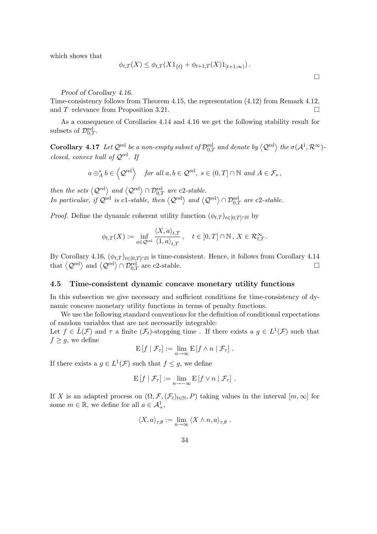which shows that

$$
\phi_{t,T}(X) \leq \phi_{t,T}(X1_{\{t\}} + \phi_{t+1,T}(X)1_{[t+1,\infty)}).
$$

Proof of Corollary 4.16.

Time-consistency follows from Theorem 4.15, the representation (4.12) from Remark 4.12, and T-relevance from Proposition 3.21.  $\Box$ 

As a consequence of Corollaries 4.14 and 4.16 we get the following stability result for subsets of  $\mathcal{D}_{0,T}^{\text{rel}}$ .

**Corollary 4.17** Let  $\mathcal{Q}^{\text{rel}}$  be a non-empty subset of  $\mathcal{D}_{0,T}^{\text{rel}}$  and denote by  $\langle \mathcal{Q}^{\text{rel}} \rangle$  the  $\sigma(\mathcal{A}^1,\mathcal{R}^{\infty})$ closed, convex hull of  $\mathcal{Q}^{\text{rel}}$ . If

$$
a \oplus_A^s b \in \langle \mathcal{Q}^{\text{rel}} \rangle
$$
 for all  $a, b \in \mathcal{Q}^{\text{rel}}, s \in (0, T] \cap \mathbb{N}$  and  $A \in \mathcal{F}_s$ ,

then the sets  $\langle \mathcal{Q}^{\text{rel}} \rangle$  and  $\langle \mathcal{Q}^{\text{rel}} \rangle \cap \mathcal{D}_{0,T}^{\text{rel}}$  are c2-stable.<br>In particular, if  $\mathcal{Q}^{\text{rel}}$  is c1-stable, then  $\langle \mathcal{Q}^{\text{rel}} \rangle$  and  $\langle \mathcal{Q}^{\text{rel}} \rangle \cap \mathcal{D}_{0,T}^{\text{rel}}$  are c2-stable.

*Proof.* Define the dynamic coherent utility function  $(\phi_{t,T})_{t\in[0,T]\cap\mathbb{N}}$  by

$$
\phi_{t,T}(X) := \inf_{a \in \mathcal{Q}^{\text{rel}}} \frac{\langle X, a \rangle_{t,T}}{\langle 1, a \rangle_{t,T}}, \quad t \in [0, T] \cap \mathbb{N}, X \in \mathcal{R}_{t,T}^{\infty}.
$$

By Corollary 4.16,  $(\phi_{t,T})_{t\in[0,T]\cap\mathbb{N}}$  is time-consistent. Hence, it follows from Corollary 4.14 by Coronary 4.10,  $(\varphi_{t,T/t\in[0,T]\cap\mathbb{N}}$  is time-consistent. Hence, it follows from Coronary 4.14<br>that  $\langle \mathcal{Q}^{\text{rel}} \rangle$  and  $\langle \mathcal{Q}^{\text{rel}} \rangle \cap \mathcal{D}_{0,T}^{\text{rel}}$  are c2-stable.

#### 4.5 Time-consistent dynamic concave monetary utility functions

In this subsection we give necessary and sufficient conditions for time-consistency of dynamic concave monetary utility functions in terms of penalty functions.

We use the following standard conventions for the definition of conditional expectations of random variables that are not necessarily integrable: Let  $f \in \overline{L}(\mathcal{F})$  and  $\tau$  a finite  $(\mathcal{F}_t)$ -stopping time. If there exists a  $g \in L^1(\mathcal{F})$  such that  $f \geq g$ , we define

$$
\mathrm{E}[f \mid \mathcal{F}_{\tau}] := \lim_{n \to \infty} \mathrm{E}[f \wedge n \mid \mathcal{F}_{\tau}].
$$

If there exists a  $g \in L^1(\mathcal{F})$  such that  $f \leq g$ , we define

$$
\mathrm{E}[f \mid \mathcal{F}_{\tau}] := \lim_{n \to -\infty} \mathrm{E}[f \vee n \mid \mathcal{F}_{\tau}].
$$

If X is an adapted process on  $(\Omega, \mathcal{F},(\mathcal{F}_t)_{t\in\mathbb{N}}, P)$  taking values in the interval  $[m,\infty]$  for some  $m \in \mathbb{R}$ , we define for all  $a \in \mathcal{A}^1_+$ ,

$$
\langle X, a \rangle_{\tau, \theta} := \lim_{n \to \infty} \langle X \wedge n, a \rangle_{\tau, \theta} .
$$

 $\Box$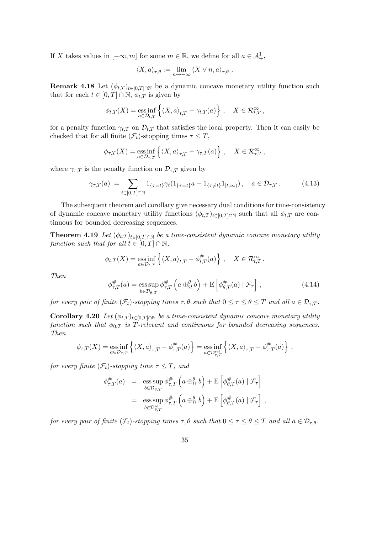If X takes values in  $[-\infty, m]$  for some  $m \in \mathbb{R}$ , we define for all  $a \in \mathcal{A}^1_+$ ,

$$
\langle X, a \rangle_{\tau, \theta} := \lim_{n \to -\infty} \langle X \vee n, a \rangle_{\tau, \theta} .
$$

**Remark 4.18** Let  $(\phi_{t,T})_{t\in[0,T]\cap\mathbb{N}}$  be a dynamic concave monetary utility function such that for each  $t \in [0, T] \cap \mathbb{N}$ ,  $\phi_{t,T}$  is given by

$$
\phi_{t,T}(X) = \underset{a \in \mathcal{D}_{t,T}}{\mathrm{ess\,inf}} \left\{ \langle X, a \rangle_{t,T} - \gamma_{t,T}(a) \right\} , \quad X \in \mathcal{R}_{t,T}^{\infty} ,
$$

for a penalty function  $\gamma_{t,T}$  on  $\mathcal{D}_{t,T}$  that satisfies the local property. Then it can easily be checked that for all finite  $(\mathcal{F}_t)$ -stopping times  $\tau \leq T$ ,

$$
\phi_{\tau,T}(X) = \underset{a \in \mathcal{D}_{\tau,T}}{\mathrm{ess\,inf}} \left\{ \langle X, a \rangle_{\tau,T} - \gamma_{\tau,T}(a) \right\} , \quad X \in \mathcal{R}_{\tau,T}^{\infty} ,
$$

where  $\gamma_{\tau,T}$  is the penalty function on  $\mathcal{D}_{\tau,T}$  given by

$$
\gamma_{\tau,T}(a) := \sum_{t \in [0,T] \cap \mathbb{N}} 1_{\{\tau = t\}} \gamma_t (1_{\{\tau = t\}} a + 1_{\{\tau \neq t\}} 1_{[t,\infty)}), \quad a \in \mathcal{D}_{\tau,T}.
$$
 (4.13)

The subsequent theorem and corollary give necessary dual conditions for time-consistency of dynamic concave monetary utility functions  $(\phi_{t,T})_{t\in[0,T]\cap\mathbb{N}}$  such that all  $\phi_{t,T}$  are continuous for bounded decreasing sequences.

**Theorem 4.19** Let  $(\phi_{t,T})_{t\in[0,T]\cap\mathbb{N}}$  be a time-consistent dynamic concave monetary utility function such that for all  $t \in [0, T] \cap \mathbb{N}$ ,

$$
\phi_{t,T}(X) = \underset{a \in \mathcal{D}_{t,T}}{\mathrm{ess}\inf} \left\{ \langle X, a \rangle_{t,T} - \phi_{t,T}^{\#}(a) \right\} , \quad X \in \mathcal{R}_{t,T}^{\infty}.
$$

Then

$$
\phi_{\tau,T}^{\#}(a) = \operatorname*{ess\,sup}_{b \in \mathcal{D}_{\theta,T}} \phi_{\tau,T}^{\#}\left(a \oplus_{\Omega}^{\theta} b\right) + \operatorname{E}\left[\phi_{\theta,T}^{\#}(a) \mid \mathcal{F}_{\tau}\right],\tag{4.14}
$$

for every pair of finite  $(\mathcal{F}_t)$ -stopping times  $\tau, \theta$  such that  $0 \leq \tau \leq \theta \leq T$  and all  $a \in \mathcal{D}_{\tau,T}$ .

Corollary 4.20 Let  $(\phi_{t,T})_{t\in[0,T]\cap\mathbb{N}}$  be a time-consistent dynamic concave monetary utility function such that  $\phi_{0,T}$  is T-relevant and continuous for bounded decreasing sequences. Then

$$
\phi_{\tau,T}(X) = \underset{a \in \mathcal{D}_{\tau,T}}{\mathrm{ess}\inf} \left\{ \langle X, a \rangle_{\tau,T} - \phi_{\tau,T}^{\#}(a) \right\} = \underset{a \in \mathcal{D}_{\tau,T}^{\mathrm{rel}}}{\mathrm{ess}\inf} \left\{ \langle X, a \rangle_{\tau,T} - \phi_{\tau,T}^{\#}(a) \right\} ,
$$

for every finite  $(\mathcal{F}_t)$ -stopping time  $\tau \leq T$ , and

$$
\phi_{\tau,T}^{\#}(a) = \operatorname*{ess\,sup}_{b \in \mathcal{D}_{\theta,T}} \phi_{\tau,T}^{\#}\left(a \oplus_{\Omega}^{\theta} b\right) + \operatorname{E}\left[\phi_{\theta,T}^{\#}(a) \mid \mathcal{F}_{\tau}\right]
$$
  

$$
= \operatorname*{ess\,sup}_{b \in \mathcal{D}_{\theta,T}^{\text{rel}}} \phi_{\tau,T}^{\#}\left(a \oplus_{\Omega}^{\theta} b\right) + \operatorname{E}\left[\phi_{\theta,T}^{\#}(a) \mid \mathcal{F}_{\tau}\right],
$$

for every pair of finite  $(\mathcal{F}_t)$ -stopping times  $\tau, \theta$  such that  $0 \leq \tau \leq \theta \leq T$  and all  $a \in \mathcal{D}_{\tau,\theta}$ .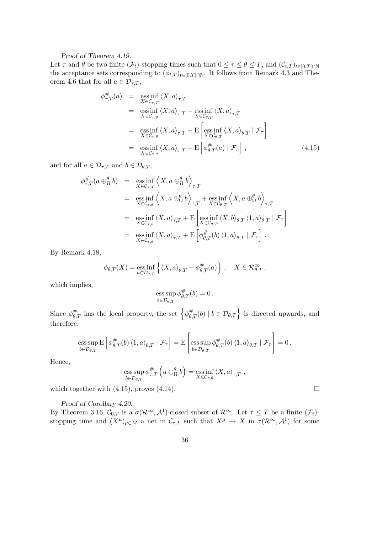#### Proof of Theorem 4.19.

Let  $\tau$  and  $\theta$  be two finite  $(\mathcal{F}_t)$ -stopping times such that  $0 \leq \tau \leq \theta \leq T$ , and  $(\mathcal{C}_{t,T})_{t \in [0,T] \cap \mathbb{N}}$ the acceptance sets corresponding to  $(\phi_{t,T})_{t\in[0,T]\cap\mathbb{N}}$ . It follows from Remark 4.3 and Theorem 4.6 that for all  $a \in \mathcal{D}_{\tau,T}$ ,

$$
\phi_{\tau,T}^{\#}(a) = \operatorname*{ess\,inf}_{X \in \mathcal{C}_{\tau,T}} \langle X, a \rangle_{\tau,T}
$$
\n
$$
= \operatorname*{ess\,inf}_{X \in \mathcal{C}_{\tau,\theta}} \langle X, a \rangle_{\tau,T} + \operatorname*{ess\,inf}_{X \in \mathcal{C}_{\theta,T}} \langle X, a \rangle_{\tau,T}
$$
\n
$$
= \operatorname*{ess\,inf}_{X \in \mathcal{C}_{\tau,\theta}} \langle X, a \rangle_{\tau,T} + \operatorname*{E}\left[\operatorname*{ess\,inf}_{X \in \mathcal{C}_{\theta,T}} \langle X, a \rangle_{\theta,T} | \mathcal{F}_{\tau}\right]
$$
\n
$$
= \operatorname*{ess\,inf}_{X \in \mathcal{C}_{\tau,\theta}} \langle X, a \rangle_{\tau,T} + \operatorname*{E}\left[\phi_{\theta,T}^{\#}(a) | \mathcal{F}_{\tau}\right], \tag{4.15}
$$

and for all  $a \in \mathcal{D}_{\tau,T}$  and  $b \in \mathcal{D}_{\theta,T}$ ,

$$
\phi_{\tau,T}^{\#}(a \oplus_{\Omega}^{\theta} b) = \operatorname*{ess\,inf}_{X \in \mathcal{C}_{\tau,T}} \left\langle X, a \oplus_{\Omega}^{\theta} b \right\rangle_{\tau,T}
$$
\n
$$
= \operatorname*{ess\,inf}_{X \in \mathcal{C}_{\tau,\theta}} \left\langle X, a \oplus_{\Omega}^{\theta} b \right\rangle_{\tau,T} + \operatorname*{ess\,inf}_{X \in \mathcal{C}_{\theta,T}} \left\langle X, a \oplus_{\Omega}^{\theta} b \right\rangle_{\tau,T}
$$
\n
$$
= \operatorname*{ess\,inf}_{X \in \mathcal{C}_{\tau,\theta}} \left\langle X, a \right\rangle_{\tau,T} + \operatorname*{E}\left[\operatorname*{ess\,inf}_{X \in \mathcal{C}_{\theta,T}} \left\langle X, b \right\rangle_{\theta,T} \left\langle 1, a \right\rangle_{\theta,T} \mid \mathcal{F}_{\tau}\right]
$$
\n
$$
= \operatorname*{ess\,inf}_{X \in \mathcal{C}_{\tau,\theta}} \left\langle X, a \right\rangle_{\tau,T} + \operatorname*{E}\left[\phi_{\theta,T}^{\#}(b) \left\langle 1, a \right\rangle_{\theta,T} \mid \mathcal{F}_{\tau}\right].
$$

By Remark 4.18,

$$
\phi_{\theta,T}(X) = \operatorname*{ess\,inf}_{a \in \mathcal{D}_{\theta,T}} \left\{ \langle X, a \rangle_{\theta,T} - \phi_{\theta,T}^{\#}(a) \right\}, \quad X \in \mathcal{R}_{\theta,T}^{\infty},
$$

which implies,

$$
\operatorname*{ess\,sup}_{b\in\mathcal{D}_{\theta,T}}\phi_{\theta,T}^\#(b)=0\,.
$$

Since  $\phi_{\theta}^{\#}$  $\frac{\#}{\theta,T}$  has the local property, the set  $\left\{\phi_{\theta,T}^{\#}\right\}$  $\left\{\begin{aligned}\n\#_{\theta,T}(b) \mid b \in \mathcal{D}_{\theta,T}\n\end{aligned}\right\}$  is directed upwards, and therefore,

$$
\operatorname{ess} \operatorname{sup}_{b \in \mathcal{D}_{\theta,T}} \operatorname{E} \left[ \phi_{\theta,T}^{\#}(b) \, \langle 1,a \rangle_{\theta,T} \mid \mathcal{F}_{\tau} \right] = \operatorname{E} \left[ \operatorname{ess} \operatorname{sup}_{b \in \mathcal{D}_{\theta,T}} \phi_{\theta,T}^{\#}(b) \, \langle 1,a \rangle_{\theta,T} \mid \mathcal{F}_{\tau} \right] = 0 \, .
$$

Hence,

ess sup 
$$
\phi_{\tau,T}^{\#}
$$
  $\left(a \oplus_{\Omega}^{\theta} b\right) = \underset{X \in \mathcal{C}_{\tau,\theta}}{\text{ess inf }} \langle X, a \rangle_{\tau,T}$ ,

which together with  $(4.15)$ , proves  $(4.14)$ .

Proof of Corollary 4.20.

By Theorem 3.16,  $\mathcal{C}_{0,T}$  is a  $\sigma(\mathcal{R}^{\infty}, \mathcal{A}^1)$ -closed subset of  $\mathcal{R}^{\infty}$ . Let  $\tau \leq T$  be a finite  $(\mathcal{F}_t)$ stopping time and  $(X^{\mu})_{\mu \in M}$  a net in  $\mathcal{C}_{\tau,T}$  such that  $X^{\mu} \to X$  in  $\sigma(\mathcal{R}^{\infty}, \mathcal{A}^1)$  for some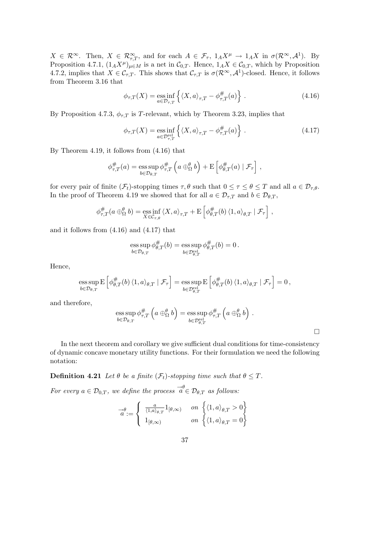$X \in \mathcal{R}^{\infty}$ . Then,  $X \in \mathcal{R}^{\infty}_{\tau,T}$ , and for each  $A \in \mathcal{F}_{\tau}$ ,  $1_A X^{\mu} \to 1_A X$  in  $\sigma(\mathcal{R}^{\infty}, A^1)$ . By Proposition 4.7.1,  $(1_A X^{\mu})_{\mu \in M}$  is a net in  $\mathcal{C}_{0,T}$ . Hence,  $1_A X \in \mathcal{C}_{0,T}$ , which by Proposition 4.7.2, implies that  $X \in \mathcal{C}_{\tau,T}$ . This shows that  $\mathcal{C}_{\tau,T}$  is  $\sigma(\mathcal{R}^{\infty}, \mathcal{A}^1)$ -closed. Hence, it follows from Theorem 3.16 that

$$
\phi_{\tau,T}(X) = \underset{a \in \mathcal{D}_{\tau,T}}{\text{ess inf}} \left\{ \langle X, a \rangle_{\tau,T} - \phi_{\tau,T}^{\#}(a) \right\} \,. \tag{4.16}
$$

By Proposition 4.7.3,  $\phi_{\tau,T}$  is T-relevant, which by Theorem 3.23, implies that

$$
\phi_{\tau,T}(X) = \underset{a \in \mathcal{D}_{\tau,T}^{\text{rel}}}{\text{ess inf}} \left\{ \langle X, a \rangle_{\tau,T} - \phi_{\tau,T}^{\#}(a) \right\} \,. \tag{4.17}
$$

By Theorem 4.19, it follows from (4.16) that

$$
\phi_{\tau,T}^{\#}(a) = \operatorname*{ess\,sup}_{b \in \mathcal{D}_{\theta,T}} \phi_{\tau,T}^{\#}\left(a \oplus_{\Omega}^{\theta} b\right) + \mathrm{E}\left[\phi_{\theta,T}^{\#}(a) \mid \mathcal{F}_{\tau}\right],
$$

for every pair of finite  $(\mathcal{F}_t)$ -stopping times  $\tau, \theta$  such that  $0 \leq \tau \leq \theta \leq T$  and all  $a \in \mathcal{D}_{\tau,\theta}$ . In the proof of Theorem 4.19 we showed that for all  $a \in \mathcal{D}_{\tau,T}$  and  $b \in \mathcal{D}_{\theta,T}$ ,

$$
\phi_{\tau,T}^{\#}(a\oplus_{\Omega}^{\theta} b) = \underset{X \in \mathcal{C}_{\tau,\theta}}{\mathrm{ess\,inf}} \langle X, a \rangle_{\tau,T} + \mathrm{E}\left[\phi_{\theta,T}^{\#}(b) \langle 1, a \rangle_{\theta,T} | \mathcal{F}_{\tau}\right],
$$

and it follows from (4.16) and (4.17) that

$$
\operatorname*{ess\,sup}_{b\in\mathcal{D}_{\theta,T}}\phi_{\theta,T}^\#(b)=\operatorname*{ess\,sup}_{b\in\mathcal{D}_{\theta,T}^{\operatorname*{rel}}} \phi_{\theta,T}^\#(b)=0\,.
$$

Hence,

$$
\operatorname{ess} \operatorname{sup}_{b \in \mathcal{D}_{\theta,T}} \operatorname{E} \left[ \phi_{\theta,T}^{\#}(b) \, \langle 1, a \rangle_{\theta,T} \mid \mathcal{F}_{\tau} \right] = \operatorname{ess} \operatorname{sup}_{b \in \mathcal{D}_{\theta,T}^{\mathrm{rel}}} \operatorname{E} \left[ \phi_{\theta,T}^{\#}(b) \, \langle 1, a \rangle_{\theta,T} \mid \mathcal{F}_{\tau} \right] = 0 \,,
$$

and therefore,

ess sup 
$$
\phi_{\tau,T}^{\#}
$$
  $\left(a \oplus_{\Omega}^{\theta} b\right)$  = ess sup  $\phi_{\tau,T}^{\#}$   $\left(a \oplus_{\Omega}^{\theta} b\right)$ .  
 $b \in \mathcal{D}_{\theta,T}^{\text{rel}}$ 

 $\Box$ 

In the next theorem and corollary we give sufficient dual conditions for time-consistency of dynamic concave monetary utility functions. For their formulation we need the following notation:

**Definition 4.21** Let  $\theta$  be a finite  $(\mathcal{F}_t)$ -stopping time such that  $\theta \leq T$ .

For every  $a \in \mathcal{D}_{0,T}$ , we define the process  $\overrightarrow{a} \in \mathcal{D}_{\theta,T}$  as follows:

$$
\overrightarrow{a} := \left\{ \begin{array}{ll} \frac{a}{\langle 1, a \rangle_{\theta, T}} 1_{[\theta, \infty)} & \text{on } \left\{ \langle 1, a \rangle_{\theta, T} > 0 \right\} \\ 1_{[\theta, \infty)} & \text{on } \left\{ \langle 1, a \rangle_{\theta, T} = 0 \right\} \end{array} \right.
$$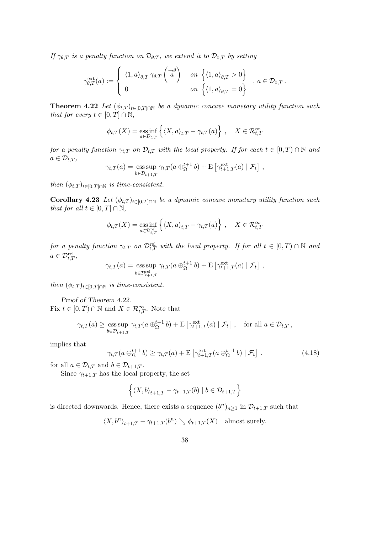If  $\gamma_{\theta,T}$  is a penalty function on  $\mathcal{D}_{\theta,T}$ , we extend it to  $\mathcal{D}_{0,T}$  by setting

$$
\gamma_{\theta,T}^{\text{ext}}(a) := \begin{cases} \langle 1, a \rangle_{\theta,T} \gamma_{\theta,T} \begin{pmatrix} -\theta \\ a \end{pmatrix} & \text{on } \left\{ \langle 1, a \rangle_{\theta,T} > 0 \right\} \\ 0 & \text{on } \left\{ \langle 1, a \rangle_{\theta,T} = 0 \right\} \end{cases}, a \in \mathcal{D}_{0,T}.
$$

**Theorem 4.22** Let  $(\phi_{t,T})_{t\in[0,T]\cap\mathbb{N}}$  be a dynamic concave monetary utility function such that for every  $t \in [0, T] \cap \mathbb{N}$ ,

$$
\phi_{t,T}(X) = \underset{a \in \mathcal{D}_{t,T}}{\text{ess inf}} \left\{ \langle X, a \rangle_{t,T} - \gamma_{t,T}(a) \right\}, \quad X \in \mathcal{R}_{t,T}^{\infty}
$$

for a penalty function  $\gamma_{t,T}$  on  $\mathcal{D}_{t,T}$  with the local property. If for each  $t \in [0,T) \cap \mathbb{N}$  and  $a \in \mathcal{D}_{t,T},$ l<br>E

$$
\gamma_{t,T}(a) = \operatorname*{ess\,sup}_{b \in \mathcal{D}_{t+1,T}} \gamma_{t,T}(a \oplus_{\Omega}^{t+1} b) + \mathrm{E}\left[\gamma_{t+1,T}^{\mathrm{ext}}(a) \mid \mathcal{F}_t\right],
$$

then  $(\phi_{t,T})_{t\in[0,T]\cap\mathbb{N}}$  is time-consistent.

Corollary 4.23 Let  $(\phi_{t,T})_{t\in[0,T]\cap\mathbb{N}}$  be a dynamic concave monetary utility function such that for all  $t \in [0, T] \cap \mathbb{N}$ ,

$$
\phi_{t,T}(X) = \underset{a \in \mathcal{D}_{t,T}^{\text{rel}}}{\text{ess inf}} \left\{ \langle X, a \rangle_{t,T} - \gamma_{t,T}(a) \right\}, \quad X \in \mathcal{R}_{t,T}^{\infty}
$$

for a penalty function  $\gamma_{t,T}$  on  $\mathcal{D}_{t,T}^{\mathrm{rel}}$  with the local property. If for all  $t \in [0,T) \cap \mathbb{N}$  and  $a \in \mathcal{D}_{t,T}^{\text{rel}},$ 

$$
\gamma_{t,T}(a) = \operatorname*{ess\,sup}_{b \in \mathcal{D}_{t+1,T}^{\text{rel}}} \gamma_{t,T}(a \oplus_{\Omega}^{t+1} b) + \operatorname*{E}\left[\gamma_{t+1,T}^{\text{ext}}(a) \mid \mathcal{F}_{t}\right],
$$

then  $(\phi_{t,T})_{t\in[0,T]\cap\mathbb{N}}$  is time-consistent.

Proof of Theorem 4.22. Fix  $t \in [0, T) \cap \mathbb{N}$  and  $X \in \mathcal{R}_{t,T}^{\infty}$ . Note that

$$
\gamma_{t,T}(a) \ge \underset{b \in \mathcal{D}_{t+1,T}}{\text{ess sup }} \gamma_{t,T}(a \oplus_{\Omega}^{t+1} b) + \mathbf{E}\left[\gamma_{t+1,T}^{\text{ext}}(a) \mid \mathcal{F}_t\right], \quad \text{for all } a \in \mathcal{D}_{t,T},
$$

implies that

$$
\gamma_{t,T}(a \oplus_{\Omega}^{t+1} b) \ge \gamma_{t,T}(a) + \mathbb{E}\left[\gamma_{t+1,T}^{\text{ext}}(a \oplus_{\Omega}^{t+1} b) \mid \mathcal{F}_t\right]. \tag{4.18}
$$

for all  $a \in \mathcal{D}_{t,T}$  and  $b \in \mathcal{D}_{t+1,T}$ .

Since  $\gamma_{t+1,T}$  has the local property, the set

$$
\left\{ \langle X, b \rangle_{t+1,T} - \gamma_{t+1,T}(b) \mid b \in \mathcal{D}_{t+1,T} \right\}
$$

is directed downwards. Hence, there exists a sequence  $(b^n)_{n\geq 1}$  in  $\mathcal{D}_{t+1,T}$  such that

 $\langle X, b^n \rangle_{t+1,T} - \gamma_{t+1,T}(b^n) \searrow \phi_{t+1,T}(X)$  almost surely.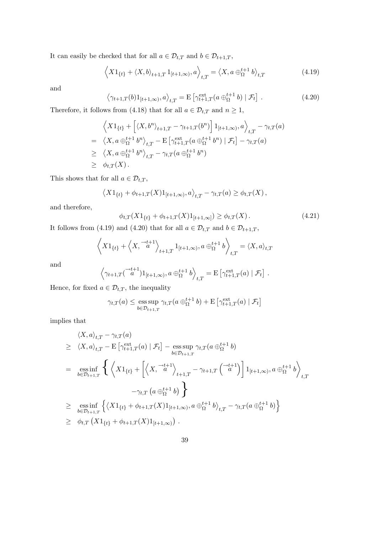It can easily be checked that for all  $a \in \mathcal{D}_{t,T}$  and  $b \in \mathcal{D}_{t+1,T}$ ,

$$
\left\langle X1_{\{t\}} + \langle X, b \rangle_{t+1,T} 1_{[t+1,\infty)}, a \right\rangle_{t,T} = \left\langle X, a \oplus_{\Omega}^{t+1} b \right\rangle_{t,T}
$$
(4.19)

and

$$
\left\langle \gamma_{t+1,T}(b)1_{[t+1,\infty)},a \right\rangle_{t,T} = \mathcal{E}\left[\gamma_{t+1,T}^{\text{ext}}(a \oplus_{\Omega}^{t+1} b) \mid \mathcal{F}_t\right]. \tag{4.20}
$$

Therefore, it follows from (4.18) that for all  $a \in \mathcal{D}_{t,T}$  and  $n \geq 1$ ,

$$
\left\langle X1_{\{t\}} + \left[ \langle X, b^n \rangle_{t+1,T} - \gamma_{t+1,T}(b^n) \right] 1_{[t+1,\infty)}, a \right\rangle_{t,T} - \gamma_{t,T}(a)
$$
\n
$$
= \left\langle X, a \bigoplus_{\Omega}^{t+1} b^n \right\rangle_{t,T} - \mathcal{E} \left[ \gamma_{t+1,T}^{\text{ext}}(a \bigoplus_{\Omega}^{t+1} b^n) \mid \mathcal{F}_t \right] - \gamma_{t,T}(a)
$$
\n
$$
\geq \left\langle X, a \bigoplus_{\Omega}^{t+1} b^n \right\rangle_{t,T} - \gamma_{t,T}(a \bigoplus_{\Omega}^{t+1} b^n)
$$
\n
$$
\geq \phi_{t,T}(X).
$$

This shows that for all  $a \in \mathcal{D}_{t,T}$ ,

$$
\left\langle X1_{\{t\}} + \phi_{t+1,T}(X)1_{[t+1,\infty)}, a \right\rangle_{t,T} - \gamma_{t,T}(a) \geq \phi_{t,T}(X),
$$

and therefore,

$$
\phi_{t,T}(X1_{\{t\}} + \phi_{t+1,T}(X)1_{[t+1,\infty]}) \ge \phi_{t,T}(X). \tag{4.21}
$$

It follows from (4.19) and (4.20) that for all  $a \in \mathcal{D}_{t,T}$  and  $b \in \mathcal{D}_{t+1,T}$ ,

$$
\left\langle X1_{\{t\}}+\left\langle X,\stackrel{\rightarrow t+1}{a}\right\rangle_{t+1,T}1_{[t+1,\infty)},a\oplus_{\Omega}^{t+1}b\right\rangle_{t,T}=\langle X,a\rangle_{t,T}
$$

and

$$
\left\langle \gamma_{t+1,T}(\overrightarrow{a}^{t+1})1_{[t+1,\infty)}, a\oplus_{\Omega}^{t+1} b \right\rangle_{t,T} = \mathrm{E}\left[\gamma_{t+1,T}^{\mathrm{ext}}(a) \mid \mathcal{F}_{t}\right].
$$

Hence, for fixed  $a\in\mathcal{D}_{t,T},$  the inequality

$$
\gamma_{t,T}(a) \le \underset{b \in \mathcal{D}_{t+1,T}}{\operatorname{ess\,sup}} \gamma_{t,T}(a \oplus_{\Omega}^{t+1} b) + \operatorname{E} \left[ \gamma_{t+1,T}^{\operatorname{ext}}(a) \mid \mathcal{F}_{t} \right]
$$

implies that

$$
\langle X, a \rangle_{t,T} - \gamma_{t,T}(a)
$$
\n
$$
\geq \langle X, a \rangle_{t,T} - \mathbb{E} \left[ \gamma_{t+1,T}^{\text{ext}}(a) \mid \mathcal{F}_t \right] - \underset{b \in \mathcal{D}_{t+1,T}}{\text{ess sup }} \gamma_{t,T}(a \oplus_{\Omega}^{t+1} b)
$$
\n
$$
= \underset{b \in \mathcal{D}_{t+1,T}}{\text{ess inf }} \left\{ \left\langle X \mathbf{1}_{\{t\}} + \left[ \left\langle X, \frac{-t+1}{a} \right\rangle_{t+1,T} - \gamma_{t+1,T} \left( \frac{-t+1}{a} \right) \right] \mathbf{1}_{[t+1,\infty)}, a \oplus_{\Omega}^{t+1} b \right\rangle_{t,T} - \gamma_{t,T}(a \oplus_{\Omega}^{t+1} b) \right\}
$$
\n
$$
\geq \underset{b \in \mathcal{D}_{t+1,T}}{\text{ess inf }} \left\{ \left\langle X \mathbf{1}_{\{t\}} + \phi_{t+1,T}(X) \mathbf{1}_{[t+1,\infty)}, a \oplus_{\Omega}^{t+1} b \right\rangle_{t,T} - \gamma_{t,T}(a \oplus_{\Omega}^{t+1} b) \right\}
$$
\n
$$
\geq \phi_{t,T}(X \mathbf{1}_{\{t\}} + \phi_{t+1,T}(X) \mathbf{1}_{[t+1,\infty)}).
$$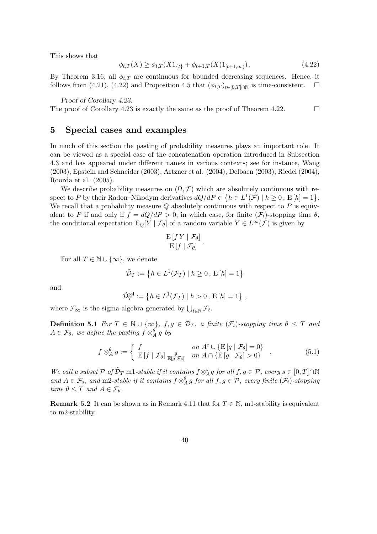This shows that

$$
\phi_{t,T}(X) \ge \phi_{t,T}(X1_{\{t\}} + \phi_{t+1,T}(X)1_{[t+1,\infty)}).
$$
\n(4.22)

By Theorem 3.16, all  $\phi_{t,T}$  are continuous for bounded decreasing sequences. Hence, it follows from (4.21), (4.22) and Proposition 4.5 that  $(\phi_{t,T})_{t\in[0,T]\cap\mathbb{N}}$  is time-consistent.  $\Box$ 

Proof of Corollary 4.23.

The proof of Corollary 4.23 is exactly the same as the proof of Theorem 4.22.  $\Box$ 

### 5 Special cases and examples

In much of this section the pasting of probability measures plays an important role. It can be viewed as a special case of the concatenation operation introduced in Subsection 4.3 and has appeared under different names in various contexts; see for instance, Wang (2003), Epstein and Schneider (2003), Artzner et al. (2004), Delbaen (2003), Riedel (2004), Roorda et al. (2005).

We describe probability measures on  $(\Omega, \mathcal{F})$  which are absolutely continuous with rewe describe probability measures on  $(x, \mathcal{F})$  which are absolutely continuous with respect to P by their Radon–Nikodym derivatives  $dQ/dP \in \{h \in L^1(\mathcal{F}) \mid h \ge 0, E[h] = 1\}$ . We recall that a probability measure  $Q$  absolutely continuous with respect to  $P$  is equivalent to P if and only if  $f = dQ/dP > 0$ , in which case, for finite  $(\mathcal{F}_t)$ -stopping time  $\theta$ , the conditional expectation  $E_Q[Y | \mathcal{F}_\theta]$  of a random variable  $Y \in L^\infty(\mathcal{F})$  is given by

$$
\frac{\mathrm{E}\left[f\,Y\mid\mathcal{F}_{\theta}\right]}{\mathrm{E}\left[f\mid\mathcal{F}_{\theta}\right]}.
$$

For all  $T \in \mathbb{N} \cup \{\infty\}$ , we denote

$$
\tilde{\mathcal{D}}_T := \left\{ h \in L^1(\mathcal{F}_T) \mid h \ge 0, \, \mathcal{E}[h] = 1 \right\}
$$

and

$$
\tilde{\mathcal{D}}_T^{\text{rel}} := \left\{ h \in L^1(\mathcal{F}_T) \mid h > 0 \,, \, \mathcal{E}[h] = 1 \right\} \,,
$$

where  $\mathcal{F}_{\infty}$  is the sigma-algebra generated by  $\bigcup_{t \in \mathbb{N}} \mathcal{F}_{t}$ .

**Definition 5.1** For  $T \in \mathbb{N} \cup \{\infty\}$ ,  $f, g \in \tilde{\mathcal{D}}_T$ , a finite  $(\mathcal{F}_t)$ -stopping time  $\theta \leq T$  and  $A\in\mathcal{F}_\theta$ , we define the pasting  $f\otimes_A^\theta g$  by

$$
f \otimes_A^{\theta} g := \begin{cases} f & \text{on } A^c \cup \{ \mathcal{E}[g \mid \mathcal{F}_{\theta}] = 0 \} \\ \mathcal{E}[f \mid \mathcal{F}_{\theta}] \frac{g}{\mathcal{E}[g|\mathcal{F}_{\theta}]} & \text{on } A \cap \{ \mathcal{E}[g \mid \mathcal{F}_{\theta}] > 0 \} \end{cases}
$$
(5.1)

We call a subset  $P$  of  $\tilde{D}_T$  m1-stable if it contains  $f \otimes_A^s g$  for all  $f, g \in P$ , every  $s \in [0, T] \cap \mathbb{N}$ and  $A \in \mathcal{F}_s$ , and m2-stable if it contains  $f \otimes_A^{\theta} g$  for all  $f, g \in \mathcal{P}$ , every finite  $(\mathcal{F}_t)$ -stopping time  $\theta \leq T$  and  $A \in \mathcal{F}_{\theta}$ .

**Remark 5.2** It can be shown as in Remark 4.11 that for  $T \in \mathbb{N}$ , m1-stability is equivalent to m2-stability.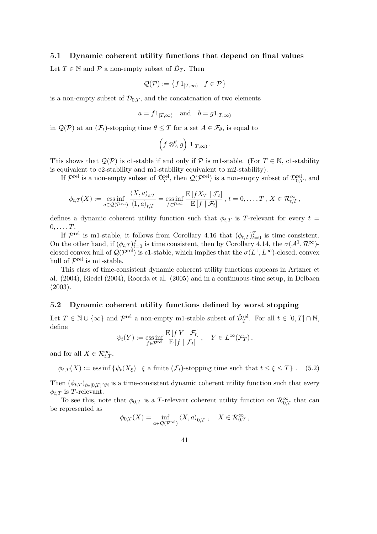#### 5.1 Dynamic coherent utility functions that depend on final values

Let  $T \in \mathbb{N}$  and  $\mathcal{P}$  a non-empty subset of  $\tilde{D}_T$ . Then

$$
\mathcal{Q}(\mathcal{P}) := \left\{ f \, 1_{[T,\infty)} \mid f \in \mathcal{P} \right\}
$$

is a non-empty subset of  $\mathcal{D}_{0,T}$ , and the concatenation of two elements

$$
a = f1_{[T,\infty)}
$$
 and  $b = g1_{[T,\infty)}$ 

in  $\mathcal{Q}(\mathcal{P})$  at an  $(\mathcal{F}_t)$ -stopping time  $\theta \leq T$  for a set  $A \in \mathcal{F}_{\theta}$ , is equal to

$$
\left(f\otimes_{A}^{\theta} g\right) 1_{[T,\infty)}.
$$

This shows that  $\mathcal{Q}(\mathcal{P})$  is c1-stable if and only if  $\mathcal P$  is m1-stable. (For  $T \in \mathbb N$ , c1-stability is equivalent to c2-stability and m1-stability equivalent to m2-stability).

If  $\mathcal{P}^{\text{rel}}$  is a non-empty subset of  $\tilde{\mathcal{D}}_T^{\text{rel}}$ , then  $\mathcal{Q}(\mathcal{P}^{\text{rel}})$  is a non-empty subset of  $\mathcal{D}_{0,T}^{\text{rel}}$ , and

$$
\phi_{t,T}(X) := \underset{a \in \mathcal{Q}(\mathcal{P}^{\text{rel}})}{\text{ess inf}} \frac{\langle X, a \rangle_{t,T}}{\langle 1, a \rangle_{t,T}} = \underset{f \in \mathcal{P}^{\text{rel}}}{\text{ess inf}} \frac{\mathrm{E}\left[fX_T \mid \mathcal{F}_t\right]}{\mathrm{E}\left[f \mid \mathcal{F}_t\right]}, \ t = 0, \ldots, T, \ X \in \mathcal{R}_{t,T}^{\infty},
$$

defines a dynamic coherent utility function such that  $\phi_{t,T}$  is T-relevant for every  $t =$  $0, \ldots, T$ .

If  $\mathcal{P}^{\text{rel}}$  is m1-stable, it follows from Corollary 4.16 that  $(\phi_{t,T})_{t=0}^T$  is time-consistent. On the other hand, if  $(\phi_{t,T})_{t=0}^T$  is time consistent, then by Corollary 4.14, the  $\sigma(\mathcal{A}^1, \mathcal{R}^{\infty})$ closed convex hull of  $\mathcal{Q}(\mathcal{P}^{\text{rel}})$  is c1-stable, which implies that the  $\sigma(L^1, L^{\infty})$ -closed, convex hull of  $\mathcal{P}^{\text{rel}}$  is m1-stable.

This class of time-consistent dynamic coherent utility functions appears in Artzner et al. (2004), Riedel (2004), Roorda et al. (2005) and in a continuous-time setup, in Delbaen (2003).

### 5.2 Dynamic coherent utility functions defined by worst stopping

Let  $T \in \mathbb{N} \cup \{\infty\}$  and  $\mathcal{P}^{\text{rel}}$  a non-empty m1-stable subset of  $\tilde{\mathcal{D}}_T^{\text{rel}}$ . For all  $t \in [0, T] \cap \mathbb{N}$ , define

$$
\psi_t(Y) := \operatorname{ess\,inf}_{f \in \mathcal{P}^{\text{rel}}} \frac{\mathrm{E}[f\,Y \mid \mathcal{F}_t]}{\mathrm{E}[f \mid \mathcal{F}_t]}, \quad Y \in L^{\infty}(\mathcal{F}_T),
$$

and for all  $X \in \mathcal{R}_{t,T}^{\infty}$ ,

$$
\phi_{t,T}(X) := \text{ess inf } \{ \psi_t(X_{\xi}) \mid \xi \text{ a finite } (\mathcal{F}_t) \text{-stopping time such that } t \leq \xi \leq T \} . \tag{5.2}
$$

Then  $(\phi_{t,T})_{t\in[0,T]\cap\mathbb{N}}$  is a time-consistent dynamic coherent utility function such that every  $\phi_{t,T}$  is T-relevant.

To see this, note that  $\phi_{0,T}$  is a T-relevant coherent utility function on  $\mathcal{R}_{0,T}^{\infty}$  that can be represented as

$$
\phi_{0,T}(X) = \inf_{a \in \mathcal{Q}(\mathcal{P}^{\text{rel}})} \langle X, a \rangle_{0,T} , \quad X \in \mathcal{R}_{0,T}^{\infty} ,
$$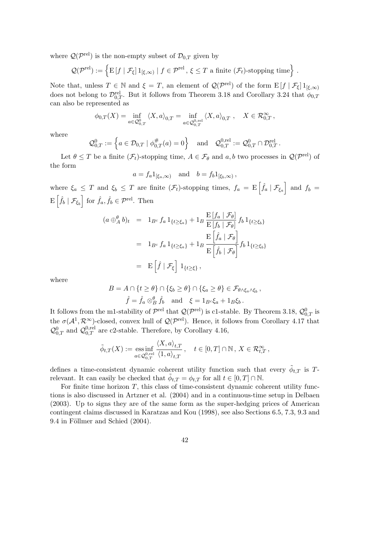where  $\mathcal{Q}(\mathcal{P}^{\text{rel}})$  is the non-empty subset of  $\mathcal{D}_{0,T}$  given by

$$
\mathcal{Q}(\mathcal{P}^{\text{rel}}) := \left\{ \mathrm{E}\left[f \mid \mathcal{F}_{\xi}\right]1_{\left[\xi,\infty\right)} \mid f \in \mathcal{P}^{\text{rel}}, \, \xi \leq T \text{ a finite } (\mathcal{F}_{t})\text{-stopping time} \right\} \,.
$$

Note that, unless  $T \in \mathbb{N}$  and  $\xi = T$ , an element of  $\mathcal{Q}(\mathcal{P}^{\text{rel}})$  of the form  $E[f | \mathcal{F}_{\xi}] 1_{[\xi,\infty)}$ does not belong to  $\mathcal{D}_{0,T}^{\text{rel}}$ . But it follows from Theorem 3.18 and Corollary 3.24 that  $\phi_{0,T}$ can also be represented as

$$
\phi_{0,T}(X)=\inf_{a\in\mathcal{Q}_{0,T}^0}\left\langle X,a\right\rangle_{0,T}=\inf_{a\in\mathcal{Q}_{0,T}^{0,\mathrm{rel}}}\left\langle X,a\right\rangle_{0,T},\quad X\in\mathcal{R}_{0,T}^\infty,
$$

where

$$
\mathcal{Q}_{0,T}^0 := \left\{ a \in \mathcal{D}_{0,T} \mid \phi_{0,T}^{\#}(a) = 0 \right\} \quad \text{and} \quad \mathcal{Q}_{0,T}^{0,\text{rel}} := \mathcal{Q}_{0,T}^0 \cap \mathcal{D}_{0,T}^{\text{rel}}.
$$

Let  $\theta \leq T$  be a finite  $(\mathcal{F}_t)$ -stopping time,  $A \in \mathcal{F}_\theta$  and  $a, b$  two processes in  $\mathcal{Q}(\mathcal{P}^{\text{rel}})$  of the form

$$
a = f_a 1_{[\xi_a,\infty)}
$$
 and  $b = f_b 1_{[\xi_b,\infty)}$ ,

where  $\xi_a \leq T$  and  $\xi_b \leq T$  are finite  $(\mathcal{F}_t)$ -stopping times,  $f_a = \mathbb{E} \left[ \hat{f}_a \mid \mathcal{F}_{\xi_a} \right]$ i here  $\xi_a \leq T$  and  $\xi_b \leq T$  are finite  $(\mathcal{F}_t)$ -stopping times,  $f_a = \mathbb{E}\left[\hat{f}_a \mid \mathcal{F}_{\xi_a}\right]$  and  $f_b =$  $\mathbb{E} \left| \hat{f}_b \mid \mathcal{F}_{\xi_b} \right| \text{ for } \hat{f}_a, \hat{f}_b \in \mathcal{P}^{\text{rel}}. \text{ Then}$ 

$$
(a \bigoplus_{A}^{\theta} b)_{t} = 1_{B^{c}} f_{a} 1_{\{t \ge \xi_{a}\}} + 1_{B} \frac{\mathrm{E}[f_{a} \mid \mathcal{F}_{\theta}]}{\mathrm{E}[f_{b} \mid \mathcal{F}_{\theta}]} f_{b} 1_{\{t \ge \xi_{b}\}}
$$
  

$$
= 1_{B^{c}} f_{a} 1_{\{t \ge \xi_{a}\}} + 1_{B} \frac{\mathrm{E}[\hat{f}_{a} \mid \mathcal{F}_{\theta}]}{\mathrm{E}[\hat{f}_{b} \mid \mathcal{F}_{\theta}]} f_{b} 1_{\{t \ge \xi_{b}\}}
$$
  

$$
= \mathrm{E}[\hat{f} \mid \mathcal{F}_{\xi}] 1_{\{t \ge \xi\}},
$$

where

$$
B = A \cap \{t \ge \theta\} \cap \{\xi_b \ge \theta\} \cap \{\xi_a \ge \theta\} \in \mathcal{F}_{\theta \wedge \xi_a \wedge \xi_b},
$$
  

$$
\hat{f} = \hat{f}_a \otimes_B^\theta \hat{f}_b \quad \text{and} \quad \xi = 1_{B^c} \xi_a + 1_B \xi_b.
$$

It follows from the m1-stability of  $\mathcal{P}^{\text{rel}}$  that  $\mathcal{Q}(\mathcal{P}^{\text{rel}})$  is c1-stable. By Theorem 3.18,  $\mathcal{Q}_{0,T}^0$  is the  $\sigma(A^1, \mathcal{R}^{\infty})$ -closed, convex hull of  $\mathcal{Q}(\mathcal{P}^{\text{rel}})$ . Hence, it follows from Corollary 4.17 that  $\mathcal{Q}_{0,T}^0$  and  $\mathcal{Q}_{0,T}^{0,\text{rel}}$  are c2-stable. Therefore, by Corollary 4.16,

$$
\tilde{\phi}_{t,T}(X) := \underset{a \in \mathcal{Q}_{0,T}^{0,\mathrm{rel}}}{\mathrm{ess\,inf}} \frac{\langle X, a \rangle_{t,T}}{\langle 1, a \rangle_{t,T}}, \quad t \in [0,T] \cap \mathbb{N}, X \in \mathcal{R}_{t,T}^{\infty},
$$

defines a time-consistent dynamic coherent utility function such that every  $\tilde{\phi}_{t,T}$  is Trelevant. It can easily be checked that  $\tilde{\phi}_{t,T} = \phi_{t,T}$  for all  $t \in [0,T] \cap \mathbb{N}$ .

For finite time horizon  $T$ , this class of time-consistent dynamic coherent utility functions is also discussed in Artzner et al. (2004) and in a continuous-time setup in Delbaen (2003). Up to signs they are of the same form as the super-hedging prices of American contingent claims discussed in Karatzas and Kou (1998), see also Sections 6.5, 7.3, 9.3 and 9.4 in Föllmer and Schied (2004).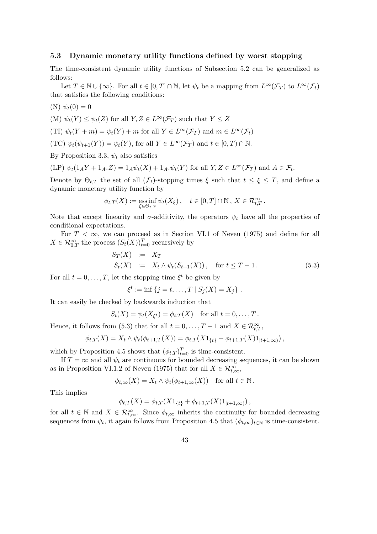#### 5.3 Dynamic monetary utility functions defined by worst stopping

The time-consistent dynamic utility functions of Subsection 5.2 can be generalized as follows:

Let  $T \in \mathbb{N} \cup \{\infty\}$ . For all  $t \in [0, T] \cap \mathbb{N}$ , let  $\psi_t$  be a mapping from  $L^{\infty}(\mathcal{F}_T)$  to  $L^{\infty}(\mathcal{F}_t)$ that satisfies the following conditions:

$$
(N) \psi_t(0) = 0
$$

(M) 
$$
\psi_t(Y) \leq \psi_t(Z)
$$
 for all  $Y, Z \in L^{\infty}(\mathcal{F}_T)$  such that  $Y \leq Z$ 

(TI) 
$$
\psi_t(Y+m) = \psi_t(Y) + m
$$
 for all  $Y \in L^{\infty}(\mathcal{F}_T)$  and  $m \in L^{\infty}(\mathcal{F}_t)$ 

(TC)  $\psi_t(\psi_{t+1}(Y)) = \psi_t(Y)$ , for all  $Y \in L^{\infty}(\mathcal{F}_T)$  and  $t \in [0, T) \cap \mathbb{N}$ .

By Proposition 3.3,  $\psi_t$  also satisfies

$$
(\text{LP}) \ \psi_t(1_A Y + 1_{A^c} Z) = 1_A \psi_t(X) + 1_{A^c} \psi_t(Y) \text{ for all } Y, Z \in L^{\infty}(\mathcal{F}_T) \text{ and } A \in \mathcal{F}_t.
$$

Denote by  $\Theta_{t,T}$  the set of all  $(\mathcal{F}_t)$ -stopping times  $\xi$  such that  $t \leq \xi \leq T$ , and define a dynamic monetary utility function by

$$
\phi_{t,T}(X) := \underset{\xi \in \Theta_{t,T}}{\mathrm{ess\,inf}} \, \psi_t(X_{\xi}), \quad t \in [0,T] \cap \mathbb{N}, \, X \in \mathcal{R}_{t,T}^{\infty}.
$$

Note that except linearity and  $\sigma$ -additivity, the operators  $\psi_t$  have all the properties of conditional expectations.

For  $T < \infty$ , we can proceed as in Section VI.1 of Neveu (1975) and define for all  $X \in \mathcal{R}_{0,T}^{\infty}$  the process  $(S_t(X))_{t=0}^T$  recursively by

$$
S_T(X) := X_T \nS_t(X) := X_t \wedge \psi_t(S_{t+1}(X)), \quad \text{for } t \le T - 1.
$$
\n(5.3)

For all  $t = 0, \ldots, T$ , let the stopping time  $\xi^t$  be given by

$$
\xi^t := \inf \{ j = t, ..., T \mid S_j(X) = X_j \}.
$$

It can easily be checked by backwards induction that

$$
S_t(X) = \psi_t(X_{\xi^t}) = \phi_{t,T}(X) \quad \text{for all } t = 0, \dots, T.
$$

Hence, it follows from (5.3) that for all  $t = 0, ..., T - 1$  and  $X \in \mathcal{R}_{t,T}^{\infty}$ ,

$$
\phi_{t,T}(X) = X_t \wedge \psi_t(\phi_{t+1,T}(X)) = \phi_{t,T}(X1_{\{t\}} + \phi_{t+1,T}(X)1_{[t+1,\infty)}),
$$

which by Proposition 4.5 shows that  $(\phi_{t,T})_{t=0}^T$  is time-consistent.

If  $T = \infty$  and all  $\psi_t$  are continuous for bounded decreasing sequences, it can be shown as in Proposition VI.1.2 of Neveu (1975) that for all  $X \in \mathcal{R}_{t,\infty}^{\infty}$ ,

$$
\phi_{t,\infty}(X) = X_t \wedge \psi_t(\phi_{t+1,\infty}(X)) \quad \text{for all } t \in \mathbb{N}.
$$

This implies

$$
\phi_{t,T}(X) = \phi_{t,T}(X1_{\{t\}} + \phi_{t+1,T}(X)1_{[t+1,\infty)}),
$$

for all  $t \in \mathbb{N}$  and  $X \in \mathcal{R}_{t,\infty}^{\infty}$ . Since  $\phi_{t,\infty}$  inherits the continuity for bounded decreasing sequences from  $\psi_t$ , it again follows from Proposition 4.5 that  $(\phi_{t,\infty})_{t\in\mathbb{N}}$  is time-consistent.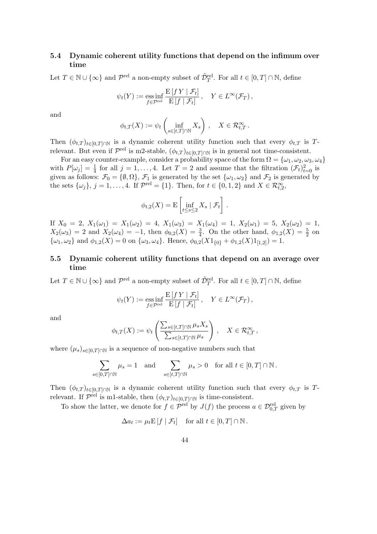# 5.4 Dynamic coherent utility functions that depend on the infimum over time

Let  $T \in \mathbb{N} \cup \{\infty\}$  and  $\mathcal{P}^{\text{rel}}$  a non-empty subset of  $\tilde{\mathcal{D}}_T^{\text{rel}}$ . For all  $t \in [0, T] \cap \mathbb{N}$ , define

$$
\psi_t(Y) := \operatorname*{ess\,inf}_{f \in \mathcal{P}^{\text{rel}}} \frac{\mathrm{E}[f\,Y \mid \mathcal{F}_t]}{\mathrm{E}[f \mid \mathcal{F}_t]}, \quad Y \in L^{\infty}(\mathcal{F}_T),
$$

and

$$
\phi_{t,T}(X) := \psi_t \left( \inf_{s \in [t,T] \cap \mathbb{N}} X_s \right), \quad X \in \mathcal{R}_{t,T}^{\infty}.
$$

Then  $(\phi_{t,T})_{t\in[0,T]\cap\mathbb{N}}$  is a dynamic coherent utility function such that every  $\phi_{t,T}$  is Trelevant. But even if  $\mathcal{P}^{\text{rel}}$  is m2-stable,  $(\phi_{t,T})_{t\in[0,T]\cap\mathbb{N}}$  is in general not time-consistent.

For an easy counter-example, consider a probability space of the form  $\Omega = {\omega_1, \omega_2, \omega_3, \omega_4}$ with  $P[\omega_j] = \frac{1}{4}$  for all  $j = 1, ..., 4$ . Let  $T = 2$  and assume that the filtration  $(\mathcal{F}_t)_{t=0}^2$  is given as follows:  $\mathcal{F}_0 = \{\emptyset, \Omega\}, \mathcal{F}_1$  is generated by the set  $\{\omega_1, \omega_2\}$  and  $\mathcal{F}_2$  is generated by the sets  $\{\omega_j\}, j = 1, \ldots, 4$ . If  $\mathcal{P}^{\text{rel}} = \{1\}$ . Then, for  $t \in \{0, 1, 2\}$  and  $X \in \mathcal{R}_{t,2}^{\infty}$ ,

$$
\phi_{t,2}(X) = \mathrm{E}\left[\inf_{t \leq s \leq 2} X_s \mid \mathcal{F}_t\right].
$$

If  $X_0 = 2$ ,  $X_1(\omega_1) = X_1(\omega_2) = 4$ ,  $X_1(\omega_3) = X_1(\omega_4) = 1$ ,  $X_2(\omega_1) = 5$ ,  $X_2(\omega_2) = 1$ ,  $X_2(\omega_3) = 2$  and  $X_2(\omega_4) = -1$ , then  $\phi_{0,2}(X) = \frac{3}{4}$ . On the other hand,  $\phi_{1,2}(X) = \frac{5}{2}$  on  $\{\omega_1, \omega_2\}$  and  $\phi_{1,2}(X) = 0$  on  $\{\omega_3, \omega_4\}$ . Hence,  $\phi_{0,2}(X1_{\{0\}} + \phi_{1,2}(X)1_{[1,2]}) = 1$ .

# 5.5 Dynamic coherent utility functions that depend on an average over time

Let  $T \in \mathbb{N} \cup \{\infty\}$  and  $\mathcal{P}^{\text{rel}}$  a non-empty subset of  $\tilde{\mathcal{D}}_T^{\text{rel}}$ . For all  $t \in [0, T] \cap \mathbb{N}$ , define

$$
\psi_t(Y) := \operatorname*{ess\,inf}_{f \in \mathcal{P}^{\text{rel}}} \frac{\mathbb{E}[f\,Y \mid \mathcal{F}_t]}{\mathbb{E}[f \mid \mathcal{F}_t]}, \quad Y \in L^{\infty}(\mathcal{F}_T),
$$

and

$$
\phi_{t,T}(X) := \psi_t\left(\frac{\sum_{s \in [t,T] \cap \mathbb{N}} \mu_s X_s}{\sum_{s \in [t,T] \cap \mathbb{N}} \mu_s}\right), \quad X \in \mathcal{R}_{t,T}^{\infty},
$$

where  $(\mu_s)_{s\in[0,T]\cap\mathbb{N}}$  is a sequence of non-negative numbers such that

$$
\sum_{s \in [0,T] \cap \mathbb{N}} \mu_s = 1 \quad \text{and} \quad \sum_{s \in [t,T] \cap \mathbb{N}} \mu_s > 0 \quad \text{for all } t \in [0,T] \cap \mathbb{N}.
$$

Then  $(\phi_{t,T})_{t\in[0,T]\cap\mathbb{N}}$  is a dynamic coherent utility function such that every  $\phi_{t,T}$  is Trelevant. If  $\mathcal{P}^{\text{rel}}$  is m1-stable, then  $(\phi_{t,T})_{t\in[0,T]\cap\mathbb{N}}$  is time-consistent.

To show the latter, we denote for  $f \in \mathcal{P}^{\text{rel}}$  by  $J(f)$  the process  $a \in \mathcal{D}^{\text{rel}}_{0,T}$  given by

$$
\Delta a_t := \mu_t \mathbb{E}\left[f \mid \mathcal{F}_t\right] \quad \text{for all } t \in [0, T] \cap \mathbb{N}.
$$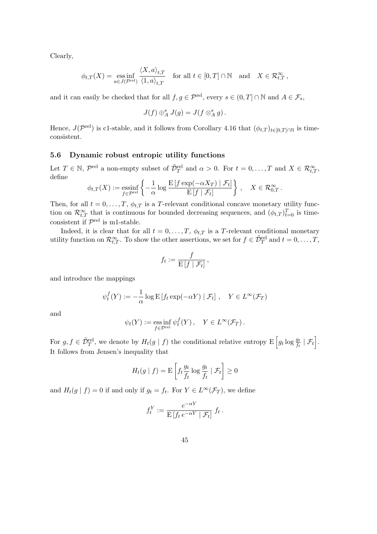Clearly,

$$
\phi_{t,T}(X) = \underset{a \in J(\mathcal{P}^{\text{rel}})}{\text{ess inf}} \frac{\langle X, a \rangle_{t,T}}{\langle 1, a \rangle_{t,T}} \quad \text{for all } t \in [0,T] \cap \mathbb{N} \quad \text{and} \quad X \in \mathcal{R}_{t,T}^{\infty},
$$

and it can easily be checked that for all  $f, g \in \mathcal{P}^{\text{rel}}$ , every  $s \in (0, T] \cap \mathbb{N}$  and  $A \in \mathcal{F}_s$ ,

$$
J(f) \oplus_A^s J(g) = J(f \otimes_A^s g).
$$

Hence,  $J(\mathcal{P}^{\text{rel}})$  is c1-stable, and it follows from Corollary 4.16 that  $(\phi_{t,T})_{t\in[0,T]\cap\mathbb{N}}$  is timeconsistent.

#### 5.6 Dynamic robust entropic utility functions

Let  $T \in \mathbb{N}$ ,  $\mathcal{P}^{\text{rel}}$  a non-empty subset of  $\tilde{\mathcal{D}}_T^{\text{rel}}$  and  $\alpha > 0$ . For  $t = 0, \ldots, T$  and  $X \in \mathcal{R}_{t,T}^{\infty}$ , define  $\mathbf{A}$ 

$$
\phi_{t,T}(X) := \underset{f \in \mathcal{P}^{\text{rel}}}{\text{essinf}} \left\{ -\frac{1}{\alpha} \log \frac{\mathrm{E}\left[f \exp(-\alpha X_T) \mid \mathcal{F}_t\right]}{\mathrm{E}\left[f \mid \mathcal{F}_t\right]} \right\}, \quad X \in \mathcal{R}_{0,T}^{\infty}.
$$

Then, for all  $t = 0, \ldots, T$ ,  $\phi_{t,T}$  is a T-relevant conditional concave monetary utility function on  $\mathcal{R}_{t,T}^{\infty}$  that is continuous for bounded decreasing sequences, and  $(\phi_{t,T})_{t=0}^T$  is timeconsistent if  $\mathcal{P}^{\text{rel}}$  is m1-stable.

Indeed, it is clear that for all  $t = 0, \ldots, T, \phi_{t,T}$  is a T-relevant conditional monetary utility function on  $\mathcal{R}_{t,T}^{\infty}$ . To show the other assertions, we set for  $f \in \tilde{\mathcal{D}}_T^{\text{rel}}$  and  $t = 0, \ldots, T$ ,

$$
f_t := \frac{f}{\mathrm{E}\left[f \mid \mathcal{F}_t\right]},
$$

and introduce the mappings

$$
\psi_t^f(Y) := -\frac{1}{\alpha} \log \mathbb{E} \left[ f_t \exp(-\alpha Y) \mid \mathcal{F}_t \right], \quad Y \in L^{\infty}(\mathcal{F}_T)
$$

and

$$
\psi_t(Y) := \operatorname*{ess\,inf}_{f \in \mathcal{P}^{\text{rel}}} \psi_t^f(Y), \quad Y \in L^{\infty}(\mathcal{F}_T).
$$

For  $g, f \in \tilde{\mathcal{D}}_T^{\text{rel}}$ , we denote by  $H_t(g \mid f)$  the conditional relative entropy  $E\left[g_t \log \frac{g_t}{f_t} \mid \mathcal{F}_t\right]$ i . It follows from Jensen's inequality that

$$
H_t(g \mid f) = \mathcal{E}\left[f_t \frac{g_t}{f_t} \log \frac{g_t}{f_t} \mid \mathcal{F}_t\right] \ge 0
$$

and  $H_t(g \mid f) = 0$  if and only if  $g_t = f_t$ . For  $Y \in L^{\infty}(\mathcal{F}_T)$ , we define

$$
f_t^Y := \frac{e^{-\alpha Y}}{\mathrm{E}\left[f_t e^{-\alpha Y} \mid \mathcal{F}_t\right]} f_t.
$$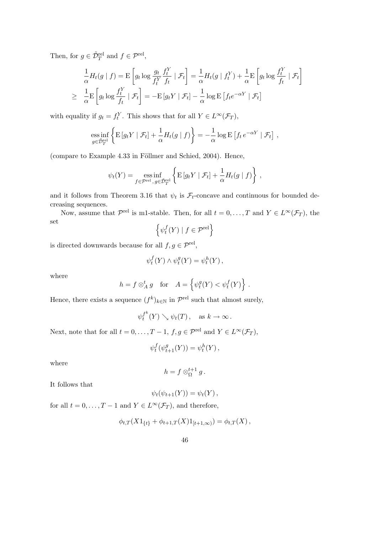Then, for  $g \in \tilde{\mathcal{D}}_T^{\text{rel}}$  and  $f \in \mathcal{P}^{\text{rel}}$ ,

$$
\frac{1}{\alpha}H_t(g \mid f) = \mathcal{E}\left[g_t \log \frac{g_t}{f_t^Y} \frac{f_t^Y}{f_t} \mid \mathcal{F}_t\right] = \frac{1}{\alpha}H_t(g \mid f_t^Y) + \frac{1}{\alpha}\mathcal{E}\left[g_t \log \frac{f_t^Y}{f_t} \mid \mathcal{F}_t\right]
$$
\n
$$
\geq \frac{1}{\alpha}\mathcal{E}\left[g_t \log \frac{f_t^Y}{f_t} \mid \mathcal{F}_t\right] = -\mathcal{E}\left[g_t Y \mid \mathcal{F}_t\right] - \frac{1}{\alpha}\log \mathcal{E}\left[f_t e^{-\alpha Y} \mid \mathcal{F}_t\right]
$$

with equality if  $g_t = f_t^Y$ . This shows that for all  $Y \in L^{\infty}(\mathcal{F}_T)$ ,

ess inf 
$$
\left\{ \mathbf{E} \left[ g_t Y \mid \mathcal{F}_t \right] + \frac{1}{\alpha} H_t(g \mid f) \right\} = -\frac{1}{\alpha} \log \mathbf{E} \left[ f_t e^{-\alpha Y} \mid \mathcal{F}_t \right],
$$

(compare to Example  $4.33$  in Föllmer and Schied, 2004). Hence,

$$
\psi_t(Y) = \underset{f \in \mathcal{P}^{\text{rel}}}{\text{ess inf}} \left\{ \mathbb{E} \left[ g_t Y \mid \mathcal{F}_t \right] + \frac{1}{\alpha} H_t(g \mid f) \right\},\,
$$

and it follows from Theorem 3.16 that  $\psi_t$  is  $\mathcal{F}_t$ -concave and continuous for bounded decreasing sequences.

Now, assume that  $\mathcal{P}^{\text{rel}}$  is m1-stable. Then, for all  $t = 0, \ldots, T$  and  $Y \in L^{\infty}(\mathcal{F}_T)$ , the set n

$$
\left\{\psi_t^f(Y) \mid f \in \mathcal{P}^{\text{rel}}\right\}
$$

is directed downwards because for all  $f, g \in \mathcal{P}^{\text{rel}}$ ,

$$
\psi_t^f(Y) \wedge \psi_t^g(Y) = \psi_t^h(Y) ,
$$

where

$$
h = f \otimes_A^t g \quad \text{for} \quad A = \left\{ \psi_t^g(Y) < \psi_t^f(Y) \right\} \, .
$$

Hence, there exists a sequence  $(f^k)_{k \in \mathbb{N}}$  in  $\mathcal{P}^{\text{rel}}$  such that almost surely,

$$
\psi_t^{f^k}(Y) \searrow \psi_t(T)
$$
, as  $k \to \infty$ .

Next, note that for all  $t = 0, ..., T - 1, f, g \in \mathcal{P}^{\text{rel}}$  and  $Y \in L^{\infty}(\mathcal{F}_{T}),$ 

$$
\psi_t^f(\psi_{t+1}^g(Y)) = \psi_t^h(Y),
$$

where

$$
h = f \otimes_{\Omega}^{t+1} g.
$$

It follows that

$$
\psi_t(\psi_{t+1}(Y)) = \psi_t(Y),
$$

for all  $t = 0, \ldots, T - 1$  and  $Y \in L^{\infty}(\mathcal{F}_T)$ , and therefore,

$$
\phi_{t,T}(X1_{\{t\}} + \phi_{t+1,T}(X)1_{[t+1,\infty)}) = \phi_{t,T}(X),
$$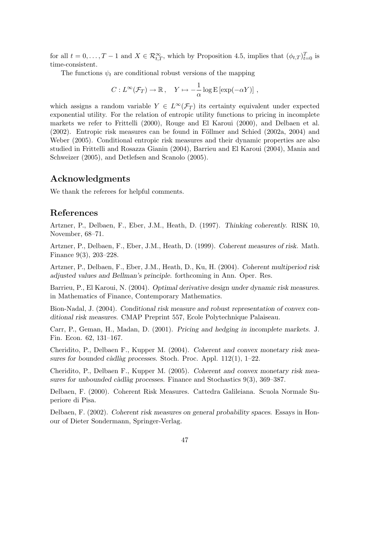for all  $t = 0, \ldots, T-1$  and  $X \in \mathcal{R}_{t,T}^{\infty}$ , which by Proposition 4.5, implies that  $(\phi_{t,T})_{t=0}^T$  is time-consistent.

The functions  $\psi_t$  are conditional robust versions of the mapping

$$
C: L^{\infty}(\mathcal{F}_T) \to \mathbb{R}, \quad Y \mapsto -\frac{1}{\alpha} \log \mathrm{E} \left[ \exp(-\alpha Y) \right],
$$

which assigns a random variable  $Y \in L^{\infty}(\mathcal{F}_T)$  its certainty equivalent under expected exponential utility. For the relation of entropic utility functions to pricing in incomplete markets we refer to Frittelli (2000), Rouge and El Karoui (2000), and Delbaen et al.  $(2002)$ . Entropic risk measures can be found in Föllmer and Schied  $(2002a, 2004)$  and Weber (2005). Conditional entropic risk measures and their dynamic properties are also studied in Frittelli and Rosazza Gianin (2004), Barrieu and El Karoui (2004), Mania and Schweizer (2005), and Detlefsen and Scanolo (2005).

# Acknowledgments

We thank the referees for helpful comments.

# References

Artzner, P., Delbaen, F., Eber, J.M., Heath, D. (1997). Thinking coherently. RISK 10, November, 68–71.

Artzner, P., Delbaen, F., Eber, J.M., Heath, D. (1999). Coherent measures of risk. Math. Finance 9(3), 203–228.

Artzner, P., Delbaen, F., Eber, J.M., Heath, D., Ku, H. (2004). Coherent multiperiod risk adjusted values and Bellman's principle. forthcoming in Ann. Oper. Res.

Barrieu, P., El Karoui, N. (2004). Optimal derivative design under dynamic risk measures. in Mathematics of Finance, Contemporary Mathematics.

Bion-Nadal, J. (2004). Conditional risk measure and robust representation of convex conditional risk measures. CMAP Preprint 557, Ecole Polytechnique Palaiseau.

Carr, P., Geman, H., Madan, D. (2001). Pricing and hedging in incomplete markets. J. Fin. Econ. 62, 131–167.

Cheridito, P., Delbaen F., Kupper M. (2004). Coherent and convex monetary risk measures for bounded càdlàg processes. Stoch. Proc. Appl.  $112(1)$ , 1–22.

Cheridito, P., Delbaen F., Kupper M. (2005). Coherent and convex monetary risk measures for unbounded càdlàg processes. Finance and Stochastics  $9(3)$ ,  $369-387$ .

Delbaen, F. (2000). Coherent Risk Measures. Cattedra Galileiana. Scuola Normale Superiore di Pisa.

Delbaen, F. (2002). Coherent risk measures on general probability spaces. Essays in Honour of Dieter Sondermann, Springer-Verlag.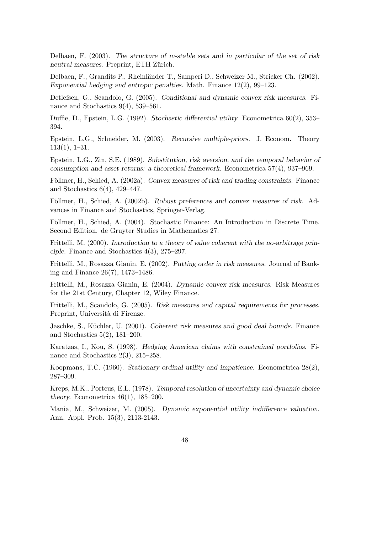Delbaen, F. (2003). The structure of m-stable sets and in particular of the set of risk neutral measures. Preprint, ETH Zürich.

Delbaen, F., Grandits P., Rheinländer T., Samperi D., Schweizer M., Stricker Ch. (2002). Exponential hedging and entropic penalties. Math. Finance 12(2), 99–123.

Detlefsen, G., Scandolo, G. (2005). Conditional and dynamic convex risk measures. Finance and Stochastics  $9(4)$ , 539–561.

Duffie, D., Epstein, L.G. (1992). Stochastic differential utility. Econometrica 60(2), 353– 394.

Epstein, L.G., Schneider, M. (2003). Recursive multiple-priors. J. Econom. Theory 113(1), 1–31.

Epstein, L.G., Zin, S.E. (1989). Substitution, risk aversion, and the temporal behavior of consumption and asset returns: a theoretical framework. Econometrica 57(4), 937–969.

Föllmer, H., Schied, A. (2002a). Convex measures of risk and trading constraints. Finance and Stochastics 6(4), 429–447.

Föllmer, H., Schied, A. (2002b). Robust preferences and convex measures of risk. Advances in Finance and Stochastics, Springer-Verlag.

Föllmer, H., Schied, A. (2004). Stochastic Finance: An Introduction in Discrete Time. Second Edition. de Gruyter Studies in Mathematics 27.

Frittelli, M. (2000). Introduction to a theory of value coherent with the no-arbitrage principle. Finance and Stochastics 4(3), 275–297.

Frittelli, M., Rosazza Gianin, E. (2002). Putting order in risk measures. Journal of Banking and Finance 26(7), 1473–1486.

Frittelli, M., Rosazza Gianin, E. (2004). Dynamic convex risk measures. Risk Measures for the 21st Century, Chapter 12, Wiley Finance.

Frittelli, M., Scandolo, G. (2005). Risk measures and capital requirements for processes. Preprint, Università di Firenze.

Jaschke, S., Küchler, U. (2001). Coherent risk measures and good deal bounds. Finance and Stochastics 5(2), 181–200.

Karatzas, I., Kou, S. (1998). Hedging American claims with constrained portfolios. Finance and Stochastics 2(3), 215–258.

Koopmans, T.C. (1960). Stationary ordinal utility and impatience. Econometrica 28(2), 287–309.

Kreps, M.K., Porteus, E.L. (1978). Temporal resolution of uncertainty and dynamic choice theory. Econometrica  $46(1)$ ,  $185-200$ .

Mania, M., Schweizer, M. (2005). Dynamic exponential utility indifference valuation. Ann. Appl. Prob. 15(3), 2113-2143.